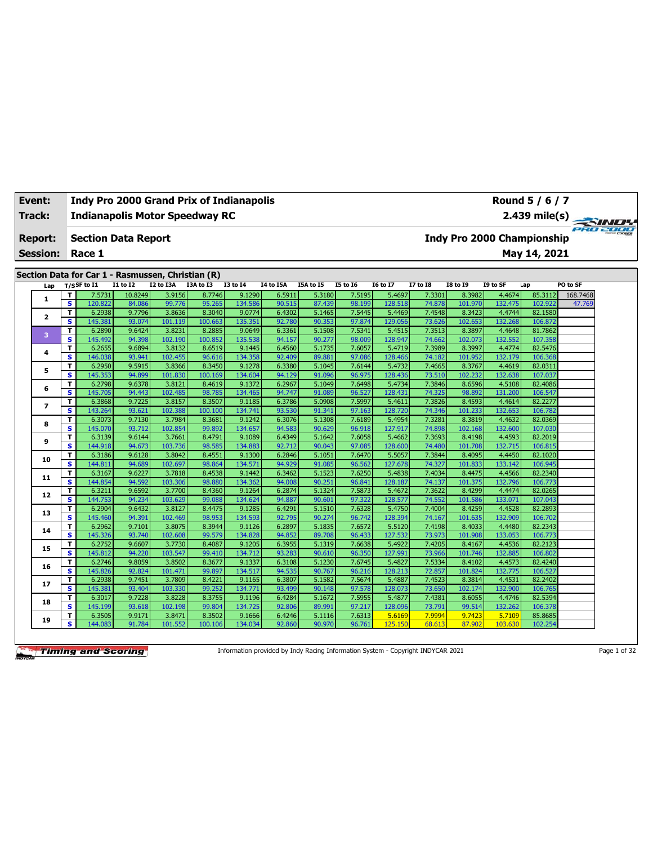| Event:<br>Track: |                         | <b>Indy Pro 2000 Grand Prix of Indianapolis</b><br><b>Indianapolis Motor Speedway RC</b> |          |           |           |              |                  |           |                 |                 |                 |                 |          | Round 5 / 6 / 7<br>2.439 mile(s)  | $\rightarrow$   |  |
|------------------|-------------------------|------------------------------------------------------------------------------------------|----------|-----------|-----------|--------------|------------------|-----------|-----------------|-----------------|-----------------|-----------------|----------|-----------------------------------|-----------------|--|
| <b>Report:</b>   |                         | <b>Section Data Report</b>                                                               |          |           |           |              |                  |           |                 |                 |                 |                 |          | <b>Indy Pro 2000 Championship</b> | <b>PRO 2000</b> |  |
| <b>Session:</b>  |                         | Race 1                                                                                   |          |           |           |              |                  |           |                 |                 |                 |                 |          | May 14, 2021                      |                 |  |
|                  |                         | Section Data for Car 1 - Rasmussen, Christian (R)                                        |          |           |           |              |                  |           |                 |                 |                 |                 |          |                                   |                 |  |
| Lap              |                         | T/SSF to I1                                                                              | I1 to I2 | I2 to I3A | I3A to I3 | $I3$ to $I4$ | <b>I4 to I5A</b> | I5A to I5 | <b>I5 to 16</b> | <b>I6 to I7</b> | <b>I7 to I8</b> | <b>I8 to 19</b> | I9 to SF | Lap                               | PO to SF        |  |
|                  | т                       | 7.5731                                                                                   | 10.8249  | 3.9156    | 8.7746    | 9.1290       | 6.5911           | 5.3180    | 7.5195          | 5.4697          | 7.3301          | 8.3982          | 4.4674   | 85.3112                           | 168.7468        |  |
| 1                | $\overline{\mathbf{s}}$ | 120.822                                                                                  | 84.086   | 99.776    | 95.265    | 134.586      | 90.515           | 87.439    | 98.199          | 128.518         | 74.878          | 101.970         | 132.475  | 102.922                           | 47.769          |  |
|                  | т                       | 6.2938                                                                                   | 9.7796   | 3.8636    | 8.3040    | 9.0774       | 6.4302           | 5.1465    | 7.5445          | 5.4469          | 7.4548          | 8.3423          | 4.4744   | 82.1580                           |                 |  |
| $\mathbf{z}$     | $\overline{\mathbf{s}}$ | 145.381                                                                                  | 93.074   | 101.119   | 100.663   | 135.351      | 92.780           | 90.353    | 97.874          | 129.056         | 73.626          | 102.653         | 132.268  | 106.872                           |                 |  |
|                  | T                       | 6.2890                                                                                   | 9.6424   | 3.8231    | 8.2885    | 9.0649       | 6.3361           | 5.1508    | 7.5341          | 5.4515          | 7.3513          | 8.3897          | 4.4648   | 81.7862                           |                 |  |
| 3                | s                       | 145.492                                                                                  | 94.398   | 102.190   | 100.852   | 135.538      | 94.157           | 90.277    | 98.009          | 128.947         | 74.662          | 102.073         | 132.552  | 107.358                           |                 |  |
|                  | т                       | 6.2655                                                                                   | 9.6894   | 3.8132    | 8.6519    | 9.1445       | 6.4560           | 5.1735    | 7.6057          | 5.4719          | 7.3989          | 8.3997          | 4.4774   | 82.5476                           |                 |  |
| 4                | s                       | 146.038                                                                                  | 93.941   | 102.455   | 96.616    | 134.358      | 92.409           | 89.881    | 97.086          | 128.466         | 74.182          | 101.952         | 132.179  | 106.368                           |                 |  |
|                  | т                       | 6.2950                                                                                   | 9.5915   | 3.8366    | 8.3450    | 9.1278       | 6.3380           | 5.1045    | 7.6144          | 5.4732          | 7.4665          | 8.3767          | 4.4619   | 82.0311                           |                 |  |
| 5                | s                       | 145.353                                                                                  | 94.899   | 101.830   | 100.169   | 134.604      | 94.129           | 91.096    | 96.975          | 128.436         | 73.510          | 102.232         | 132.638  | 107.037                           |                 |  |
|                  | т                       | 6.2798                                                                                   | 9.6378   | 3.8121    | 8.4619    | 9.1372       | 6.2967           | 5.1049    | 7.6498          | 5.4734          | 7.3846          | 8.6596          | 4.5108   | 82.4086                           |                 |  |
| 6                | s                       | 145.705                                                                                  | 94.443   | 102.485   | 98.785    | 134.465      | 94.747           | 91.089    | 96.527          | 128.431         | 74.325          | 98.892          | 131.200  | 106.547                           |                 |  |
|                  | т                       | 6.3868                                                                                   | 9.7225   | 3.8157    | 8.3507    | 9.1185       | 6.3786           | 5.0908    | 7.5997          | 5.4611          | 7.3826          | 8.4593          | 4.4614   | 82.2277                           |                 |  |
| 7                | s                       | 143.264                                                                                  | 93.621   | 102.388   | 100.100   | 134.741      | 93.530           | 91.341    | 97.163          | 128.720         | 74.346          | 101.233         | 132.653  | 106.782                           |                 |  |
|                  | T                       | 6.3073                                                                                   | 9.7130   | 3.7984    | 8.3681    | 9.1242       | 6.3076           | 5.1308    | 7.6189          | 5.4954          | 7.3281          | 8.3819          | 4.4632   | 82.0369                           |                 |  |
| 8                | s                       | 145.070                                                                                  | 93.712   | 102.854   | 99.892    | 134.657      | 94.583           | 90.629    | 96.918          | 127.917         | 74.898          | 102.168         | 132.600  | 107.030                           |                 |  |
|                  | T                       | 6.3139                                                                                   | 9.6144   | 3.7661    | 8.4791    | 9.1089       | 6.4349           | 5.1642    | 7.6058          | 5.4662          | 7.3693          | 8.4198          | 4.4593   | 82.2019                           |                 |  |
| 9                | s                       | 144.918                                                                                  | 94.673   | 103.736   | 98.585    | 134.883      | 92.712           | 90.043    | 97.085          | 128,600         | 74.480          | 101.708         | 132.715  | 106.815                           |                 |  |
|                  | т                       | 6.3186                                                                                   | 9.6128   | 3.8042    | 8.4551    | 9.1300       | 6.2846           | 5.1051    | 7.6470          | 5.5057          | 7.3844          | 8.4095          | 4.4450   | 82.1020                           |                 |  |
| 10               | s                       | 144.811                                                                                  | 94.689   | 102.697   | 98.864    | 134.571      | 94.929           | 91.085    | 96.562          | 127.678         | 74.327          | 101.833         | 133.142  | 106.945                           |                 |  |
|                  | T                       | 6.3167                                                                                   | 9.6227   | 3.7818    | 8.4538    | 9.1442       | 6.3462           | 5.1523    | 7.6250          | 5.4838          | 7.4034          | 8.4475          | 4.4566   | 82.2340                           |                 |  |
| 11               | s                       | 144.854                                                                                  | 94.592   | 103.306   | 98.880    | 134.362      | 94.008           | 90.251    | 96.841          | 128.187         | 74.137          | 101.375         | 132.796  | 106.773                           |                 |  |
|                  | т                       | 6.3211                                                                                   | 9.6592   | 3.7700    | 8.4360    | 9.1264       | 6.2874           | 5.1324    | 7.5873          | 5.4672          | 7.3622          | 8.4299          | 4.4474   | 82.0265                           |                 |  |
| 12               | s                       | 144.753                                                                                  | 94.234   | 103.629   | 99.088    | 134.624      | 94.887           | 90.601    | 97.322          | 128.577         | 74.552          | 101.586         | 133.071  | 107.043                           |                 |  |
|                  | T                       | 6.2904                                                                                   | 9.6432   | 3.8127    | 8.4475    | 9.1285       | 6.4291           | 5.1510    | 7.6328          | 5.4750          | 7.4004          | 8.4259          | 4.4528   | 82.2893                           |                 |  |
| 13               | s                       | 145.460                                                                                  | 94.391   | 102.469   | 98.953    | 134.593      | 92.795           | 90.274    | 96.742          | 128.394         | 74.167          | 101.635         | 132.909  | 106.702                           |                 |  |
|                  | т                       | 6.2962                                                                                   | 9.7101   | 3.8075    | 8.3944    | 9.1126       | 6.2897           | 5.1835    | 7.6572          | 5.5120          | 7.4198          | 8.4033          | 4.4480   | 82.2343                           |                 |  |
| 14               | s                       | 145.326                                                                                  | 93.740   | 102.608   | 99.579    | 134.828      | 94.852           | 89.708    | 96.433          | 127.532         | 73.973          | 101.908         | 133.053  | 106.773                           |                 |  |
|                  | т                       | 6.2752                                                                                   | 9.6607   | 3.7730    | 8.4087    | 9.1205       | 6.3955           | 5.1319    | 7.6638          | 5.4922          | 7.4205          | 8.4167          | 4.4536   | 82.2123                           |                 |  |
| 15               | s                       | 145.812                                                                                  | 94.220   | 103.547   | 99.410    | 134.712      | 93.283           | 90.610    | 96.350          | 127.991         | 73.966          | 101.746         | 132.885  | 106.802                           |                 |  |
|                  | т                       | 6.2746                                                                                   | 9.8059   | 3.8502    | 8.3677    | 9.1337       | 6.3108           | 5.1230    | 7.6745          | 5.4827          | 7.5334          | 8.4102          | 4.4573   | 82.4240                           |                 |  |
| 16               | s                       | 145.826                                                                                  | 92.824   | 101.471   | 99.897    | 134.517      | 94.535           | 90.767    | 96.216          | 128.213         | 72.857          | 101.824         | 132.775  | 106.527                           |                 |  |
|                  | т                       | 6.2938                                                                                   | 9.7451   | 3.7809    | 8.4221    | 9.1165       | 6.3807           | 5.1582    | 7.5674          | 5.4887          | 7.4523          | 8.3814          | 4.4531   | 82.2402                           |                 |  |
| 17               | s                       | 145.381                                                                                  | 93.404   | 103.330   | 99.252    | 134.771      | 93.499           | 90.148    | 97.578          | 128.073         | 73.650          | 102.174         | 132,900  | 106.765                           |                 |  |
| 18               | т                       | 6.3017                                                                                   | 9.7228   | 3.8228    | 8.3755    | 9.1196       | 6.4284           | 5.1672    | 7.5955          | 5.4877          | 7.4381          | 8.6055          | 4.4746   | 82.5394                           |                 |  |
|                  | s                       | 145.199                                                                                  | 93.618   | 102.198   | 99.804    | 134.725      | 92.806           | 89.991    | 97.217          | 128.096         | 73.791          | 99.514          | 132.262  | 106.378                           |                 |  |
|                  | T                       | 6.3505                                                                                   | 9.9171   | 3.8471    | 8.3502    | 9.1666       | 6.4246           | 5.1116    | 7.6313          | 5.6169          | 7.9994          | 9.7423          | 5.7109   | 85.8685                           |                 |  |
| 19               | s                       | 144.083                                                                                  | 91.784   | 101.552   | 100.106   | 134.034      | 92.860           | 90.970    | 96.761          | 125.150         | 68.613          | 87.902          | 103.630  | 102.254                           |                 |  |

Information provided by Indy Racing Information System - Copyright INDYCAR 2021 Page 1 of 32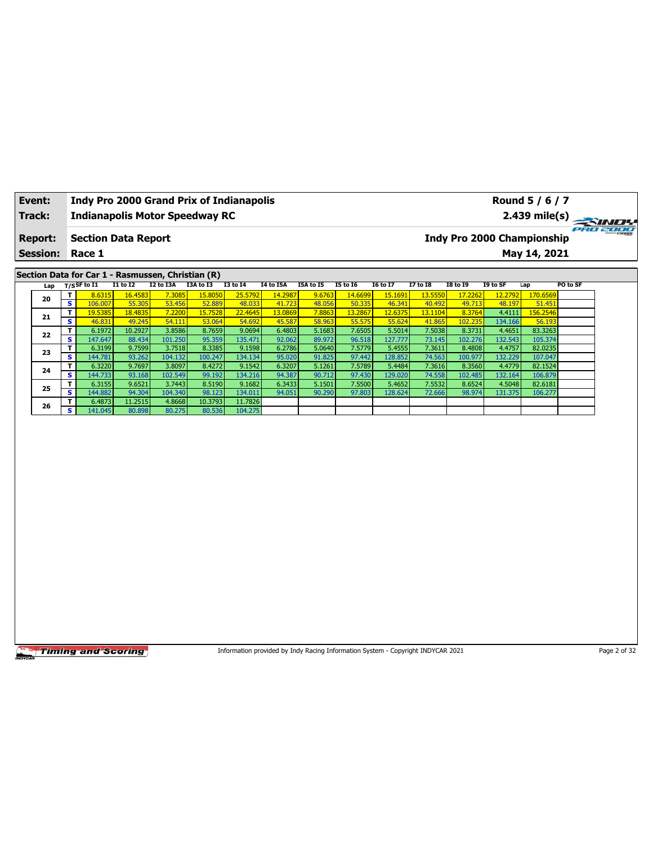| Event:<br>Track: |                              | <b>Indy Pro 2000 Grand Prix of Indianapolis</b><br><b>Indianapolis Motor Speedway RC</b> |                   |                   |                   |                   |                   |                                                                                 |                   |                   |                   |                   |                   | Round 5 / 6 / 7<br>$2.439$ mile(s) |              |
|------------------|------------------------------|------------------------------------------------------------------------------------------|-------------------|-------------------|-------------------|-------------------|-------------------|---------------------------------------------------------------------------------|-------------------|-------------------|-------------------|-------------------|-------------------|------------------------------------|--------------|
| <b>Report:</b>   |                              | <b>Section Data Report</b>                                                               |                   |                   |                   |                   |                   |                                                                                 |                   |                   |                   |                   |                   | <b>Indy Pro 2000 Championship</b>  | PRO 2000     |
| <b>Session:</b>  |                              | Race 1                                                                                   |                   |                   |                   |                   |                   |                                                                                 |                   |                   |                   |                   |                   | May 14, 2021                       |              |
|                  |                              | Section Data for Car 1 - Rasmussen, Christian (R)                                        |                   |                   |                   |                   |                   |                                                                                 |                   |                   |                   |                   |                   |                                    |              |
| Lap              |                              | $T/S$ SF to $I1$                                                                         | $I1$ to $I2$      | I2 to I3A         | I3A to I3         | $I3$ to $I4$      | <b>I4 to I5A</b>  | I5A to I5                                                                       | <b>I5 to 16</b>   | <b>I6 to I7</b>   | <b>I7 to 18</b>   | <b>I8 to 19</b>   | I9 to SF          | Lap                                | PO to SF     |
| 20               | T                            | 8.6315                                                                                   | 16,4583           | 7.308             | 15.8050           | 25.5792           | 14.2987           | 9.6763                                                                          | 14.6699           | 15.1691           | 13.5550           | 17.2262           | 12.2792           | 170.6569                           |              |
|                  | $\overline{\mathbf{s}}$<br>T | 106.007<br>19.5385                                                                       | 55.305<br>18.4835 | 53.456<br>7.2200  | 52.889<br>15.7528 | 48.033<br>22.4645 | 41.723<br>13.0869 | 48.056<br>7.8863                                                                | 50.335<br>13.2867 | 46.341<br>12.6375 | 40.492<br>13.1104 | 49.713<br>8.3764  | 48.197<br>4.4111  | 51.451<br>156.2546                 |              |
| 21               | S                            | 46.831                                                                                   | 49.245            | 54.111            | 53.064            | 54.692            | 45.587            | 58.963                                                                          | 55.575            | 55.624            | 41.865            | 102.235           | 134.166           | 56.193                             |              |
|                  | T.                           | 6.1972                                                                                   | 10.2927           | 3.8586            | 8.7659            | 9.0694            | 6.4803            | 5.1683                                                                          | 7.6505            | 5.5014            | 7.5038            | 8.3731            | 4.4651            | 83.3263                            |              |
| 22               | $\overline{\mathbf{s}}$      | 147.647                                                                                  | 88.434            | 101.250           | 95.359            | 135.471           | 92.062            | 89.972                                                                          | 96.518            | 127.777           | 73.145            | 102.276           | 132.543           | 105.374                            |              |
| 23               | T                            | 6.3199                                                                                   | 9.7599            | 3.7518            | 8.3385            | 9.1598            | 6.2786            | 5.0640                                                                          | 7.5779            | 5.4555            | 7.3611            | 8.4808            | 4.4757            | 82.0235                            |              |
|                  | $\overline{\mathbf{s}}$      | 144.781                                                                                  | 93.262            | 104.132           | 100.247           | 134.134           | 95.020            | 91.825                                                                          | 97.442            | 128.852           | 74.563            | 100.977           | 132.229           | 107.047                            |              |
| 24               | T                            | 6.3220                                                                                   | 9.7697            | 3.8097            | 8.4272            | 9.1542            | 6.3207            | 5.1261                                                                          | 7.5789            | 5.4484            | 7.3616            | 8.3560            | 4.4779            | 82.1524                            |              |
|                  | $\overline{\mathbf{s}}$<br>T | 144.733<br>6.3155                                                                        | 93.168<br>9.6521  | 102.549<br>3.7443 | 99.192<br>8.5190  | 134.216<br>9.1682 | 94.387<br>6.3433  | 90.712<br>5.1501                                                                | 97.430<br>7.5500  | 129.020<br>5.4652 | 74.558<br>7.5532  | 102.485<br>8.6524 | 132.164<br>4.5048 | 106.879<br>82.6181                 |              |
| 25               | S                            | 144.882                                                                                  | 94.304            | 104.340           | 98.123            | 134.011           | 94.051            | 90.290                                                                          | 97.803            | 128.624           | 72.666            | 98.974            | 131.375           | 106.277                            |              |
|                  | T                            | 6.4873                                                                                   | 11.2515           | 4.8668            | 10.3793           | 11.7826           |                   |                                                                                 |                   |                   |                   |                   |                   |                                    |              |
| 26               | $\overline{\mathbf{s}}$      | 141.045                                                                                  | 80.898            | 80.275            | 80.536            | 104.275           |                   |                                                                                 |                   |                   |                   |                   |                   |                                    |              |
|                  |                              |                                                                                          |                   |                   |                   |                   |                   |                                                                                 |                   |                   |                   |                   |                   |                                    |              |
|                  |                              | <b>Timing and Scoring</b>                                                                |                   |                   |                   |                   |                   | Information provided by Indy Racing Information System - Copyright INDYCAR 2021 |                   |                   |                   |                   |                   |                                    | Page 2 of 32 |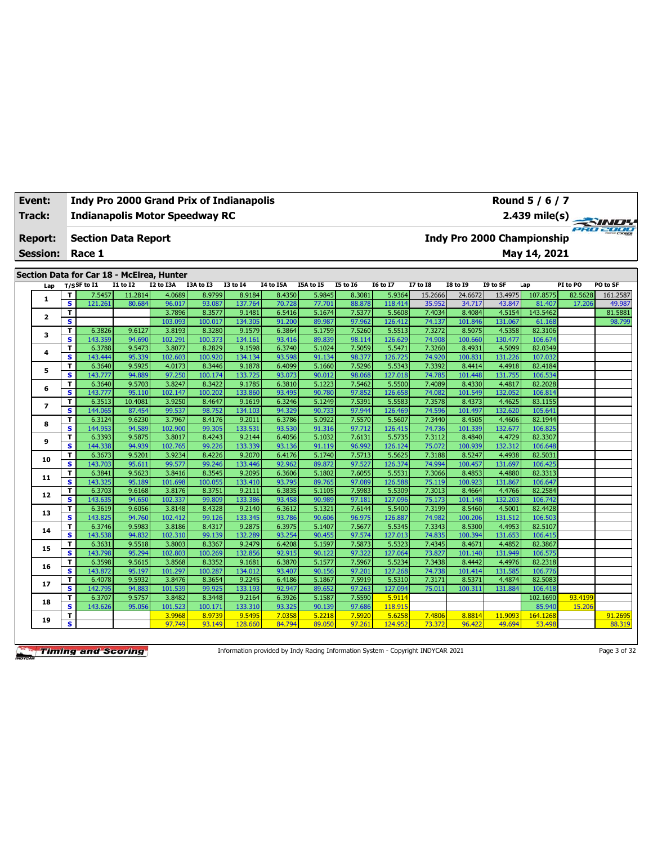| Track:          |        | <b>Indianapolis Motor Speedway RC</b>                    |                   |                   |                  |                   |                  |                  |                  |                   |                   |                   |                   | $2.439$ mile(s)                   |                   | <b>SINDY</b><br>70 2000 |
|-----------------|--------|----------------------------------------------------------|-------------------|-------------------|------------------|-------------------|------------------|------------------|------------------|-------------------|-------------------|-------------------|-------------------|-----------------------------------|-------------------|-------------------------|
| <b>Report:</b>  |        | <b>Section Data Report</b>                               |                   |                   |                  |                   |                  |                  |                  |                   |                   |                   |                   | <b>Indy Pro 2000 Championship</b> |                   |                         |
| <b>Session:</b> |        | Race 1                                                   |                   |                   |                  |                   |                  |                  |                  |                   |                   |                   |                   | May 14, 2021                      |                   |                         |
|                 |        |                                                          |                   |                   |                  |                   |                  |                  |                  |                   |                   |                   |                   |                                   |                   |                         |
|                 |        | Section Data for Car 18 - McElrea, Hunter<br>T/SSF to I1 | $I1$ to $I2$      | I2 to I3A         | I3A to I3        | <b>I3 to 14</b>   | I4 to I5A        | <b>I5A to I5</b> | <b>I5 to 16</b>  | <b>16 to 17</b>   | <b>I7 to I8</b>   | <b>18 to 19</b>   | I9 to SF          | Lap                               | PI to PO          | PO to SF                |
| Lap             |        |                                                          |                   |                   |                  |                   | 8.4350           |                  |                  |                   |                   |                   |                   | 107.8575                          |                   |                         |
| 1               | т<br>s | 7.5457<br>121.261                                        | 11.2814<br>80.684 | 4.0689<br>96.017  | 8.9799<br>93.087 | 8.9184<br>137.764 | 70.728           | 5.9845<br>77.701 | 8.3081<br>88.878 | 5.9364<br>118,414 | 15.2666<br>35.952 | 24.6672<br>34.717 | 13.4975<br>43.847 | 81.407                            | 82.5628<br>17.206 | 161.2587<br>49.987      |
|                 | т      |                                                          |                   | 3.7896            | 8.3577           | 9.1481            | 6.5416           | 5.1674           | 7.5377           | 5.5608            | 7.4034            | 8.4084            | 4.5154            | 143.5462                          |                   | 81.5881                 |
| $\mathbf{z}$    | s      |                                                          |                   | 103.093           | 100.017          | 134.305           | 91.200           | 89.987           | 97.962           | 126.412           | 74.137            | 101.846           | 131.067           | 61.168                            |                   | 98.799                  |
|                 | т      | 6.3826                                                   | 9.6127            | 3.8193            | 8.3280           | 9.1579            | 6.3864           | 5.1759           | 7.5260           | 5.5513            | 7.3272            | 8.5075            | 4.5358            | 82.3106                           |                   |                         |
| з               | s      | 143.359                                                  | 94.690            | 102.291           | 100.373          | 134.161           | 93.416           | 89.839           | 98.114           | 126.629           | 74.908            | 100.660           | 130.477           | 106.674                           |                   |                         |
|                 | T      | 6.3788                                                   | 9.5473            | 3.8077            | 8.2829           | 9.1598            | 6.3740           | 5.1024           | 7.5059           | 5.5471            | 7.3260            | 8.4931            | 4.5099            | 82.0349                           |                   |                         |
| 4               | s      | 143.444                                                  | 95.339            | 102.603           | 100.920          | 134.134           | 93.598           | 91.134           | 98.377           | 126.725           | 74.920            | 100.831           | 131.226           | 107.032                           |                   |                         |
|                 | т      | 6.3640                                                   | 9.5925            | 4.0173            | 8.3446           | 9.1878            | 6.4099           | 5.1660           | 7.5296           | 5.5343            | 7.3392            | 8.4414            | 4.4918            | 82.4184                           |                   |                         |
| 5               | s      | 143.777                                                  | 94.889            | 97.250            | 100.174          | 133.725           | 93.073           | 90.012           | 98.068           | 127.018           | 74.785            | 101.448           | 131.755           | 106.534                           |                   |                         |
|                 | т      | 6.3640                                                   | 9.5703            | 3.8247            | 8.3422           | 9.1785            | 6.3810           | 5.1223           | 7.5462           | 5.5500            | 7.4089            | 8.4330            | 4.4817            | 82.2028                           |                   |                         |
| 6               | s      | 143.777                                                  | 95.110            | 102.147           | 100.202          | 133.860           | 93.495           | 90.780           | 97.852           | 126.658           | 74.082            | 101.549           | 132.052           | 106.814                           |                   |                         |
|                 | т      | 6.3513                                                   | 10.4081           | 3.9250            | 8.4647           | 9.1619            | 6.3246           | 5.1249           | 7.5391           | 5.5583            | 7.3578            | 8.4373            | 4.4625            | 83.1155                           |                   |                         |
| $\overline{ }$  | s      | 144.065                                                  | 87.454            | 99.537            | 98.752           | 134.103           | 94.329           | 90.733           | 97.944           | 126.469           | 74.596            | 101.497           | 132.620           | 105.641                           |                   |                         |
|                 | T      | 6.3124                                                   | 9.6230            | 3.7967            | 8.4176           | 9.2011            | 6.3786           | 5.0922           | 7.5570           | 5.5607            | 7.3440            | 8.4505            | 4.4606            | 82.1944                           |                   |                         |
| 8               | s      | 144.953                                                  | 94.589            | 102.900           | 99.305           | 133.531           | 93.530           | 91.316           | 97.712           | 126.415           | 74.736            | 101.339           | 132.677           | 106.825                           |                   |                         |
|                 | т      | 6.3393                                                   | 9.5875            | 3.8017            | 8.4243           | 9.2144            | 6.4056           | 5.1032           | 7.6131           | 5.5735            | 7.3112            | 8.4840            | 4.4729            | 82.3307                           |                   |                         |
| 9               | s      | 144.338                                                  | 94.939            | 102.765           | 99.226           | 133.339           | 93.136           | 91.119           | 96.992           | 126.124           | 75.072            | 100.939           | 132.312           | 106.648                           |                   |                         |
| 10              | т      | 6.3673                                                   | 9.5201            | 3.9234            | 8.4226           | 9.2070            | 6.4176           | 5.1740           | 7.5713           | 5.5625            | 7.3188            | 8.5247            | 4.4938            | 82.5031                           |                   |                         |
|                 | s      | 143.703                                                  | 95.611            | 99.577            | 99.246           | 133.446           | 92.962           | 89.872           | 97.527           | 126.374           | 74.994            | 100.457           | 131.697           | 106.425                           |                   |                         |
| 11              | т      | 6.3841                                                   | 9.5623            | 3.8416            | 8.3545           | 9.2095            | 6.3606           | 5.1802           | 7.6055           | 5.5531            | 7.3066            | 8.4853            | 4.4880            | 82.3313                           |                   |                         |
|                 | s      | 143.325                                                  | 95.189            | 101.698           | 100.055          | 133.410           | 93.795           | 89.765           | 97.089           | 126.588           | 75.119            | 100.923           | 131.867           | 106.647                           |                   |                         |
| 12              | T      | 6.3703                                                   | 9.6168            | 3.8176            | 8.3751           | 9.2111            | 6.3835           | 5.1105           | 7.5983           | 5.5309            | 7.3013            | 8.4664            | 4.4766            | 82.2584                           |                   |                         |
|                 | s      | 143.635                                                  | 94.650            | 102.337           | 99.809           | 133.386           | 93.458           | 90.989           | 97.181           | 127.096           | 75.173            | 101.148           | 132.203           | 106.742                           |                   |                         |
| 13              | T      | 6.3619                                                   | 9.6056            | 3.8148            | 8.4328           | 9.2140            | 6.3612           | 5.1321           | 7.6144           | 5.5400            | 7.3199            | 8.5460            | 4.5001            | 82.4428                           |                   |                         |
|                 | s      | 143.825                                                  | 94.760            | 102.412           | 99.126           | 133.345           | 93.786           | 90.606           | 96.975           | 126.887           | 74.982            | 100.206           | 131.512           | 106.503                           |                   |                         |
| 14              | т      | 6.3746                                                   | 9.5983            | 3.8186            | 8.4317           | 9.2875            | 6.3975           | 5.1407           | 7.5677           | 5.5345            | 7.3343            | 8.5300            | 4.4953            | 82.5107                           |                   |                         |
|                 | s      | 143.538                                                  | 94.832            | 102.310           | 99.139           | 132.289           | 93.254           | 90.455           | 97.574           | 127.013           | 74.835            | 100.394           | 131.653           | 106.415                           |                   |                         |
| 15              | T      | 6.3631                                                   | 9.5518            | 3.8003            | 8.3367           | 9.2479            | 6.4208           | 5.1597           | 7.5873           | 5.5323            | 7.4345            | 8.4671            | 4.4852            | 82.3867                           |                   |                         |
|                 | s      | 143.798                                                  | 95.294            | 102.803           | 100.269          | 132.856           | 92.915           | 90.122           | 97.322           | 127.064           | 73.827            | 101.140           | 131.949           | 106.575                           |                   |                         |
| 16              | T      | 6.3598                                                   | 9.5615            | 3.8568            | 8.3352           | 9.1681            | 6.3870           | 5.1577           | 7.5967           | 5.5234            | 7.3438            | 8.4442            | 4.4976            | 82.2318                           |                   |                         |
|                 | s      | 143.872                                                  | 95.197            | 101.297           | 100.287          | 134.012           | 93.407           | 90.156           | 97.201           | 127.268           | 74.738            | 101.414           | 131.585           | 106.776                           |                   |                         |
| 17              | т<br>s | 6.4078                                                   | 9.5932            | 3.8476            | 8.3654<br>99.925 | 9.2245            | 6.4186           | 5.1867<br>89.652 | 7.5919<br>97.263 | 5.5310<br>127.094 | 7.3171            | 8.5371            | 4.4874            | 82.5083                           |                   |                         |
|                 |        | 142.795                                                  | 94.883<br>9.5757  | 101.539<br>3.8482 | 8.3448           | 133.193           | 92.947<br>6.3926 | 5.1587           | 7.5590           | 5.9114            | 75.011            | 100.311           | 131.884           | 106.418<br>102.1690               |                   |                         |
| 18              | т<br>s | 6.3707<br>143.626                                        | 95.056            | 101.523           | 100.171          | 9.2164<br>133.310 | 93.325           | 90.139           | 97.686           | 118.915           |                   |                   |                   | 85.940                            | 93.4199<br>15.206 |                         |
|                 |        |                                                          |                   |                   |                  |                   |                  |                  |                  |                   |                   |                   |                   |                                   |                   |                         |

**Event: Indy Pro 2000 Grand Prix of Indianapolis**

Information provided by Indy Racing Information System - Copyright INDYCAR 2021 Page 3 of 32

**<sup>19</sup> <sup>T</sup>** 3.9968 8.9739 9.5495 7.0358 5.2218 7.5920 5.6258 7.4806 8.8814 11.9093 164.1268 91.2695 **S** 97.749 93.149 128.660 84.794 89.050 97.261 124.952 73.372 96.422 49.694 53.498 88.319

**Round 5 / 6 / 7**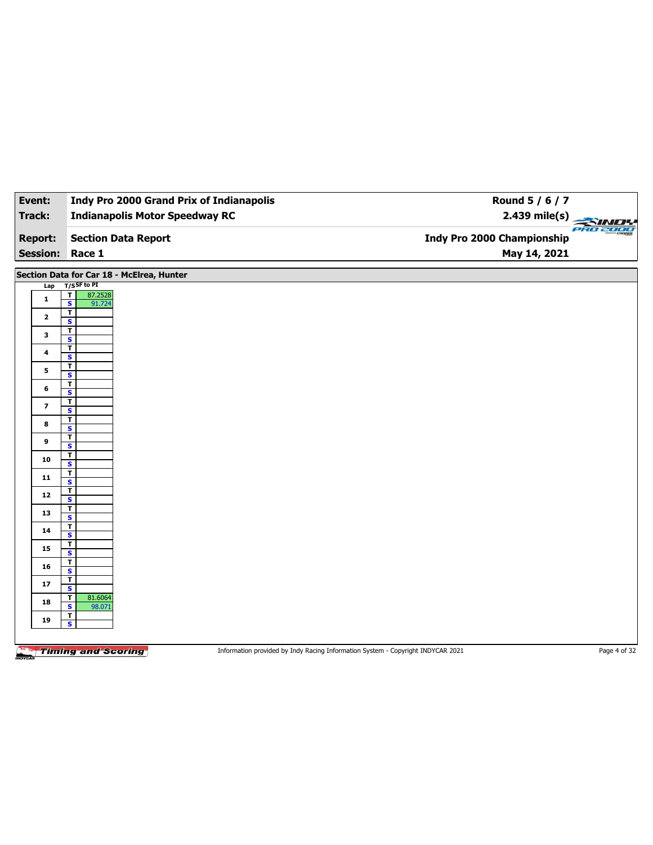| Event:          | <b>Indy Pro 2000 Grand Prix of Indianapolis</b> | Round 5 / 6 / 7                        |
|-----------------|-------------------------------------------------|----------------------------------------|
| Track:          | <b>Indianapolis Motor Speedway RC</b>           | 2.439 mile(s)                          |
| <b>Report:</b>  | <b>Section Data Report</b>                      | PRO 2000<br>Indy Pro 2000 Championship |
| <b>Session:</b> | Race 1                                          | May 14, 2021                           |

**Section Data for Car 18 - McElrea, Hunter**

| Lap                     | $T/S$ SF to PI                                     |                                                                                 |              |
|-------------------------|----------------------------------------------------|---------------------------------------------------------------------------------|--------------|
|                         | 87.2528                                            |                                                                                 |              |
| $\mathbf 1$             | $\frac{1}{s}$<br>91.724                            |                                                                                 |              |
| $\mathbf{2}$            | $\overline{\mathbf{r}}$                            |                                                                                 |              |
|                         | $\mathbf{s}$                                       |                                                                                 |              |
| $\mathbf{3}$            | $\overline{1}$                                     |                                                                                 |              |
|                         | $\overline{\mathbf{s}}$                            |                                                                                 |              |
| 4                       | $\overline{\mathbf{r}}$                            |                                                                                 |              |
|                         | $\mathbf{s}$                                       |                                                                                 |              |
| 5                       | $\overline{\mathbf{r}}$                            |                                                                                 |              |
|                         | $\overline{\mathbf{s}}$<br>$\overline{1}$          |                                                                                 |              |
| 6                       | $\mathbf{s}$                                       |                                                                                 |              |
|                         | $\overline{\mathbf{r}}$                            |                                                                                 |              |
| $\overline{\mathbf{z}}$ | $\overline{\mathbf{s}}$                            |                                                                                 |              |
|                         | $\overline{\mathbf{r}}$                            |                                                                                 |              |
| $\bf8$                  | $\mathbf{s}$                                       |                                                                                 |              |
| 9                       | $\overline{I}$                                     |                                                                                 |              |
|                         | $\overline{\mathbf{s}}$                            |                                                                                 |              |
| ${\bf 10}$              | $\frac{1}{s}$                                      |                                                                                 |              |
|                         |                                                    |                                                                                 |              |
| 11                      | $rac{1}{s}$                                        |                                                                                 |              |
|                         | $\overline{\mathbf{r}}$                            |                                                                                 |              |
| 12                      | $\mathsf{s}$                                       |                                                                                 |              |
|                         | $\overline{\mathbf{r}}$                            |                                                                                 |              |
| 13                      | $\overline{\mathbf{s}}$                            |                                                                                 |              |
| 14                      | $\overline{1}$                                     |                                                                                 |              |
|                         | $\overline{\mathbf{s}}$                            |                                                                                 |              |
| 15                      | $rac{1}{s}$                                        |                                                                                 |              |
|                         |                                                    |                                                                                 |              |
| 16                      | $\overline{\mathbf{r}}$<br>$\overline{\mathbf{s}}$ |                                                                                 |              |
|                         | $\overline{I}$                                     |                                                                                 |              |
| 17                      | $\overline{\mathbf{s}}$                            |                                                                                 |              |
|                         | 81.6064<br>$\mathbf{I}$                            |                                                                                 |              |
| 18                      | $\overline{\mathbf{s}}$<br>98.071                  |                                                                                 |              |
| 19                      | $\frac{1}{s}$                                      |                                                                                 |              |
|                         |                                                    |                                                                                 |              |
|                         |                                                    |                                                                                 |              |
|                         |                                                    |                                                                                 |              |
|                         | <b>Timing and Scoring</b>                          | Information provided by Indy Racing Information System - Copyright INDYCAR 2021 | Page 4 of 32 |

**Timing and Scoring**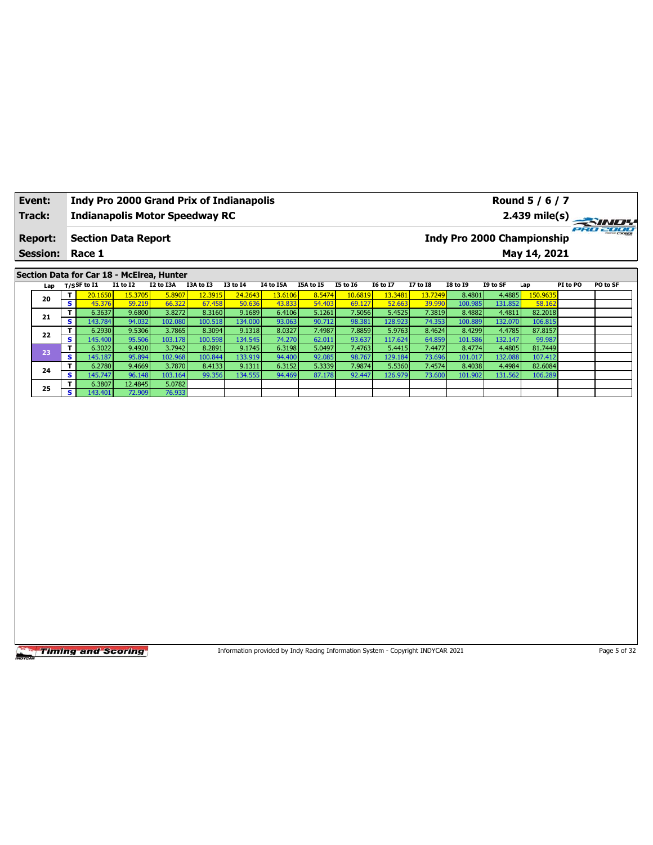| Event:          |    |                                   |                 | <b>Indy Pro 2000 Grand Prix of Indianapolis</b> |           |                 |                  |           |                 |                 |          |                 |                            | Round 5 / 6 / 7 |          |                         |
|-----------------|----|-----------------------------------|-----------------|-------------------------------------------------|-----------|-----------------|------------------|-----------|-----------------|-----------------|----------|-----------------|----------------------------|-----------------|----------|-------------------------|
| Track:          |    |                                   |                 | <b>Indianapolis Motor Speedway RC</b>           |           |                 |                  |           |                 |                 |          |                 |                            |                 |          | $2.439 \text{ mile(s)}$ |
| <b>Report:</b>  |    | <b>Section Data Report</b>        |                 |                                                 |           |                 |                  |           |                 |                 |          |                 | Indy Pro 2000 Championship |                 |          | PRO 2000                |
| <b>Session:</b> |    | Race 1                            |                 |                                                 |           |                 |                  |           |                 |                 |          |                 |                            | May 14, 2021    |          |                         |
|                 |    |                                   |                 |                                                 |           |                 |                  |           |                 |                 |          |                 |                            |                 |          |                         |
|                 |    |                                   |                 | Section Data for Car 18 - McElrea, Hunter       |           |                 |                  |           |                 |                 |          |                 |                            |                 |          |                         |
| Lap             |    | T/SSF to $\overline{\textbf{11}}$ | <b>I1 to I2</b> | I2 to I3A                                       | I3A to I3 | <b>I3 to 14</b> | <b>I4 to I5A</b> | I5A to I5 | <b>I5 to I6</b> | <b>I6 to I7</b> | 17 to 18 | <b>I8 to 19</b> | I9 to SF                   | Lap             | PI to PO | PO to SF                |
|                 | т  | 20.1650                           | 15.3705         | 5.8907                                          | 12.3915   | 24.2643         | 13.6106          | 8.5474    | 10.6819         | 13.3481         | 13.7249  | 8.4801          | 4.4885                     | 150.9635        |          |                         |
| 20              | s. | 45.376                            | 59.219          | 66.322                                          | 67.458    | 50.636          | 43.833           | 54,403    | 69.127          | 52.663          | 39.990   | 100.985         | 131.852                    | 58.162          |          |                         |
| 21              |    | 6.3637                            | 9.6800          | 3.8272                                          | 8.3160    | 9.1689          | 6.4106           | 5.1261    | 7.5056          | 5.4525          | 7.3819   | 8.4882          | 4.4811                     | 82.2018         |          |                         |
|                 | s. | 143.784                           | 94.032          | 102.080                                         | 100.518   | 134.000         | 93.063           | 90.712    | 98.381          | 128.923         | 74.353   | 100.889         | 132.070                    | 106.815         |          |                         |
| 22              |    | 6.2930                            | 9.5306          | 3.7865                                          | 8.3094    | 9.1318          | 8.0327           | 7.4987    | 7.8859          | 5.9763          | 8.4624   | 8.4299          | 4.4785                     | 87.8157         |          |                         |
|                 | s  | 145.400                           | 95.506          | 103.178                                         | 100.598   | 134.545         | 74.270           | 62.011    | 93.637          | 117.624         | 64.859   | 101.586         | 132.147                    | 99.987          |          |                         |

**<sup>23</sup> <sup>T</sup>** 6.3022 9.4920 3.7942 8.2891 9.1745 6.3198 5.0497 7.4763 5.4415 7.4477 8.4774 4.4805 81.7449 **S** 145.187 95.894 102.968 100.844 133.919 94.400 92.085 98.767 129.184 73.696 101.017 132.088 107.412 **<sup>24</sup> <sup>T</sup>** 6.2780 9.4669 3.7870 8.4133 9.1311 6.3152 5.3339 7.9874 5.5360 7.4574 8.4038 4.4984 82.6084 **S** 145.747 96.148 103.164 99.356 134.555 94.469 87.178 92.447 126.979 73.600 101.902 131.562 106.289

**Timing and Scoring** 

**25 T** 6.3807 12.4845 5.0782 6.3807<br>143.401

Information provided by Indy Racing Information System - Copyright INDYCAR 2021 Page 5 of 32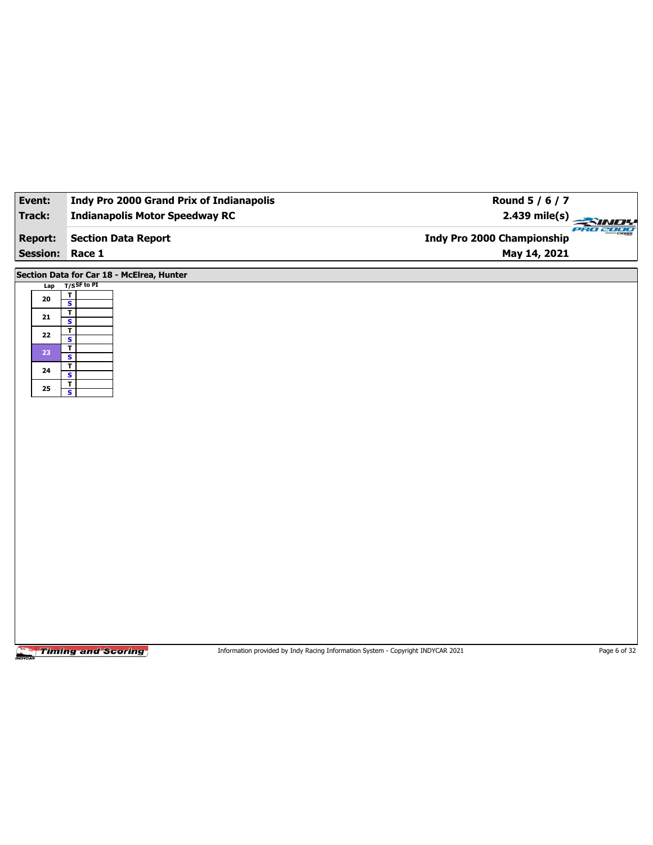| Event:          | <b>Indy Pro 2000 Grand Prix of Indianapolis</b>    | Round 5 / 6 / 7            |
|-----------------|----------------------------------------------------|----------------------------|
| Track:          | <b>Indianapolis Motor Speedway RC</b>              | 2.439 mile(s)              |
|                 |                                                    | PRO 2000                   |
| <b>Report:</b>  | <b>Section Data Report</b>                         | Indy Pro 2000 Championship |
| <b>Session:</b> | Race 1                                             | May 14, 2021               |
|                 | Section Data for Car 18 - McElrea, Hunter          |                            |
| Lap             | $T/S$ SF to PI                                     |                            |
| ${\bf 20}$      | $\overline{\mathbf{r}}$<br>$\overline{\mathbf{s}}$ |                            |
| 21              | T<br>S                                             |                            |
|                 | $\mathbf{r}$                                       |                            |
| 22              | $\overline{\mathbf{s}}$<br>I                       |                            |
| 23              | $\overline{\mathbf{s}}$                            |                            |
| 24              | $\overline{\mathbf{r}}$<br>$\overline{\mathbf{s}}$ |                            |
| 25              | $rac{1}{s}$                                        |                            |
|                 |                                                    |                            |
|                 |                                                    |                            |
|                 |                                                    |                            |
|                 |                                                    |                            |
|                 |                                                    |                            |
|                 |                                                    |                            |
|                 |                                                    |                            |
|                 |                                                    |                            |
|                 |                                                    |                            |
|                 |                                                    |                            |
|                 |                                                    |                            |
|                 |                                                    |                            |
|                 |                                                    |                            |
|                 |                                                    |                            |
|                 |                                                    |                            |
|                 |                                                    |                            |
|                 |                                                    |                            |
|                 |                                                    |                            |

Information provided by Indy Racing Information System - Copyright INDYCAR 2021 Page 6 of 32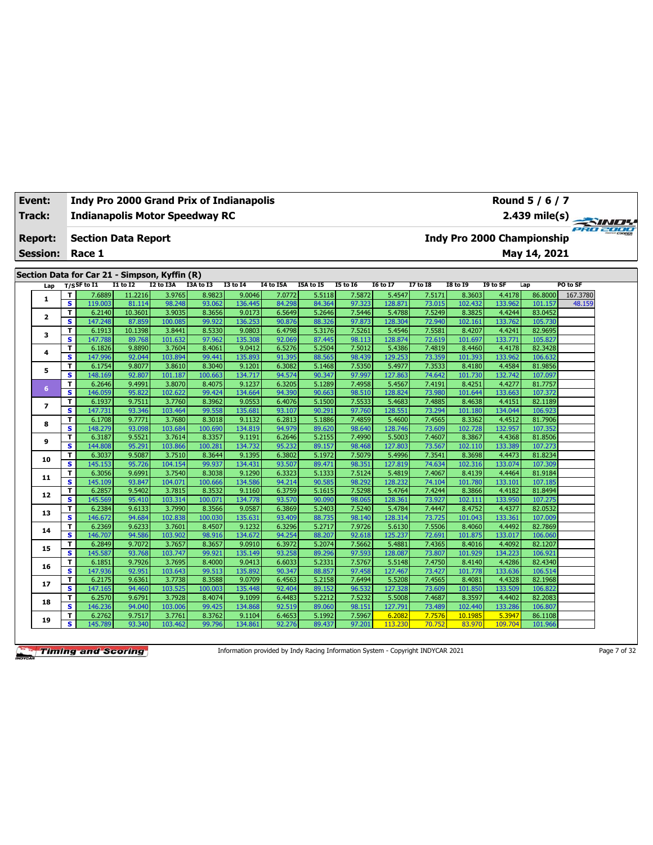| <b>Event:</b>   |                              | <b>Indy Pro 2000 Grand Prix of Indianapolis</b>                 |                  |                   |                   |                   |                  |                  |                  |                   |                  |                   |                   | Round 5 / 6 / 7                   |                 |
|-----------------|------------------------------|-----------------------------------------------------------------|------------------|-------------------|-------------------|-------------------|------------------|------------------|------------------|-------------------|------------------|-------------------|-------------------|-----------------------------------|-----------------|
| Track:          |                              | <b>Indianapolis Motor Speedway RC</b>                           |                  |                   |                   |                   |                  |                  |                  |                   |                  |                   |                   | 2.439 mile(s)                     | <b>PRO 2000</b> |
| <b>Report:</b>  |                              | <b>Section Data Report</b>                                      |                  |                   |                   |                   |                  |                  |                  |                   |                  |                   |                   | <b>Indy Pro 2000 Championship</b> |                 |
| <b>Session:</b> |                              | Race 1                                                          |                  |                   |                   |                   |                  |                  |                  |                   |                  |                   |                   | May 14, 2021                      |                 |
|                 |                              |                                                                 |                  |                   |                   |                   |                  |                  |                  |                   |                  |                   |                   |                                   |                 |
|                 |                              | Section Data for Car 21 - Simpson, Kyffin (R)<br>$T/S$ SF to I1 | <b>I1 to I2</b>  | I2 to I3A         | I3A to I3         | <b>I3 to I4</b>   | I4 to I5A        | I5A to I5        | <b>I5 to 16</b>  | <b>I6 to I7</b>   | <b>I7 to I8</b>  | <b>I8 to 19</b>   | I9 to SF          | Lap                               | PO to SF        |
| Lap             | т                            | 7.6889                                                          | 11.2216          | 3.9765            | 8.9823            | 9.0046            |                  | 5.5118           | 7.5872           | 5.4547            | 7.5171           | 8.3603            | 4.4178            | 86.8000                           | 167.3780        |
| 1               | $\overline{\mathbf{s}}$      | 119.003                                                         | 81.114           | 98.248            | 93.062            | 136.445           | 7.0772<br>84.298 | 84.364           | 97.323           | 128.871           | 73.015           | 102.432           | 133.962           | 101.157                           | 48.159          |
|                 | T                            | 6.2140                                                          | 10.3601          | 3.9035            | 8.3656            | 9.0173            | 6.5649           | 5.2646           | 7.5446           | 5.4788            | 7.5249           | 8.3825            | 4.4244            | 83.0452                           |                 |
| 2               | s                            | 147.248                                                         | 87.859           | 100.085           | 99.922            | 136.253           | 90.876           | 88.326           | 97.873           | 128.304           | 72.940           | 102.161           | 133.762           | 105.730                           |                 |
|                 | т                            | 6.1913                                                          | 10.1398          | 3.8441            | 8.5330            | 9.0803            | 6.4798           | 5.3176           | 7.5261           | 5.4546            | 7.5581           | 8.4207            | 4.4241            | 82.9695                           |                 |
| з               | s                            | 147.788                                                         | 89.768           | 101.632           | 97.962            | 135.308           | 92.069           | 87.445           | 98.113           | 128.874           | 72.619           | 101.697           | 133.771           | 105.827                           |                 |
| 4               | T                            | 6.1826                                                          | 9.8890           | 3.7604            | 8.4061            | 9.0412            | 6.5276           | 5.2504           | 7.5012           | 5.4386            | 7.4819           | 8.4460            | 4.4178            | 82.3428                           |                 |
|                 | $\overline{\mathbf{s}}$      | 147.996                                                         | 92.044           | 103.894           | 99.441            | 135.893           | 91.395           | 88.565           | 98.439           | 129.253           | 73.359           | 101.393           | 133.962           | 106.632                           |                 |
| 5               | T                            | 6.1754                                                          | 9.8077           | 3.8610            | 8.3040            | 9.1201            | 6.3082           | 5.1468           | 7.5350           | 5.4977            | 7.3533           | 8.4180            | 4.4584            | 81.9856                           |                 |
|                 | s                            | 148.169                                                         | 92.807           | 101.187           | 100.663           | 134.717           | 94.574           | 90.347           | 97.997           | 127.863           | 74.642           | 101.730           | 132.742           | 107.097                           |                 |
| 6               | T                            | 6.2646                                                          | 9.4991           | 3.8070            | 8.4075            | 9.1237            | 6.3205           | 5.1289           | 7.4958           | 5.4567            | 7.4191           | 8.4251            | 4.4277            | 81.7757                           |                 |
|                 | s                            | 146.059                                                         | 95.822           | 102.622           | 99.424            | 134.664           | 94.390           | 90.663           | 98.510           | 128.824           | 73.980           | 101.644           | 133.663           | 107.372                           |                 |
| $\overline{ }$  | T                            | 6.1937                                                          | 9.7511           | 3.7760            | 8.3962            | 9.0553            | 6.4076           | 5.1500           | 7.5533           | 5.4683            | 7.4885           | 8.4638            | 4.4151            | 82.1189                           |                 |
|                 | s                            | 147.731                                                         | 93.346           | 103.464           | 99.558            | 135.681           | 93.107           | 90.291           | 97.760           | 128.551           | 73.294           | 101.180           | 134.044           | 106.923                           |                 |
| 8               | т                            | 6.1708                                                          | 9.7771           | 3.7680            | 8.3018            | 9.1132            | 6.2813           | 5.1886           | 7.4859           | 5.4600            | 7.4565           | 8.3362            | 4.4512            | 81.7906                           |                 |
|                 | s                            | 148.279                                                         | 93.098           | 103.684           | 100.690           | 134.819           | 94.979           | 89.620           | 98.640           | 128.746           | 73.609           | 102.728           | 132.957           | 107.352                           |                 |
| 9               | т                            | 6.3187                                                          | 9.5521           | 3.7614            | 8.3357            | 9.1191            | 6.2646           | 5.2155           | 7.4990           | 5.5003            | 7.4607           | 8.3867            | 4.4368            | 81.8506                           |                 |
|                 | $\overline{\mathbf{s}}$      | 144.808                                                         | 95.291           | 103.866           | 100.281           | 134.732           | 95.232           | 89.157           | 98.468           | 127.803           | 73.567           | 102.110           | 133.389           | 107.273                           |                 |
| 10              | T                            | 6.3037                                                          | 9.5087           | 3.7510            | 8.3644            | 9.1395            | 6.3802           | 5.1972           | 7.5079           | 5.4996            | 7.3541           | 8.3698            | 4.4473            | 81.8234                           |                 |
|                 | s                            | 145.153                                                         | 95.726           | 104.154           | 99.937            | 134.431           | 93.507           | 89.471           | 98.351           | 127.819           | 74.634           | 102.316           | 133.074           | 107.309                           |                 |
| 11              | т<br>$\overline{\mathbf{s}}$ | 6.3056                                                          | 9.6991           | 3.7540            | 8.3038            | 9.1290            | 6.3323           | 5.1333           | 7.5124<br>98.292 | 5.4819            | 7.4067           | 8.4139            | 4.4464            | 81.9184                           |                 |
|                 | т                            | 145.109<br>6.2857                                               | 93.847<br>9.5402 | 104.071<br>3.7815 | 100.666<br>8.3532 | 134.586<br>9.1160 | 94.214<br>6.3759 | 90.585<br>5.1615 | 7.5298           | 128.232<br>5.4764 | 74.104<br>7.4244 | 101.780<br>8.3866 | 133.101<br>4.4182 | 107.185<br>81.8494                |                 |
| 12              | s                            | 145.569                                                         | 95.410           | 103.314           | 100.071           | 134.778           | 93.570           | 90.090           | 98.065           | 128.361           | 73.927           | 102.111           | 133.950           | 107.275                           |                 |
|                 | т                            | 6.2384                                                          | 9.6133           | 3.7990            | 8.3566            | 9.0587            | 6.3869           | 5.2403           | 7.5240           | 5.4784            | 7.4447           | 8.4752            | 4.4377            | 82.0532                           |                 |
| 13              | s                            | 146.672                                                         | 94.684           | 102.838           | 100.030           | 135.631           | 93.409           | 88.735           | 98.140           | 128.314           | 73.725           | 101.043           | 133.361           | 107.009                           |                 |
|                 | т                            | 6.2369                                                          | 9.6233           | 3.7601            | 8.4507            | 9.1232            | 6.3296           | 5.2717           | 7.9726           | 5.6130            | 7.5506           | 8.4060            | 4.4492            | 82.7869                           |                 |
| 14              | $\overline{\mathbf{s}}$      | 146.707                                                         | 94.586           | 103.902           | 98.916            | 134.672           | 94.254           | 88.207           | 92.618           | 125.237           | 72.691           | 101.875           | 133.017           | 106.060                           |                 |
|                 | T                            | 6.2849                                                          | 9.7072           | 3.7657            | 8.3657            | 9.0910            | 6.3972           | 5.2074           | 7.5662           | 5.4881            | 7.4365           | 8.4016            | 4.4092            | 82.1207                           |                 |
| 15              | s                            | 145.587                                                         | 93.768           | 103.747           | 99.921            | 135.149           | 93.258           | 89.296           | 97.593           | 128.087           | 73.807           | 101.929           | 134.223           | 106.921                           |                 |
|                 | т                            | 6.1851                                                          | 9.7926           | 3.7695            | 8.4000            | 9.0413            | 6.6033           | 5.2331           | 7.5767           | 5.5148            | 7.4750           | 8.4140            | 4.4286            | 82.4340                           |                 |
| 16              | s                            | 147.936                                                         | 92.951           | 103.643           | 99.513            | 135.892           | 90.347           | 88.857           | 97.458           | 127.467           | 73.427           | 101.778           | 133.636           | 106.514                           |                 |
|                 | T                            | 6.2175                                                          | 9.6361           | 3.7738            | 8.3588            | 9.0709            | 6.4563           | 5.2158           | 7.6494           | 5.5208            | 7.4565           | 8.4081            | 4.4328            | 82.1968                           |                 |
| 17              | $\overline{\mathbf{s}}$      | 147.165                                                         | 94.460           | 103.525           | 100.003           | 135.448           | 92.404           | 89.152           | 96.532           | 127.328           | 73.609           | 101.850           | 133.509           | 106.822                           |                 |
|                 | T                            | 6.2570                                                          | 9.6791           | 3.7928            | 8.4074            | 9.1099            | 6.4483           | 5.2212           | 7.5232           | 5.5008            | 7.4687           | 8.3597            | 4.4402            | 82.2083                           |                 |
| 18              | s                            | 146.236                                                         | 94.040           | 103.006           | 99.425            | 134.868           | 92.519           | 89.060           | 98.151           | 127.791           | 73.489           | 102.440           | 133.286           | 106.807                           |                 |
| 19              | T                            | 6.2762                                                          | 9.7517           | 3.7761            | 8.3762            | 9.1104            | 6.4653           | 5.1992           | 7.5967           | 6.2082            | 7.7576           | 10.1985           | 5.3947            | 86.1108                           |                 |
|                 | s                            | 145.789                                                         | 93.340           | 103.462           | 99.796            | 134.861           | 92.276           | 89.437           | 97.201           | 113.230           | 70.752           | 83.970            | 109.704           | 101.966                           |                 |

Information provided by Indy Racing Information System - Copyright INDYCAR 2021 Page 7 of 32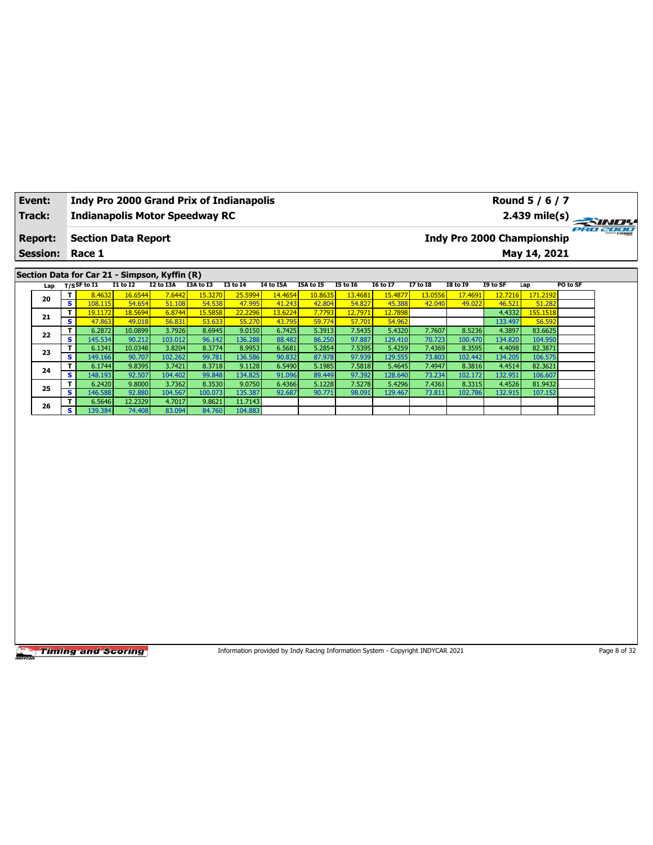| Event:          |                         | Indy Pro 2000 Grand Prix of Indianapolis      |                   |                   |                  |                   |                  |                                                                                 |                  |                   |                  |                   |                   | Round 5 / 6 / 7                   |              |
|-----------------|-------------------------|-----------------------------------------------|-------------------|-------------------|------------------|-------------------|------------------|---------------------------------------------------------------------------------|------------------|-------------------|------------------|-------------------|-------------------|-----------------------------------|--------------|
| Track:          |                         | <b>Indianapolis Motor Speedway RC</b>         |                   |                   |                  |                   |                  |                                                                                 |                  |                   |                  |                   |                   | 2.439 mile(s)                     |              |
| <b>Report:</b>  |                         | <b>Section Data Report</b>                    |                   |                   |                  |                   |                  |                                                                                 |                  |                   |                  |                   |                   | <b>Indy Pro 2000 Championship</b> | PRO 2000     |
| <b>Session:</b> |                         | Race 1                                        |                   |                   |                  |                   |                  |                                                                                 |                  |                   |                  |                   |                   | May 14, 2021                      |              |
|                 |                         | Section Data for Car 21 - Simpson, Kyffin (R) |                   |                   |                  |                   |                  |                                                                                 |                  |                   |                  |                   |                   |                                   |              |
| Lap             |                         | $T/S$ SF to I1                                | $I1$ to $I2$      | I2 to I3A         | I3A to I3        | <b>I3 to 14</b>   | <b>14 to 15A</b> | I5A to I5                                                                       | <b>I5 to 16</b>  | <b>I6 to I7</b>   | <b>I7 to I8</b>  | <b>I8 to 19</b>   | I9 to SF          | Lap                               | PO to SF     |
|                 | T                       | 8.4632                                        | 16.6544           | 7.6442            | 15.3270          | 25.5994           | 14.4654          | 10.8635                                                                         | 13.4681          | 15.4877           | 13.0556          | 17.4691           | 12.7216           | 171.2192                          |              |
| 20              | $\overline{\mathbf{s}}$ | 108.115                                       | 54.654            | 51.108            | 54.538           | 47.995            | 41.243           | 42.804                                                                          | 54.827           | 45.388            | 42.040           | 49.022            | 46.521            | 51.282                            |              |
| 21              | T                       | 19.1172                                       | 18.5694           | 6.8744            | 15.5858          | 22.2296           | 13.6224          | 7.7793                                                                          | 12.7971          | 12.7898           |                  |                   | 4.4332            | 155.1518                          |              |
|                 | S                       | 47.863                                        | 49.018            | 56.831            | 53.633           | 55.270            | 43.795           | 59.774                                                                          | 57.701           | 54.962            |                  |                   | 133.497           | 56.592                            |              |
| 22              | T<br>s                  | 6.2872<br>145.534                             | 10.0899<br>90.212 | 3.7926<br>103.012 | 8.6945<br>96.142 | 9.0150<br>136.288 | 6.7425<br>88.482 | 5.3913<br>86.250                                                                | 7.5435<br>97.887 | 5.4320<br>129.410 | 7.7607<br>70.723 | 8.5236<br>100.470 | 4.3897<br>134.820 | 83.6625<br>104.950                |              |
|                 | T.                      | 6.1341                                        | 10.0348           | 3.8204            | 8.3774           | 8.9953            | 6.5681           | 5.2854                                                                          | 7.5395           | 5.4259            | 7.4369           | 8.3595            | 4.4098            | 82.3871                           |              |
| 23              | S                       | 149.166                                       | 90.707            | 102.262           | 99.781           | 136.586           | 90.832           | 87.978                                                                          | 97.939           | 129.555           | 73.803           | 102.442           | 134.205           | 106.575                           |              |
|                 | T                       | 6.1744                                        | 9.8395            | 3.7421            | 8.3718           | 9.1128            | 6.5490           | 5.1985                                                                          | 7.5818           | 5.4645            | 7.4947           | 8.3816            | 4.4514            | 82.3621                           |              |
| 24              | s                       | 148.193                                       | 92.507            | 104.402           | 99.848           | 134.825           | 91.096           | 89.449                                                                          | 97.392           | 128.640           | 73.234           | 102.172           | 132.951           | 106.607                           |              |
| 25              | T                       | 6.2420                                        | 9.8000            | 3.7362            | 8.3530           | 9.0750            | 6.4366           | 5.1228                                                                          | 7.5278           | 5.4296            | 7.4361           | 8.3315            | 4.4526            | 81.9432                           |              |
|                 | s                       | 146.588                                       | 92.880            | 104.567           | 100.073          | 135.387           | 92.687           | 90.771                                                                          | 98.091           | 129.467           | 73.811           | 102.786           | 132.915           | 107.152                           |              |
| 26              | T                       | 6.5646                                        | 12.2329           | 4.7017            | 9.8621           | 11.7143           |                  |                                                                                 |                  |                   |                  |                   |                   |                                   |              |
|                 | S.                      | 139.384                                       | 74.408            | 83.094            | 84.760           | 104.883           |                  |                                                                                 |                  |                   |                  |                   |                   |                                   |              |
|                 |                         |                                               |                   |                   |                  |                   |                  |                                                                                 |                  |                   |                  |                   |                   |                                   |              |
|                 |                         |                                               |                   |                   |                  |                   |                  |                                                                                 |                  |                   |                  |                   |                   |                                   |              |
|                 |                         | <b>Timing and Scoring</b>                     |                   |                   |                  |                   |                  | Information provided by Indy Racing Information System - Copyright INDYCAR 2021 |                  |                   |                  |                   |                   |                                   | Page 8 of 32 |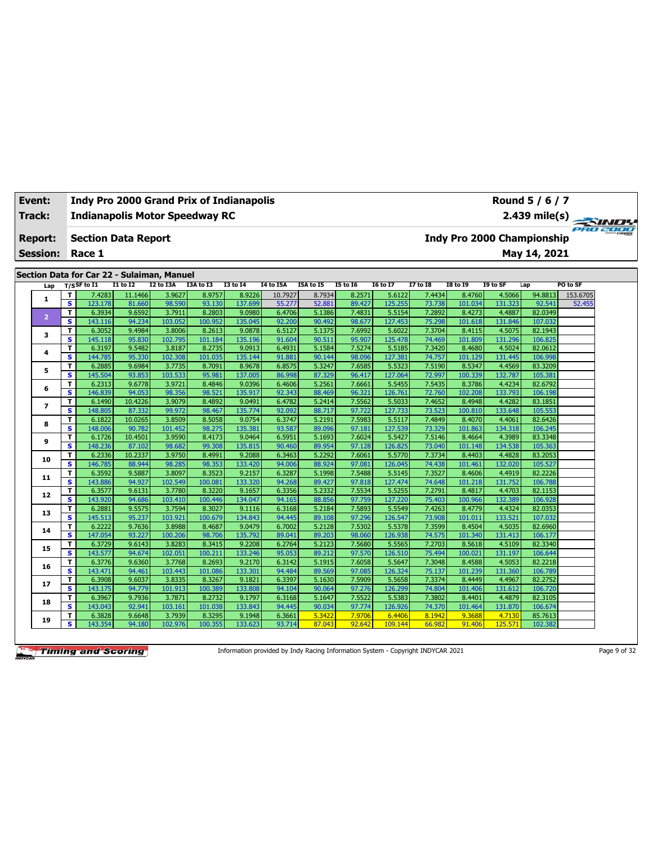| Event:          |                         |                                            |                  |                   | <b>Indy Pro 2000 Grand Prix of Indianapolis</b> |                   |                  |                  |                  |                   |                  |                   |                                   | Round 5 / 6 / 7    |                 |
|-----------------|-------------------------|--------------------------------------------|------------------|-------------------|-------------------------------------------------|-------------------|------------------|------------------|------------------|-------------------|------------------|-------------------|-----------------------------------|--------------------|-----------------|
| <b>Track:</b>   |                         |                                            |                  |                   | <b>Indianapolis Motor Speedway RC</b>           |                   |                  |                  |                  |                   |                  |                   |                                   | $2.439$ mile(s)    | <b>PRO 2000</b> |
| <b>Report:</b>  |                         | <b>Section Data Report</b>                 |                  |                   |                                                 |                   |                  |                  |                  |                   |                  |                   | <b>Indy Pro 2000 Championship</b> |                    |                 |
| <b>Session:</b> |                         | Race 1                                     |                  |                   |                                                 |                   |                  |                  |                  |                   |                  |                   |                                   | May 14, 2021       |                 |
|                 |                         | Section Data for Car 22 - Sulaiman, Manuel |                  |                   |                                                 |                   |                  |                  |                  |                   |                  |                   |                                   |                    |                 |
| Lap             |                         | $T/S$ SF to I1                             | $I1$ to $I2$     | I2 to I3A         | I3A to I3                                       | <b>I3 to I4</b>   | I4 to I5A        | <b>I5A to I5</b> | <b>I5 to 16</b>  | <b>I6 to I7</b>   | <b>I7 to I8</b>  | <b>I8 to 19</b>   | I9 to SF                          | Lap                | PO to SF        |
|                 | T                       | 7.4283                                     | 11.1466          | 3.9627            | 8.9757                                          | 8.9226            | 10.7927          | 8.7934           | 8.2571           | 5.6122            | 7.4434           | 8.4760            | 4.5066                            | 94.8813            | 153.6705        |
| 1               | s                       | 123.178                                    | 81.660           | 98.590            | 93.130                                          | 137.699           | 55.277           | 52.881           | 89.427           | 125.255           | 73.738           | 101.034           | 131.323                           | 92.541             | 52.455          |
|                 | T                       | 6.3934                                     | 9.6592           | 3.7911            | 8.2803                                          | 9.0980            | 6.4706           | 5.1386           | 7.4831           | 5.5154            | 7.2892           | 8.4273            | 4.4887                            | 82.0349            |                 |
| $\overline{2}$  | s                       | 143.116                                    | 94.234           | 103.052           | 100.952                                         | 135.045           | 92.200           | 90.492           | 98.677           | 127.453           | 75.298           | 101.618           | 131.846                           | 107.032            |                 |
| 3               | т                       | 6.3052                                     | 9.4984           | 3.8006            | 8.2613                                          | 9.0878            | 6.5127           | 5.1375           | 7.6992           | 5.6022            | 7.3704           | 8.4115            | 4.5075                            | 82.1943            |                 |
|                 | $\overline{\mathbf{s}}$ | 145.118                                    | 95.830           | 102.795           | 101.184                                         | 135.196           | 91.604           | 90.511           | 95.907           | 125.478           | 74.469           | 101.809           | 131.296                           | 106.825            |                 |
| 4               | т                       | 6.3197                                     | 9.5482           | 3.8187            | 8.2735                                          | 9.0913            | 6.4931           | 5.1584           | 7.5274           | 5.5185            | 7.3420           | 8.4680            | 4.5024                            | 82.0612            |                 |
|                 | S                       | 144.785                                    | 95.330           | 102.308           | 101.035                                         | 135.144           | 91.881           | 90.144           | 98.096           | 127.381           | 74.757           | 101.129           | 131.445                           | 106.998            |                 |
| 5               | T                       | 6.2885                                     | 9.6984           | 3.7735            | 8.7091                                          | 8.9678            | 6.8575           | 5.3247           | 7.6585           | 5.5323            | 7.5190           | 8.5347            | 4.4569                            | 83.3209            |                 |
|                 | s.                      | 145.504                                    | 93.853           | 103.533           | 95.981                                          | 137.005           | 86.998           | 87.329           | 96.417           | 127.064           | 72.997           | 100.339           | 132.787                           | 105.381            |                 |
| 6               | T                       | 6.2313                                     | 9.6778           | 3.9721            | 8.4846                                          | 9.0396            | 6.4606           | 5.2561           | 7.6661           | 5.5455            | 7.5435           | 8.3786            | 4.4234                            | 82.6792            |                 |
|                 | s                       | 146.839                                    | 94.053           | 98.356            | 98.521                                          | 135.917           | 92.343           | 88.469           | 96.321           | 126.761           | 72.760           | 102.208           | 133.793                           | 106.198            |                 |
| $\overline{ }$  | т                       | 6.1490                                     | 10.4226          | 3.9079            | 8.4892                                          | 9.0491            | 6.4782           | 5.2414           | 7.5562           | 5.5033            | 7.4652           | 8.4948            | 4.4282                            | 83.1851            |                 |
|                 | $\overline{\mathbf{s}}$ | 148.805                                    | 87.332           | 99.972            | 98.467                                          | 135.774           | 92.092           | 88.717           | 97.722           | 127.733           | 73.523           | 100.810           | 133.648                           | 105.553            |                 |
| 8               | T                       | 6.1822                                     | 10.0265          | 3.8509            | 8.5058                                          | 9.0754            | 6.3747           | 5.2191           | 7.5983           | 5.5117            | 7.4849           | 8.4070            | 4.4061                            | 82.6426            |                 |
|                 | S                       | 148.006                                    | 90.782           | 101.452           | 98.275                                          | 135.381           | 93.587           | 89.096           | 97.181           | 127.539           | 73.329           | 101.863           | 134.318                           | 106.245            |                 |
| 9               | T                       | 6.1726                                     | 10.4501          | 3.9590            | 8.4173                                          | 9.0464            | 6.5951           | 5.1693           | 7.6024           | 5.5427            | 7.5146           | 8.4664            | 4.3989                            | 83.3348            |                 |
|                 | S.                      | 148.236                                    | 87.102           | 98.682            | 99.308                                          | 135.815           | 90.460           | 89.954           | 97.128           | 126.825           | 73.040           | 101.148           | 134.538                           | 105.363            |                 |
| 10              | T                       | 6.2336                                     | 10.2337          | 3.9750            | 8.4991                                          | 9.2088            | 6.3463           | 5.2292           | 7.6061           | 5.5770            | 7.3734           | 8.4403            | 4.4828                            | 83.2053            |                 |
|                 | S                       | 146.785                                    | 88.944           | 98.285            | 98.353                                          | 133.420           | 94.006           | 88.924           | 97.081           | 126.045           | 74.438           | 101.461           | 132.020                           | 105.527            |                 |
| 11              | T                       | 6.3592                                     | 9.5887           | 3.8097            | 8.3523                                          | 9.2157            | 6.3287           | 5.1998           | 7.5488           | 5.5145            | 7.3527           | 8.4606            | 4.4919                            | 82.2226            |                 |
|                 | $\overline{\mathbf{s}}$ | 143.886                                    | 94.927           | 102.549           | 100.081                                         | 133.320           | 94.268           | 89.427           | 97.818           | 127.474           | 74.648           | 101.218           | 131.752                           | 106.788            |                 |
| 12              | T.                      | 6.3577                                     | 9.6131           | 3.7780            | 8.3220                                          | 9.1657            | 6.3356           | 5.2332           | 7.5534           | 5.5255            | 7.2791           | 8.4817            | 4.4703                            | 82.1153            |                 |
|                 | $\overline{\mathbf{s}}$ | 143.920                                    | 94.686           | 103.410           | 100.446                                         | 134.047           | 94.165           | 88.856           | 97.759           | 127.220           | 75.403           | 100.966           | 132.389                           | 106.928            |                 |
| 13              | T                       | 6.2881                                     | 9.5575           | 3.7594            | 8.3027                                          | 9.1116            | 6.3168           | 5.2184           | 7.5893           | 5.5549            | 7.4263           | 8.4779            | 4.4324                            | 82.0353            |                 |
|                 | s.                      | 145.513                                    | 95.237           | 103.921           | 100.679                                         | 134.843           | 94.445           | 89.108           | 97.296           | 126.547           | 73.908           | 101.011           | 133.521                           | 107.032            |                 |
| 14              | T.                      | 6.2222                                     | 9.7636           | 3.8988            | 8.4687                                          | 9.0479            | 6.7002           | 5.2128           | 7.5302           | 5.5378            | 7.3599           | 8.4504            | 4.5035                            | 82.6960            |                 |
|                 | s                       | 147.054                                    | 93.227           | 100.206           | 98.706                                          | 135.792           | 89.041           | 89.203           | 98.060           | 126.938           | 74.575           | 101.340           | 131.413                           | 106.177            |                 |
| 15              | T                       | 6.3729                                     | 9.6143           | 3.8283            | 8.3415                                          | 9.2208            | 6.2764           | 5.2123           | 7.5680           | 5.5565            | 7.2703           | 8.5618            | 4.5109                            | 82.3340            |                 |
|                 | $\overline{\mathbf{s}}$ | 143.577                                    | 94.674           | 102.051           | 100.21:                                         | 133.246           | 95.053           | 89.212           | 97.570           | 126.510           | 75.494           | 100.021           | 131.197                           | 106.644            |                 |
| 16              | T<br>s                  | 6.3776<br>143.471                          | 9.6360           | 3.7768<br>103.443 | 8.2693<br>101.086                               | 9.2170<br>133.301 | 6.3142<br>94.484 | 5.1915<br>89.569 | 7.6058<br>97.085 | 5.5647<br>126.324 | 7.3048           | 8.4588<br>101.239 | 4.5053<br>131.360                 | 82.2218<br>106.789 |                 |
|                 |                         |                                            | 94.461<br>9.6037 | 3.8335            | 8.3267                                          | 9.1821            |                  | 5.1630           | 7.5909           |                   | 75.137<br>7.3374 |                   | 4.4967                            | 82.2752            |                 |
| 17              | T<br>S.                 | 6.3908<br>143.175                          | 94.779           | 101.913           | 100.389                                         | 133.808           | 6.3397           | 90.064           | 97.276           | 5.5658            |                  | 8.4449            | 131.612                           | 106.720            |                 |
|                 | т                       | 6.3967                                     | 9.7936           | 3.7871            | 8.2732                                          | 9.1797            | 94.104<br>6.3168 | 5.1647           | 7.5522           | 126.299<br>5.5383 | 74.804<br>7.3802 | 101.406<br>8.4401 | 4.4879                            | 82.3105            |                 |
| 18              | s                       | 143.043                                    | 92.941           | 103.161           | 101.038                                         | 133.843           | 94.445           | 90.034           | 97.774           | 126.926           | 74.370           | 101.464           | 131.870                           | 106.674            |                 |
|                 | T.                      | 6.3828                                     | 9.6648           | 3.7939            | 8.3295                                          | 9.1948            | 6.3661           | 5.3422           | 7.9706           | 6.4406            | 8.1942           | 9.3688            | 4.7130                            | 85.7613            |                 |
| 19              | $\overline{\mathbf{s}}$ | 143.354                                    | 94.180           | 102.976           | 100.355                                         | 133.623           | 93.714           | 87.043           | 92.642           | 109.144           | 66.982           | 91.406            | 125.571                           | 102.382            |                 |
|                 |                         |                                            |                  |                   |                                                 |                   |                  |                  |                  |                   |                  |                   |                                   |                    |                 |

Information provided by Indy Racing Information System - Copyright INDYCAR 2021 Page 9 of 32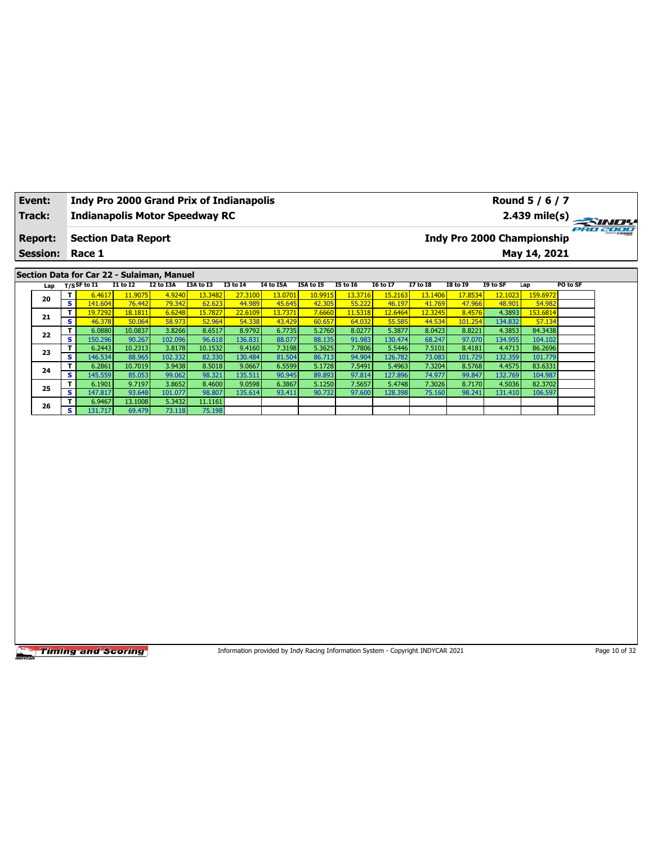| Event:          |                               | Indy Pro 2000 Grand Prix of Indianapolis   |                   |                   |                  |                   |                  |                                                                                 |                  |                   |                  |                   |                   | Round 5 / 6 / 7                   |               |
|-----------------|-------------------------------|--------------------------------------------|-------------------|-------------------|------------------|-------------------|------------------|---------------------------------------------------------------------------------|------------------|-------------------|------------------|-------------------|-------------------|-----------------------------------|---------------|
| Track:          |                               | <b>Indianapolis Motor Speedway RC</b>      |                   |                   |                  |                   |                  |                                                                                 |                  |                   |                  |                   |                   | 2.439 mile(s)                     |               |
| <b>Report:</b>  |                               | <b>Section Data Report</b>                 |                   |                   |                  |                   |                  |                                                                                 |                  |                   |                  |                   |                   | <b>Indy Pro 2000 Championship</b> | ero zooo      |
| <b>Session:</b> |                               | Race 1                                     |                   |                   |                  |                   |                  |                                                                                 |                  |                   |                  |                   |                   | May 14, 2021                      |               |
|                 |                               | Section Data for Car 22 - Sulaiman, Manuel |                   |                   |                  |                   |                  |                                                                                 |                  |                   |                  |                   |                   |                                   |               |
| Lap             |                               | $T/S$ SF to $I1$                           | $I1$ to $I2$      | I2 to I3A         | I3A to I3        | <b>I3 to 14</b>   | <b>I4 to I5A</b> | I5A to I5                                                                       | <b>I5 to 16</b>  | <b>I6 to I7</b>   | <b>I7 to I8</b>  | <b>I8 to 19</b>   | I9 to SF          | Lap                               | PO to SF      |
|                 | T                             | 6.4617                                     | 11.9075           | 4.9240            | 13.3482          | 27.3100           | 13.0701          | 10.9915                                                                         | 13.3716          | 15.2163           | 13.1406          | 17.8534           | 12.1023           | 159.6972                          |               |
| 20              | $\overline{\mathbf{s}}$       | 141.604                                    | 76.442            | 79.342            | 62.623           | 44.989            | 45.645           | 42.305                                                                          | 55.222           | 46.197            | 41.769           | 47.966            | 48.901            | 54.982                            |               |
| 21              | T                             | 19.7292                                    | 18.1811           | 6.6248            | 15.7827          | 22.6109           | 13.7371          | 7.6660                                                                          | 11.5318          | 12.6464           | 12.3245          | 8.4576            | 4.3893            | 153.6814                          |               |
|                 | S                             | 46.378                                     | 50.064            | 58.973            | 52.964           | 54.338            | 43.429           | 60.657                                                                          | 64.032           | 55.585            | 44.534           | 101.254           | 134.832           | 57.134                            |               |
| 22              | T                             | 6.0880                                     | 10.0837           | 3.8266            | 8.6517           | 8.9792            | 6.7735           | 5.2760                                                                          | 8.0277           | 5.3877            | 8.0423           | 8.8221            | 4.3853            | 84.3438                           |               |
|                 | s                             | 150.296                                    | 90.267            | 102.096           | 96.618           | 136.831           | 88.077           | 88.135                                                                          | 91.983           | 130.474           | 68.247           | 97.070            | 134.955           | 104.102                           |               |
| 23              | T.<br>$\overline{\mathbf{s}}$ | 6.2443                                     | 10.2313           | 3.8178            | 10.1532          | 9.4160            | 7.3198           | 5.3625                                                                          | 7.7806           | 5.5446            | 7.5101           | 8.4181            | 4.4713            | 86.2696                           |               |
|                 | T                             | 146.534<br>6.2861                          | 88.965<br>10.7019 | 102.332<br>3.9438 | 82.330<br>8.5018 | 130.484<br>9.0667 | 81.504<br>6.5599 | 86.713<br>5.1728                                                                | 94.904<br>7.5491 | 126.782<br>5.4963 | 73.083<br>7.3204 | 101.729<br>8.5768 | 132.359<br>4.4575 | 101.779<br>83.6331                |               |
| 24              | s                             | 145.559                                    | 85.053            | 99.062            | 98.321           | 135.511           | 90.945           | 89.893                                                                          | 97.814           | 127.896           | 74.977           | 99.847            | 132.769           | 104.987                           |               |
|                 | T                             | 6.1901                                     | 9.7197            | 3.8652            | 8.4600           | 9.0598            | 6.3867           | 5.1250                                                                          | 7.5657           | 5.4748            | 7.3026           | 8.7170            | 4.5036            | 82.3702                           |               |
| 25              | s                             | 147.817                                    | 93.648            | 101.077           | 98.807           | 135.614           | 93.411           | 90.732                                                                          | 97.600           | 128.398           | 75.160           | 98.241            | 131.410           | 106.597                           |               |
|                 | T                             | 6.9467                                     | 13.1008           | 5.3432            | 11.1161          |                   |                  |                                                                                 |                  |                   |                  |                   |                   |                                   |               |
| 26              | S.                            | 131.717                                    | 69.479            | 73.118            | 75.198           |                   |                  |                                                                                 |                  |                   |                  |                   |                   |                                   |               |
|                 |                               |                                            |                   |                   |                  |                   |                  |                                                                                 |                  |                   |                  |                   |                   |                                   |               |
|                 |                               |                                            |                   |                   |                  |                   |                  |                                                                                 |                  |                   |                  |                   |                   |                                   |               |
|                 |                               | <b>Timing and Scoring</b>                  |                   |                   |                  |                   |                  | Information provided by Indy Racing Information System - Copyright INDYCAR 2021 |                  |                   |                  |                   |                   |                                   | Page 10 of 32 |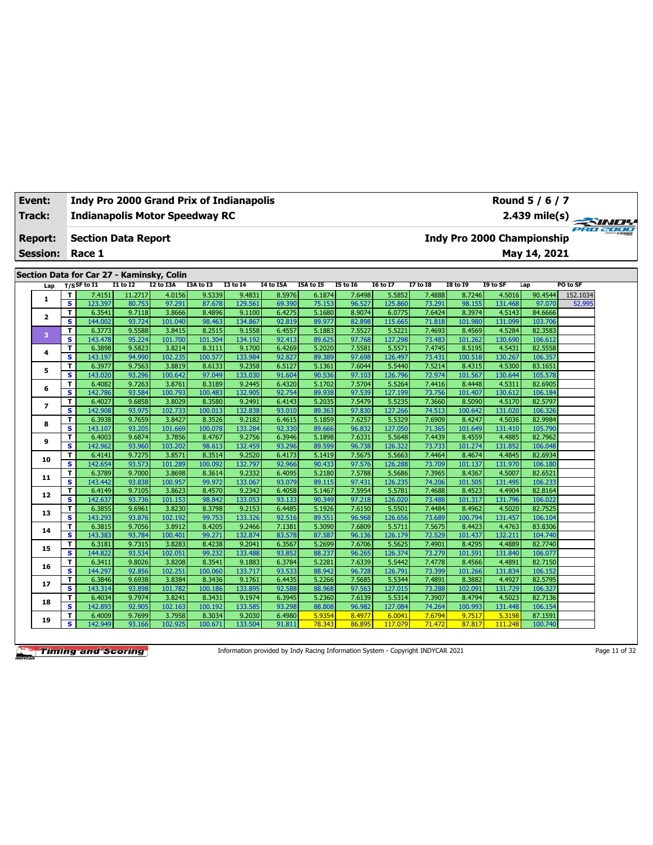| Event:          |                              | <b>Indy Pro 2000 Grand Prix of Indianapolis</b> |                  |                   |                  |                   |                  |                  |                  |                   |                  |                                   |                   | Round 5 / 6 / 7    |          |
|-----------------|------------------------------|-------------------------------------------------|------------------|-------------------|------------------|-------------------|------------------|------------------|------------------|-------------------|------------------|-----------------------------------|-------------------|--------------------|----------|
| Track:          |                              | <b>Indianapolis Motor Speedway RC</b>           |                  |                   |                  |                   |                  |                  |                  |                   |                  |                                   |                   | $2.439$ mile(s)    | PRO 2000 |
| <b>Report:</b>  |                              | <b>Section Data Report</b>                      |                  |                   |                  |                   |                  |                  |                  |                   |                  | <b>Indy Pro 2000 Championship</b> |                   |                    |          |
| <b>Session:</b> |                              | Race 1                                          |                  |                   |                  |                   |                  |                  |                  |                   |                  |                                   |                   | May 14, 2021       |          |
|                 |                              |                                                 |                  |                   |                  |                   |                  |                  |                  |                   |                  |                                   |                   |                    |          |
|                 |                              | Section Data for Car 27 - Kaminsky, Colin       |                  |                   |                  |                   |                  |                  |                  |                   |                  |                                   |                   |                    |          |
| Lap             |                              | $T/S$ SF to $I1$                                | $I1$ to $I2$     | I2 to I3A         | I3A to I3        | <b>I3 to I4</b>   | <b>I4 to I5A</b> | I5A to I5        | <b>I5 to 16</b>  | <b>I6 to I7</b>   | <b>I7 to I8</b>  | <b>I8 to 19</b>                   | I9 to SF          | Lap                | PO to SF |
| $\mathbf{1}$    | T                            | 7.4151                                          | 11.2717          | 4.0156            | 9.5339           | 9.4831            | 8.5976           | 6.1874           | 7.6498           | 5.5852            | 7.4888           | 8.7246                            | 4.5016            | 90.4544            | 152.1034 |
|                 | S.                           | 123.397                                         | 80.753           | 97.291            | 87.678           | 129.561           | 69.390           | 75.153           | 96.527           | 125.860           | 73.291           | 98.155                            | 131.468           | 97.070             | 52.995   |
| $\mathbf{z}$    | T<br>s.                      | 6.3541<br>144.002                               | 9.7118           | 3.8666<br>101.040 | 8.4896<br>98.463 | 9.1100<br>134.867 | 6.4275<br>92.819 | 5.1680<br>89.977 | 8.9074<br>82.898 | 6.0775<br>115.665 | 7.6424           | 8.3974                            | 4.5143<br>131.099 | 84.6666<br>103.706 |          |
|                 | T                            | 6.3773                                          | 93.724<br>9.5588 | 3.8415            | 8.2515           | 9.1558            | 6.4557           | 5.1883           | 7.5527           | 5.5221            | 71.818<br>7.4693 | 101.980<br>8.4569                 | 4.5284            | 82.3583            |          |
| 3               | $\overline{\mathbf{s}}$      | 143.478                                         | 95.224           | 101.700           | 101.304          | 134.192           | 92.413           | 89.625           | 97.768           | 127.298           | 73.483           | 101.262                           | 130.690           | 106.612            |          |
|                 | T.                           | 6.3898                                          | 9.5823           | 3.8214            | 8.3111           | 9.1700            | 6.4269           | 5.2020           | 7.5581           | 5.5571            | 7.4745           | 8.5195                            | 4.5431            | 82.5558            |          |
| 4               | s.                           | 143.197                                         | 94.990           | 102.235           | 100.577          | 133.984           | 92.827           | 89.389           | 97.698           | 126.497           | 73.431           | 100.518                           | 130.267           | 106.357            |          |
|                 | T                            | 6.3977                                          | 9.7563           | 3.8819            | 8.6133           | 9.2358            | 6.5127           | 5.1361           | 7.6044           | 5.5440            | 7.5214           | 8.4315                            | 4.5300            | 83.1651            |          |
| 5               | $\overline{\mathbf{s}}$      | 143.020                                         | 93.296           | 100.642           | 97.049           | 133.030           | 91.604           | 90.536           | 97.103           | 126.796           | 72.974           | 101.567                           | 130.644           | 105.578            |          |
|                 | T                            | 6.4082                                          | 9.7263           | 3.8761            | 8.3189           | 9.2445            | 6.4320           | 5.1702           | 7.5704           | 5.5264            | 7.4416           | 8.4448                            | 4.5311            | 82.6905            |          |
| 6               | S                            | 142.786                                         | 93.584           | 100.793           | 100.483          | 132.905           | 92.754           | 89.938           | 97.539           | 127.199           | 73.756           | 101.407                           | 130.612           | 106.184            |          |
|                 | T                            | 6.4027                                          | 9.6858           | 3.8029            | 8.3580           | 9.2491            | 6.4143           | 5.2035           | 7.5479           | 5.5235            | 7.3660           | 8.5090                            | 4.5170            | 82.5797            |          |
| $\overline{ }$  | $\overline{\mathbf{s}}$      | 142.908                                         | 93.975           | 102.733           | 100.013          | 132.838           | 93.010           | 89.363           | 97.830           | 127.266           | 74.513           | 100.642                           | 131.020           | 106.326            |          |
| 8               | T                            | 6.3938                                          | 9.7659           | 3.8427            | 8.3526           | 9.2182            | 6.4615           | 5.1859           | 7.6257           | 5.5329            | 7.6909           | 8.4247                            | 4.5036            | 82.9984            |          |
|                 | s                            | 143.107                                         | 93.205           | 101.669           | 100.078          | 133.284           | 92.330           | 89.666           | 96.832           | 127.050           | 71.365           | 101.649                           | 131.410           | 105.790            |          |
| 9               | т                            | 6.4003                                          | 9.6874           | 3.7856            | 8.4767           | 9.2756            | 6.3946           | 5.1898           | 7.6331           | 5.5648            | 7.4439           | 8.4559                            | 4.4885            | 82.7962            |          |
|                 | s                            | 142.962                                         | 93.960           | 103.202           | 98.613           | 132.459           | 93.296           | 89.599           | 96.738           | 126.322           | 73.733           | 101.274                           | 131.852           | 106.048            |          |
| 10              | T                            | 6.4141                                          | 9.7275           | 3.8571            | 8.3514           | 9.2520            | 6.4173           | 5.1419           | 7.5675           | 5.5663            | 7.4464           | 8.4674                            | 4.4845            | 82.6934            |          |
|                 | S                            | 142.654                                         | 93.573           | 101.289           | 100.092          | 132.797           | 92.966           | 90.433           | 97.576           | 126.288           | 73.709           | 101.137                           | 131.970           | 106.180            |          |
| 11              | T                            | 6.3789                                          | 9.7000           | 3.8698            | 8.3614           | 9.2332            | 6.4095           | 5.2180           | 7.5788           | 5.5686            | 7.3965           | 8.4367                            | 4.5007            | 82.6521            |          |
|                 | S.                           | 143.442                                         | 93.838           | 100.957           | 99.972           | 133.067           | 93.079           | 89.115           | 97.431           | 126.235           | 74.206           | 101.505                           | 131.495           | 106.233            |          |
| 12              | т                            | 6.4149                                          | 9.7105           | 3.8623            | 8.4570           | 9.2342            | 6.4058           | 5.1467           | 7.5954           | 5.5781            | 7.4688           | 8.4523                            | 4.4904            | 82.8164            |          |
|                 | S                            | 142.637                                         | 93.736           | 101.153           | 98.842           | 133.053           | 93.133           | 90.349           | 97.218           | 126.020           | 73.488           | 101.317                           | 131.796           | 106.022            |          |
| 13              | T<br>$\overline{\mathbf{s}}$ | 6.3855<br>143.293                               | 9.6961<br>93.876 | 3.8230<br>102.192 | 8.3798<br>99.753 | 9.2153<br>133.326 | 6.4485<br>92.516 | 5.1926<br>89.551 | 7.6150<br>96.968 | 5.5501<br>126.656 | 7.4484<br>73.689 | 8.4962<br>100.794                 | 4.5020<br>131.457 | 82.7525<br>106.104 |          |
|                 | T                            | 6.3815                                          | 9.7056           | 3.8912            | 8.4205           | 9.2466            | 7.1381           | 5.3090           | 7.6809           | 5.5711            | 7.5675           | 8.4423                            | 4.4763            | 83.8306            |          |
| 14              | s                            | 143.383                                         | 93.784           | 100.401           | 99.271           | 132.874           | 83.578           | 87.587           | 96.136           | 126.179           | 72.529           | 101.437                           | 132.211           | 104.740            |          |
|                 | T                            | 6.3181                                          | 9.7315           | 3.8283            | 8.4238           | 9.2041            | 6.3567           | 5.2699           | 7.6706           | 5.5625            | 7.4901           | 8.4295                            | 4.4889            | 82.7740            |          |
| 15              | $\overline{\mathbf{s}}$      | 144.822                                         | 93.534           | 102.051           | 99.232           | 133.488           | 93.852           | 88.237           | 96.265           | 126.374           | 73.279           | 101.591                           | 131.840           | 106.077            |          |
|                 | T                            | 6.3411                                          | 9.8026           | 3.8208            | 8.3541           | 9.1883            | 6.3784           | 5.2281           | 7.6339           | 5.5442            | 7.4778           | 8.4566                            | 4.4891            | 82.7150            |          |
| 16              | $\overline{\mathbf{s}}$      | 144.297                                         | 92.856           | 102.251           | 100.060          | 133.717           | 93.533           | 88.942           | 96.728           | 126.791           | 73.399           | 101.266                           | 131.834           | 106.152            |          |
|                 | T                            | 6.3846                                          | 9.6938           | 3.8384            | 8.3436           | 9.1761            | 6.4435           | 5.2266           | 7.5685           | 5.5344            | 7.4891           | 8.3882                            | 4.4927            | 82.5795            |          |
| 17              | s.                           | 143.314                                         | 93.898           | 101.782           | 100.186          | 133.895           | 92.588           | 88.968           | 97.563           | 127.015           | 73.288           | 102.091                           | 131.729           | 106.327            |          |
|                 | T.                           | 6.4034                                          | 9.7974           | 3.8241            | 8.3431           | 9.1974            | 6.3945           | 5.2360           | 7.6139           | 5.5314            | 7.3907           | 8.4794                            | 4.5023            | 82.7136            |          |
| 18              | s                            | 142.893                                         | 92.905           | 102.163           | 100.192          | 133.585           | 93.298           | 88.808           | 96.982           | 127.084           | 74.264           | 100.993                           | 131.448           | 106.154            |          |
|                 | T.                           | 6.4009                                          | 9.7699           | 3.7958            | 8.3034           | 9.2030            | 6.4980           | 5.9354           | 8.4977           | 6.0041            | 7.6794           | 9.7517                            | 5.3198            | 87.1591            |          |
| 19              | s.                           | 142.949                                         | 93.166           | 102.925           | 100.671          | 133.504           | 91.811           | 78.343           | 86.895           | 117.079           | 71.472           | 87.817                            | 111.248           | 100.740            |          |

Information provided by Indy Racing Information System - Copyright INDYCAR 2021 Page 11 of 32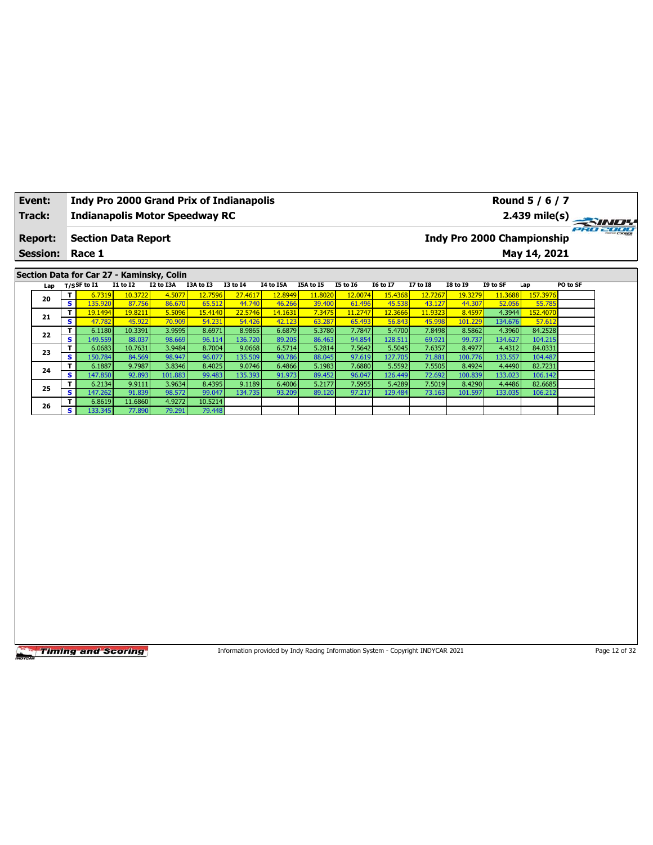| Event:          |                         | Indy Pro 2000 Grand Prix of Indianapolis  |                   |                  |                  |                   |                  |                                                                                 |                  |                   |                  |                  |                   | Round 5 / 6 / 7                   |               |
|-----------------|-------------------------|-------------------------------------------|-------------------|------------------|------------------|-------------------|------------------|---------------------------------------------------------------------------------|------------------|-------------------|------------------|------------------|-------------------|-----------------------------------|---------------|
| Track:          |                         | <b>Indianapolis Motor Speedway RC</b>     |                   |                  |                  |                   |                  |                                                                                 |                  |                   |                  |                  |                   | 2.439 mile(s)                     |               |
| <b>Report:</b>  |                         | <b>Section Data Report</b>                |                   |                  |                  |                   |                  |                                                                                 |                  |                   |                  |                  |                   | <b>Indy Pro 2000 Championship</b> | ero zooo      |
| <b>Session:</b> |                         | Race 1                                    |                   |                  |                  |                   |                  |                                                                                 |                  |                   |                  |                  |                   | May 14, 2021                      |               |
|                 |                         | Section Data for Car 27 - Kaminsky, Colin |                   |                  |                  |                   |                  |                                                                                 |                  |                   |                  |                  |                   |                                   |               |
| Lap             |                         | $T/S$ SF to $I1$                          | $I1$ to $I2$      | I2 to I3A        | I3A to I3        | <b>I3 to 14</b>   | <b>I4 to I5A</b> | I5A to I5                                                                       | <b>I5 to 16</b>  | <b>I6 to I7</b>   | <b>I7 to I8</b>  | <b>I8 to 19</b>  | I9 to SF          | Lap                               | PO to SF      |
|                 | T                       | 6.7319                                    | 10.3722           | 4.5077           | 12.7596          | 27.4617           | 12.8949          | 11.8020                                                                         | 12.0074          | 15.4368           | 12.7267          | 19.3279          | 11.3688           | 157.3976                          |               |
| 20              | $\overline{\mathbf{s}}$ | 135.920                                   | 87.756            | 86.670           | 65.512           | 44.740            | 46.266           | 39.400                                                                          | 61.496           | 45.538            | 43.127           | 44.307           | 52.056            | 55.785                            |               |
| 21              | T                       | 19.1494                                   | 19.8211           | 5.5096           | 15.4140          | 22.5746           | 14.1631          | 7.3475                                                                          | 11.2747          | 12.3666           | 11.9323          | 8.4597           | 4.3944            | 152.4070                          |               |
|                 | S                       | 47.782                                    | 45.922            | 70.909           | 54.231           | 54.426            | 42.123           | 63.287                                                                          | 65.493           | 56.843            | 45.998           | 101.229          | 134.676           | 57.612                            |               |
| 22              | T                       | 6.1180                                    | 10.3391           | 3.9595           | 8.6971           | 8.9865            | 6.6879           | 5.3780                                                                          | 7.7847           | 5.4700            | 7.8498           | 8.5862           | 4.3960            | 84.2528                           |               |
|                 | s<br>T.                 | 149.559<br>6.0683                         | 88.037<br>10.7631 | 98.669<br>3.9484 | 96.114<br>8.7004 | 136.720<br>9.0668 | 89.205<br>6.5714 | 86.463<br>5.2814                                                                | 94.854<br>7.5642 | 128.511<br>5.5045 | 69.921<br>7.6357 | 99.737<br>8.4977 | 134.627<br>4.4312 | 104.215<br>84.0331                |               |
| 23              | $\overline{\mathbf{s}}$ | 150.784                                   | 84.569            | 98.947           | 96.077           | 135.509           | 90.786           | 88.045                                                                          | 97.619           | 127.705           | 71.881           | 100.776          | 133.557           | 104.487                           |               |
|                 | T                       | 6.1887                                    | 9.7987            | 3.8346           | 8.4025           | 9.0746            | 6.4866           | 5.1983                                                                          | 7.6880           | 5.5592            | 7.5505           | 8.4924           | 4.4490            | 82.7231                           |               |
| 24              | s                       | 147.850                                   | 92.893            | 101.883          | 99.483           | 135.393           | 91.973           | 89.452                                                                          | 96.047           | 126.449           | 72.692           | 100.839          | 133.023           | 106.142                           |               |
|                 | T                       | 6.2134                                    | 9.9111            | 3.9634           | 8.4395           | 9.1189            | 6.4006           | 5.2177                                                                          | 7.5955           | 5.4289            | 7.5019           | 8.4290           | 4.4486            | 82.6685                           |               |
| 25              | s                       | 147.262                                   | 91.839            | 98.572           | 99.047           | 134.735           | 93.209           | 89.120                                                                          | 97.217           | 129.484           | 73.163           | 101.597          | 133.035           | 106.212                           |               |
|                 | T                       | 6.8619                                    | 11.6860           | 4.9272           | 10.5214          |                   |                  |                                                                                 |                  |                   |                  |                  |                   |                                   |               |
| 26              | S.                      | 133.345                                   | 77.890            | 79.291           | 79.448           |                   |                  |                                                                                 |                  |                   |                  |                  |                   |                                   |               |
|                 |                         |                                           |                   |                  |                  |                   |                  |                                                                                 |                  |                   |                  |                  |                   |                                   |               |
|                 |                         |                                           |                   |                  |                  |                   |                  |                                                                                 |                  |                   |                  |                  |                   |                                   |               |
|                 |                         | <b>Timing and Scoring</b>                 |                   |                  |                  |                   |                  | Information provided by Indy Racing Information System - Copyright INDYCAR 2021 |                  |                   |                  |                  |                   |                                   | Page 12 of 32 |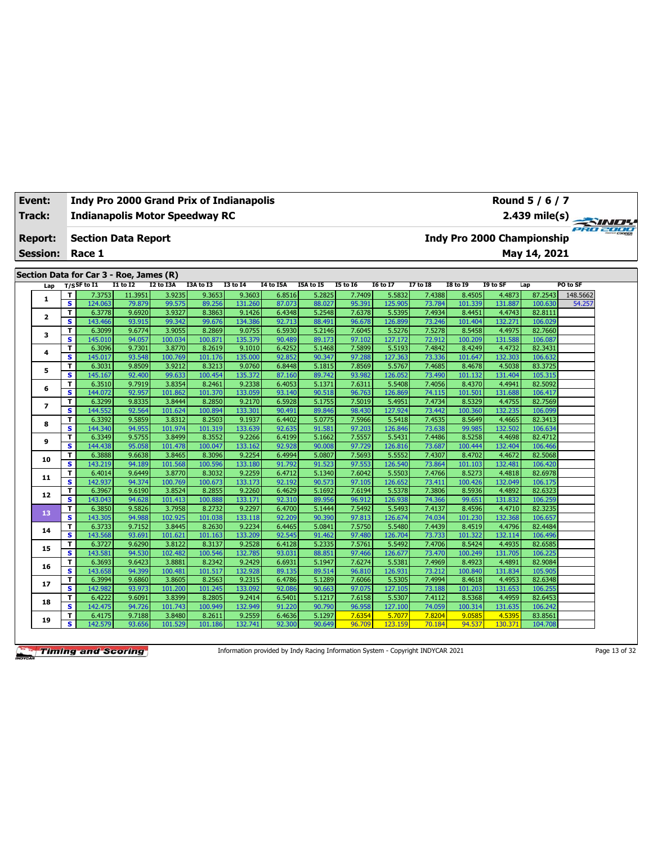| Event: |                 |                               |                                         |                  |                   | <b>Indy Pro 2000 Grand Prix of Indianapolis</b> |                   |                  |                  |                  |                   |                  |                   |                                   | Round 5 / 6 / 7    |          |
|--------|-----------------|-------------------------------|-----------------------------------------|------------------|-------------------|-------------------------------------------------|-------------------|------------------|------------------|------------------|-------------------|------------------|-------------------|-----------------------------------|--------------------|----------|
| Track: |                 |                               |                                         |                  |                   | <b>Indianapolis Motor Speedway RC</b>           |                   |                  |                  |                  |                   |                  |                   |                                   | 2.439 mile(s)      | PRO 2000 |
|        | <b>Report:</b>  |                               | <b>Section Data Report</b>              |                  |                   |                                                 |                   |                  |                  |                  |                   |                  |                   | <b>Indy Pro 2000 Championship</b> |                    |          |
|        | <b>Session:</b> |                               | Race 1                                  |                  |                   |                                                 |                   |                  |                  |                  |                   |                  |                   |                                   | May 14, 2021       |          |
|        |                 |                               |                                         |                  |                   |                                                 |                   |                  |                  |                  |                   |                  |                   |                                   |                    |          |
|        |                 |                               | Section Data for Car 3 - Roe, James (R) |                  |                   |                                                 |                   |                  |                  |                  |                   |                  |                   |                                   |                    |          |
|        | Lap             |                               | $T/S$ SF to I1                          | <b>I1 to I2</b>  | I2 to I3A         | I3A to I3                                       | <b>I3 to 14</b>   | <b>I4 to I5A</b> | I5A to I5        | <b>I5 to 16</b>  | <b>I6 to I7</b>   | <b>I7 to I8</b>  | <b>I8 to 19</b>   | I9 to SF                          | Lap                | PO to SF |
|        | 1               | т                             | 7.3753                                  | 11.3951          | 3.9235            | 9.3653                                          | 9.3603            | 6.8516           | 5.2825           | 7.7409           | 5.5832            | 7.4388           | 8.4505            | 4.4873                            | 87.2543            | 148.5662 |
|        |                 | $\overline{\mathbf{s}}$<br>T. | 124.063<br>6.3778                       | 79.879<br>9.6920 | 99.575<br>3.9327  | 89.256<br>8.3863                                | 131.260<br>9.1426 | 87.073<br>6.4348 | 88.027<br>5.2548 | 95.391<br>7.6378 | 125.905<br>5.5395 | 73.784<br>7.4934 | 101.339<br>8.4451 | 131.887<br>4.4743                 | 100.630<br>82.8111 | 54.257   |
|        | $\mathbf{2}$    | $\overline{\mathbf{s}}$       | 143.466                                 | 93.915           | 99.342            | 99.676                                          | 134.386           | 92.713           | 88.491           | 96.678           | 126.899           | 73.246           | 101.404           | 132.271                           | 106.029            |          |
|        |                 | T                             | 6.3099                                  | 9.6774           | 3.9055            | 8.2869                                          | 9.0755            | 6.5930           | 5.2146           | 7.6045           | 5.5276            | 7.5278           | 8.5458            | 4.4975                            | 82.7660            |          |
|        | 3               | $\overline{\mathbf{s}}$       | 145.010                                 | 94.057           | 100.034           | 100.871                                         | 135.379           | 90.489           | 89.173           | 97.102           | 127.172           | 72.912           | 100.209           | 131.588                           | 106.087            |          |
|        |                 | T                             | 6.3096                                  | 9.7301           | 3.8770            | 8.2619                                          | 9.1010            | 6.4252           | 5.1468           | 7.5899           | 5.5193            | 7.4842           | 8.4249            | 4.4732                            | 82.3431            |          |
|        | 4               | S.                            | 145.017                                 | 93.548           | 100.769           | 101.176                                         | 135.000           | 92.852           | 90.347           | 97.288           | 127.363           | 73.336           | 101.647           | 132.303                           | 106.632            |          |
|        |                 | T                             | 6.3031                                  | 9.8509           | 3.9212            | 8.3213                                          | 9.0760            | 6.8448           | 5.1815           | 7.8569           | 5.5767            | 7.4685           | 8.4678            | 4.5038                            | 83.3725            |          |
|        | 5               | s.                            | 145.167                                 | 92.400           | 99.633            | 100.454                                         | 135.372           | 87.160           | 89.742           | 93.982           | 126.052           | 73.490           | 101.132           | 131.404                           | 105.315            |          |
|        | 6               | T                             | 6.3510                                  | 9.7919           | 3.8354            | 8.2461                                          | 9.2338            | 6.4053           | 5.1371           | 7.6311           | 5.5408            | 7.4056           | 8.4370            | 4.4941                            | 82.5092            |          |
|        |                 | s.                            | 144.072                                 | 92.957           | 101.862           | 101.370                                         | 133.059           | 93.140           | 90.518           | 96.763           | 126.869           | 74.115           | 101.501           | 131.688                           | 106.417            |          |
|        | $\overline{ }$  | T                             | 6.3299                                  | 9.8335           | 3.8444            | 8.2850                                          | 9.2170            | 6.5928           | 5.1755           | 7.5019           | 5.4951            | 7.4734           | 8.5329            | 4.4755                            | 82.7569            |          |
|        |                 | S.                            | 144.552                                 | 92.564           | 101.624           | 100.894                                         | 133.301           | 90.491           | 89.846           | 98.430           | 127.924           | 73.442           | 100.360           | 132.235                           | 106.099            |          |
|        | 8               | T                             | 6.3392                                  | 9.5859           | 3.8312            | 8.2503                                          | 9.1937            | 6.4402           | 5.0775           | 7.5966           | 5.5418            | 7.4535           | 8.5649            | 4.4665                            | 82.3413            |          |
|        |                 | s                             | 144.340                                 | 94.955           | 101.974           | 101.319                                         | 133.639           | 92.635           | 91.581           | 97.203           | 126.846           | 73.638           | 99.985            | 132.502                           | 106.634            |          |
|        | 9               | т                             | 6.3349                                  | 9.5755           | 3.8499            | 8.3552                                          | 9.2266            | 6.4199           | 5.1662           | 7.5557           | 5.5431            | 7.4486           | 8.5258            | 4.4698                            | 82.4712            |          |
|        |                 | s                             | 144.438                                 | 95.058           | 101.478           | 100.047                                         | 133.162           | 92.928           | 90.008           | 97.729           | 126.816           | 73.687           | 100.444           | 132.404                           | 106.466            |          |
|        | 10              | т                             | 6.3888                                  | 9.6638           | 3.8465            | 8.3096                                          | 9.2254            | 6.4994           | 5.0807           | 7.5693           | 5.5552            | 7.4307           | 8.4702            | 4.4672                            | 82.5068            |          |
|        |                 | s                             | 143.219                                 | 94.189           | 101.568           | 100.596                                         | 133.180           | 91.792           | 91.523           | 97.553           | 126.540           | 73.864           | 101.103           | 132.481                           | 106.420            |          |
|        | 11              | т<br>$\overline{\mathbf{s}}$  | 6.4014<br>142.937                       | 9.6449<br>94.374 | 3.8770<br>100.769 | 8.3032<br>100.673                               | 9.2259<br>133.173 | 6.4712<br>92.192 | 5.1340<br>90.573 | 7.6042<br>97.105 | 5.5503<br>126.652 | 7.4766<br>73.411 | 8.5273<br>100.426 | 4.4818<br>132.049                 | 82.6978<br>106.175 |          |
|        |                 | T                             | 6.3967                                  | 9.6190           | 3.8524            | 8.2855                                          | 9.2260            | 6.4629           | 5.1692           | 7.6194           | 5.5378            | 7.3806           | 8.5936            | 4.4892                            | 82.6323            |          |
|        | 12              | S                             | 143.043                                 | 94.628           | 101.413           | 100.888                                         | 133.171           | 92.310           | 89.956           | 96.912           | 126.938           | 74.366           | 99.651            | 131.832                           | 106.259            |          |
|        |                 | т                             | 6.3850                                  | 9.5826           | 3.7958            | 8.2732                                          | 9.2297            | 6.4700           | 5.1444           | 7.5492           | 5.5493            | 7.4137           | 8.4596            | 4.4710                            | 82.3235            |          |
|        | 13              | $\overline{\mathbf{s}}$       | 143.305                                 | 94.988           | 102.925           | 101.038                                         | 133.118           | 92.209           | 90.390           | 97.813           | 126.674           | 74.034           | 101.230           | 132.368                           | 106.657            |          |
|        |                 | т                             | 6.3733                                  | 9.7152           | 3.8445            | 8.2630                                          | 9.2234            | 6.4465           | 5.0841           | 7.5750           | 5.5480            | 7.4439           | 8.4519            | 4.4796                            | 82.4484            |          |
|        | 14              | $\overline{\mathbf{s}}$       | 143.568                                 | 93.691           | 101.621           | 101.163                                         | 133.209           | 92.545           | 91.462           | 97.480           | 126.704           | 73.733           | 101.322           | 132.114                           | 106.496            |          |
|        |                 | т                             | 6.3727                                  | 9.6290           | 3.8122            | 8.3137                                          | 9.2528            | 6.4128           | 5.2335           | 7.5761           | 5.5492            | 7.4706           | 8.5424            | 4.4935                            | 82.6585            |          |
|        | 15              | s                             | 143.581                                 | 94.530           | 102.482           | 100.546                                         | 132.785           | 93.031           | 88.851           | 97.466           | 126.677           | 73.470           | 100.249           | 131.705                           | 106.225            |          |
|        | 16              | T                             | 6.3693                                  | 9.6423           | 3.8881            | 8.2342                                          | 9.2429            | 6.6931           | 5.1947           | 7.6274           | 5.5381            | 7.4969           | 8.4923            | 4.4891                            | 82.9084            |          |
|        |                 | s                             | 143.658                                 | 94.399           | 100.481           | 101.517                                         | 132.928           | 89.135           | 89.514           | 96.810           | 126.931           | 73.212           | 100.840           | 131.834                           | 105.905            |          |
|        | 17              | т                             | 6.3994                                  | 9.6860           | 3.8605            | 8.2563                                          | 9.2315            | 6.4786           | 5.1289           | 7.6066           | 5.5305            | 7.4994           | 8.4618            | 4.4953                            | 82.6348            |          |
|        |                 | s.                            | 142.982                                 | 93.973           | 101.200           | 101.245                                         | 133.092           | 92.08            | 90.663           | 97.075           | 127.105           | 73.188           | 101.203           | 131.653                           | 106.255            |          |
|        | 18              | Τ                             | 6.4222                                  | 9.6091           | 3.8399            | 8.2805                                          | 9.2414            | 6.5401           | 5.1217           | 7.6158           | 5.5307            | 7.4112           | 8.5368            | 4.4959                            | 82.6453            |          |
|        |                 | s                             | 142.475                                 | 94.726           | 101.743           | 100.949                                         | 132.949           | 91.220           | 90.790           | 96.958           | 127.100           | 74.059           | 100.314           | 131.635                           | 106.242            |          |
|        | 19              | T.                            | 6.4175                                  | 9.7188           | 3.8480            | 8.2611                                          | 9.2559            | 6.4636           | 5.1297           | 7.6354           | 5.7077            | 7.8204           | 9.0585            | 4.5395                            | 83.8561            |          |
|        |                 | s                             | 142.579                                 | 93.656           | 101.529           | 101.186                                         | 132.741           | 92.300           | 90.649           | 96.709           | 123.159           | 70.184           | 94.537            | 130.371                           | 104.708            |          |

Information provided by Indy Racing Information System - Copyright INDYCAR 2021 Page 13 of 32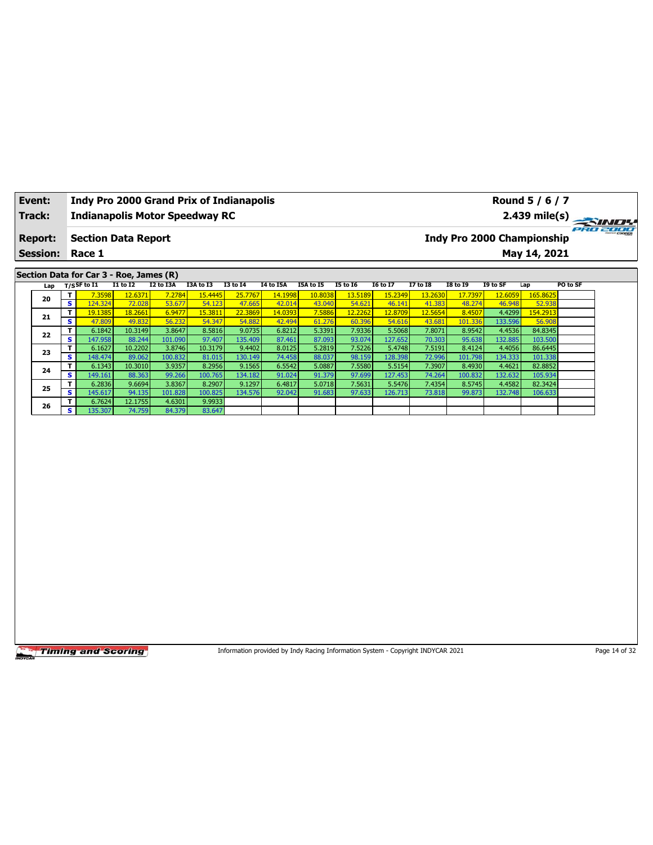| Event:          |                              | Indy Pro 2000 Grand Prix of Indianapolis |                   |                   |                   |                   |                  |                                                                                 |                  |                   |                  |                   |                   | Round 5 / 6 / 7                   |               |
|-----------------|------------------------------|------------------------------------------|-------------------|-------------------|-------------------|-------------------|------------------|---------------------------------------------------------------------------------|------------------|-------------------|------------------|-------------------|-------------------|-----------------------------------|---------------|
| Track:          |                              | <b>Indianapolis Motor Speedway RC</b>    |                   |                   |                   |                   |                  |                                                                                 |                  |                   |                  |                   |                   | 2.439 mile(s)                     |               |
| <b>Report:</b>  |                              | <b>Section Data Report</b>               |                   |                   |                   |                   |                  |                                                                                 |                  |                   |                  |                   |                   | <b>Indy Pro 2000 Championship</b> | PRO 2000      |
| <b>Session:</b> |                              | Race 1                                   |                   |                   |                   |                   |                  |                                                                                 |                  |                   |                  |                   |                   | May 14, 2021                      |               |
|                 |                              | Section Data for Car 3 - Roe, James (R)  |                   |                   |                   |                   |                  |                                                                                 |                  |                   |                  |                   |                   |                                   |               |
| Lap             |                              | $T/S$ SF to I1                           | $I1$ to $I2$      | I2 to I3A         | I3A to I3         | <b>I3 to 14</b>   | <b>I4 to I5A</b> | I5A to I5                                                                       | <b>I5 to 16</b>  | <b>I6 to I7</b>   | <b>I7 to 18</b>  | <b>I8 to 19</b>   | I9 to SF          | Lap                               | PO to SF      |
|                 | T                            | 7.3598                                   | 12.6371           | 7.2784            | 15.4445           | 25.7767           | 14.1998          | 10.8038                                                                         | 13.5189          | 15.2349           | 13.2630          | 17.7397           | 12.6059           | 165.8625                          |               |
| 20              | $\overline{\mathbf{s}}$      | 124.324                                  | 72.028            | 53.677            | 54.123            | 47.665            | 42.014           | 43.040                                                                          | 54.621           | 46.141            | 41.383           | 48.274            | 46.948            | 52.938                            |               |
| 21              | T                            | 19.1385                                  | 18.2661           | 6.9477            | 15.3811           | 22.3869           | 14.0393          | 7.5886                                                                          | 12.2262          | 12.8709           | 12.5654          | 8.4507            | 4.4299            | 154.2913                          |               |
|                 | S                            | 47.809                                   | 49.832            | 56.232            | 54.347            | 54.882            | 42.494           | 61.276                                                                          | 60.396           | 54.616            | 43.681           | 101.336           | 133.596           | 56.908                            |               |
| 22              | T                            | 6.1842                                   | 10.3149           | 3.8647            | 8.5816            | 9.0735            | 6.8212           | 5.3391                                                                          | 7.9336           | 5.5068            | 7.8071           | 8.9542            | 4.4536            | 84.8345                           |               |
|                 | s                            | 147.958                                  | 88.244            | 101.090           | 97.407            | 135.409           | 87.461           | 87.093                                                                          | 93.074           | 127.652           | 70.303           | 95.638            | 132.885           | 103.500                           |               |
| 23              | T<br>$\overline{\mathbf{s}}$ | 6.1627<br>148.474                        | 10.2202<br>89.062 | 3.8746<br>100.832 | 10.3179<br>81.015 | 9.4402<br>130.149 | 8.0125<br>74.458 | 5.2819<br>88.037                                                                | 7.5226<br>98.159 | 5.4748<br>128.398 | 7.5191<br>72.996 | 8.4124<br>101.798 | 4.4056<br>134.333 | 86.6445<br>101.338                |               |
|                 | T                            | 6.1343                                   | 10.3010           | 3.9357            | 8.2956            | 9.1565            | 6.5542           | 5.0887                                                                          | 7.5580           | 5.5154            | 7.3907           | 8.4930            | 4.4621            | 82.8852                           |               |
| 24              | s                            | 149.161                                  | 88.363            | 99.266            | 100.765           | 134.182           | 91.024           | 91.379                                                                          | 97.699           | 127.453           | 74.264           | 100.832           | 132.632           | 105.934                           |               |
|                 | T                            | 6.2836                                   | 9.6694            | 3.8367            | 8.2907            | 9.1297            | 6.4817           | 5.0718                                                                          | 7.5631           | 5.5476            | 7.4354           | 8.5745            | 4.4582            | 82.3424                           |               |
| 25              | s                            | 145.617                                  | 94.135            | 101.828           | 100.825           | 134.576           | 92.042           | 91.683                                                                          | 97.633           | 126.713           | 73.818           | 99.873            | 132.748           | 106.633                           |               |
|                 | T                            | 6.7624                                   | 12.1755           | 4.6301            | 9.9933            |                   |                  |                                                                                 |                  |                   |                  |                   |                   |                                   |               |
| 26              | s.                           | 135.307                                  | 74.759            | 84.379            | 83.647            |                   |                  |                                                                                 |                  |                   |                  |                   |                   |                                   |               |
|                 |                              |                                          |                   |                   |                   |                   |                  |                                                                                 |                  |                   |                  |                   |                   |                                   |               |
|                 |                              | <b>Timing and Scoring</b>                |                   |                   |                   |                   |                  | Information provided by Indy Racing Information System - Copyright INDYCAR 2021 |                  |                   |                  |                   |                   |                                   | Page 14 of 32 |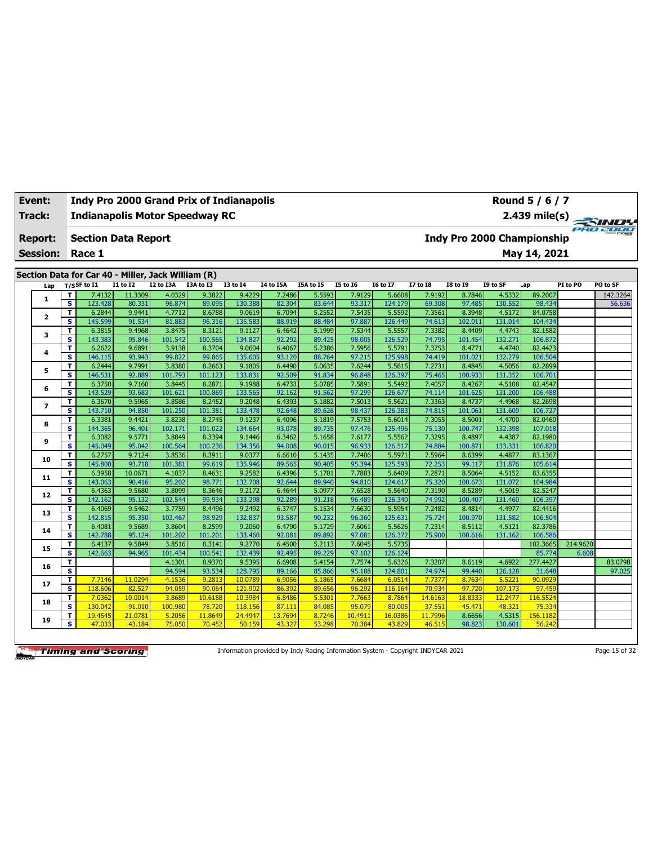| <b>Event:</b>   |                         | Indy Pro 2000 Grand Prix of Indianapolis           |                 |           |           |                 |           |           |                 |                 |                 |                 |          | Round 5 / 6 / 7                   |          |          |
|-----------------|-------------------------|----------------------------------------------------|-----------------|-----------|-----------|-----------------|-----------|-----------|-----------------|-----------------|-----------------|-----------------|----------|-----------------------------------|----------|----------|
| <b>Track:</b>   |                         | <b>Indianapolis Motor Speedway RC</b>              |                 |           |           |                 |           |           |                 |                 |                 |                 |          | 2.439 mile(s)                     |          |          |
| <b>Report:</b>  |                         | <b>Section Data Report</b>                         |                 |           |           |                 |           |           |                 |                 |                 |                 |          | <b>Indy Pro 2000 Championship</b> |          | PRO 2000 |
| <b>Session:</b> |                         | Race 1                                             |                 |           |           |                 |           |           |                 |                 |                 |                 |          | May 14, 2021                      |          |          |
|                 |                         | Section Data for Car 40 - Miller, Jack William (R) |                 |           |           |                 |           |           |                 |                 |                 |                 |          |                                   |          |          |
| Lap             |                         | $T/S$ SF to I1                                     | <b>I1 to I2</b> | I2 to I3A | I3A to I3 | <b>I3 to I4</b> | I4 to I5A | I5A to I5 | <b>I5 to 16</b> | <b>I6 to I7</b> | <b>I7 to I8</b> | <b>I8 to 19</b> | I9 to SF | Lap                               | PI to PO | PO to SF |
|                 | т                       | 7.4132                                             | 11.3309         | 4.0329    | 9.3822    | 9.4229          | 7.2486    | 5.5593    | 7.9129          | 5.6608          | 7.9192          | 8.7846          | 4.5332   | 89.2007                           |          | 142.3264 |
| 1               | s                       | 123.428                                            | 80.331          | 96.874    | 89.095    | 130.388         | 82.304    | 83.644    | 93.317          | 124.179         | 69.308          | 97.485          | 130.552  | 98.434                            |          | 56.636   |
|                 | T.                      | 6.2844                                             | 9.9441          | 4.7712    | 8.6788    | 9.0619          | 6.7094    | 5.2552    | 7.5435          | 5.5592          | 7.3561          | 8.3948          | 4.5172   | 84.0758                           |          |          |
| 2               | s                       | 145.599                                            | 91.534          | 81.883    | 96.316    | 135.583         | 88.919    | 88.484    | 97.887          | 126.449         | 74.613          | 102.011         | 131.014  | 104.434                           |          |          |
| з               | т                       | 6.3815                                             | 9.4968          | 3.8475    | 8.3121    | 9.1127          | 6.4642    | 5.1999    | 7.5344          | 5.5557          | 7.3382          | 8.4409          | 4.4743   | 82.1582                           |          |          |
|                 | s                       | 143.383                                            | 95.846          | 101.542   | 100.565   | 134.827         | 92.292    | 89.425    | 98.005          | 126.529         | 74.795          | 101.454         | 132.271  | 106.872                           |          |          |
| 4               | T                       | 6.2622                                             | 9.6891          | 3.9138    | 8.3704    | 9.0604          | 6.4067    | 5.2386    | 7.5956          | 5.5791          | 7.3753          | 8.4771          | 4.4740   | 82.4423                           |          |          |
|                 | $\overline{\mathbf{s}}$ | 146.115                                            | 93.943          | 99.822    | 99.865    | 135.605         | 93.120    | 88.764    | 97.215          | 125.998         | 74.419          | 101.021         | 132.279  | 106.504                           |          |          |
| 5               | T                       | 6.2444                                             | 9.7991          | 3.8380    | 8.2663    | 9.1805          | 6.4490    | 5.0635    | 7.6244          | 5.5615          | 7.2731          | 8.4845          | 4.5056   | 82.2899                           |          |          |
|                 | s                       | 146.531                                            | 92.889          | 101.793   | 101.123   | 133.831         | 92.509    | 91.834    | 96.848          | 126.397         | 75.465          | 100.933         | 131.352  | 106.701                           |          |          |
| 6               | T                       | 6.3750                                             | 9.7160          | 3.8445    | 8.2871    | 9.1988          | 6.4733    | 5.0785    | 7.5891          | 5.5492          | 7.4057          | 8.4267          | 4.5108   | 82.4547                           |          |          |
|                 | $\overline{\mathbf{s}}$ | 143.529                                            | 93.683          | 101.621   | 100.869   | 133.565         | 92.162    | 91.562    | 97.299          | 126.677         | 74.114          | 101.625         | 131.200  | 106.488                           |          |          |
| 7               | T                       | 6.3670                                             | 9.5965          | 3.8586    | 8.2452    | 9.2048          | 6.4393    | 5.1882    | 7.5013          | 5.5621          | 7.3363          | 8.4737          | 4.4968   | 82.2698                           |          |          |
|                 | s                       | 143.710                                            | 94.850          | 101.250   | 101.381   | 133.478         | 92.648    | 89.626    | 98.437          | 126.383         | 74.815          | 101.061         | 131.609  | 106.727                           |          |          |
| 8               | т                       | 6.3381                                             | 9.4421          | 3.8238    | 8.2745    | 9.1237          | 6.4096    | 5.1819    | 7.5753          | 5.6014          | 7.3055          | 8.5001          | 4.4700   | 82.0460                           |          |          |
|                 | s                       | 144.365                                            | 96.401          | 102.171   | 101.022   | 134.664         | 93.078    | 89.735    | 97.476          | 125.496         | 75.130          | 100.747         | 132.398  | 107.018                           |          |          |
|                 | T                       | 6.3082                                             | 9.5771          | 3.8849    | 8.3394    | 9.1446          | 6.3462    | 5.1658    | 7.6177          | 5.5562          | 7.3295          | 8.4897          | 4.4387   | 82.1980                           |          |          |
| 9               | s                       | 145.049                                            | 95.042          | 100.564   | 100.236   | 134.356         | 94.008    | 90.015    | 96.933          | 126.517         | 74.884          | 100.871         | 133.331  | 106.820                           |          |          |
| 10              | т                       | 6.2757                                             | 9.7124          | 3.8536    | 8.3911    | 9.0377          | 6.6610    | 5.1435    | 7.7406          | 5.5971          | 7.5964          | 8.6399          | 4.4877   | 83.1367                           |          |          |
|                 | s                       | 145.800                                            | 93.718          | 101.381   | 99.619    | 135.946         | 89.565    | 90.405    | 95.394          | 125.593         | 72.253          | 99.117          | 131.876  | 105.614                           |          |          |
|                 | т                       | 6.3958                                             | 10.0671         | 4.1037    | 8.4631    | 9.2582          | 6.4396    | 5.1701    | 7.7883          | 5.6409          | 7.2871          | 8.5064          | 4.5152   | 83.6355                           |          |          |
| 11              | $\overline{\mathbf{s}}$ | 143.063                                            | 90.416          | 95.202    | 98.771    | 132.708         | 92.644    | 89.940    | 94.810          | 124.617         | 75.320          | 100.673         | 131.072  | 104.984                           |          |          |
|                 | т                       | 6.4363                                             | 9.5680          | 3.8099    | 8.3646    | 9.2172          | 6.4644    | 5.0977    | 7.6528          | 5.5640          | 7.3190          | 8.5289          | 4.5019   | 82.5247                           |          |          |
| 12              | s                       | 142.162                                            | 95.132          | 102.544   | 99.934    | 133.298         | 92.289    | 91.218    | 96.489          | 126.340         | 74.992          | 100.407         | 131.460  | 106.397                           |          |          |
|                 | T                       | 6.4069                                             | 9.5462          | 3.7759    | 8.4496    | 9.2492          | 6.3747    | 5.1534    | 7.6630          | 5.5954          | 7.2482          | 8.4814          | 4.4977   | 82.4416                           |          |          |
| 13              | s                       | 142.815                                            | 95.350          | 103.467   | 98.929    | 132.837         | 93.587    | 90.232    | 96.360          | 125.631         | 75.724          | 100.970         | 131.582  | 106.504                           |          |          |
| 14              | т                       | 6.4081                                             | 9.5689          | 3.8604    | 8.2599    | 9.2060          | 6.4790    | 5.1729    | 7.6061          | 5.5626          | 7.2314          | 8.5112          | 4.5121   | 82.3786                           |          |          |
|                 | s                       | 142.788                                            | 95.124          | 101.202   | 101.201   | 133.460         | 92.081    | 89.892    | 97.081          | 126.372         | 75.900          | 100.616         | 131.162  | 106.586                           |          |          |
| 15              | T                       | 6.4137                                             | 9.5849          | 3.8516    | 8.3141    | 9.2770          | 6.4500    | 5.2113    | 7.6045          | 5.5735          |                 |                 |          | 102.3665                          | 214.9620 |          |
|                 | s                       | 142.663                                            | 94.965          | 101.434   | 100.541   | 132.439         | 92.495    | 89.229    | 97.102          | 126.124         |                 |                 |          | 85.774                            | 6.608    |          |
| 16              | T                       |                                                    |                 | 4.1301    | 8.9370    | 9.5395          | 6.6908    | 5.4154    | 7.7574          | 5.6326          | 7.3207          | 8.6119          | 4.6922   | 277.4427                          |          | 83.0798  |
|                 | s                       |                                                    |                 | 94.594    | 93.534    | 128,795         | 89.166    | 85.866    | 95.188          | 124.801         | 74.974          | 99.440          | 126.128  | 31.648                            |          | 97.025   |
| 17              | т                       | 7.7146                                             | 11.029          | 4.1536    | 9.2813    | 10.0789         | 6.9056    | 5.186     | 7.6684          | 6.0514          | 7.7377          | 8.7634          | 5.5221   | 90.092                            |          |          |
|                 | s                       | 118.606                                            | 82.527          | 94.059    | 90.064    | 121.902         | 86.392    | 89.656    | 96.292          | 116.164         | 70.934          | 97.720          | 107.173  | 97.459                            |          |          |
| 18              | т                       | 7.0362                                             | 10.0014         | 3.8689    | 10.6188   | 10.3984         | 6.8486    | 5.530     | 7.7663          | 8.7864          | 14.6163         | 18.8333         | 12.2477  | 116.552                           |          |          |
|                 | s                       | 130.042                                            | 91.010          | 100.980   | 78.720    | 118.156         | 87.111    | 84.085    | 95.079          | 80.005          | 37.551          | 45.471          | 48.321   | 75.334                            |          |          |
| 19              | т                       | 19.4545                                            | 21.078          | 5.2056    | 11.8649   | 24.4947         | 13.7694   | 8.7246    | 10.4911         | 16.0386         | 11.7996         | 8.6656          | 4.5315   | 156.1182                          |          |          |
|                 | $\overline{\mathbf{s}}$ | 47.033                                             | 43.184          | 75.050    | 70.452    | 50.159          | 43.327    | 53.298    | 70.384          | 43.829          | 46.515          | 98.823          | 130.601  | 56.242                            |          |          |

Information provided by Indy Racing Information System - Copyright INDYCAR 2021 Page 15 of 32

**Timing and Scoring**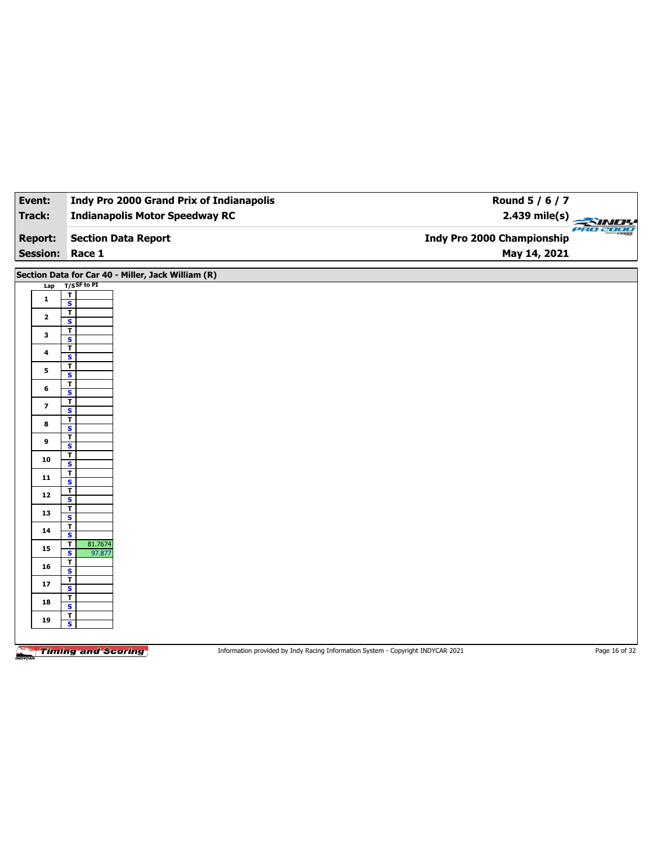| Event:          | <b>Indy Pro 2000 Grand Prix of Indianapolis</b>              | Round 5 / 6 / 7                   |
|-----------------|--------------------------------------------------------------|-----------------------------------|
| <b>Track:</b>   | <b>Indianapolis Motor Speedway RC</b>                        | 2.439 mile(s)                     |
| <b>Report:</b>  | <b>Section Data Report</b>                                   | <b>Indy Pro 2000 Championship</b> |
| <b>Session:</b> | Race 1                                                       | May 14, 2021                      |
|                 | Section Data for Car 40 - Miller, Jack William (R)           |                                   |
| Lap             | $T/S$ SF to PI                                               |                                   |
| $\mathbf{1}$    | $\overline{1}$<br>$\overline{\mathbf{s}}$                    |                                   |
| $\mathbf{2}$    | $\mathbf{T}$<br>$\overline{\mathbf{s}}$                      |                                   |
| 3               | $\mathbf T$<br>$\overline{\mathbf{s}}$                       |                                   |
| 4               | $\overline{\mathsf{r}}$                                      |                                   |
| 5               | $\mathbf{s}$<br>$\overline{1}$                               |                                   |
| 6               | $\overline{\mathbf{s}}$<br>$\overline{\mathbf{r}}$           |                                   |
|                 | $\overline{\mathbf{s}}$<br>$\overline{\mathbf{r}}$           |                                   |
| $\overline{ }$  | $\overline{\mathbf{s}}$<br>$\overline{\mathsf{r}}$           |                                   |
| 8               | S                                                            |                                   |
| 9               | $\mathbf T$<br>$\overline{\mathbf{s}}$                       |                                   |
| 10              | $\overline{\mathbf{r}}$<br>$\overline{\mathbf{s}}$           |                                   |
| $\mathbf{11}$   | $\overline{1}$<br>$\overline{\mathbf{s}}$                    |                                   |
| $12$            | $\overline{\mathbf{r}}$<br>$\overline{\mathbf{s}}$           |                                   |
| 13              | $\mathbf{T}$<br>$\overline{\mathbf{s}}$                      |                                   |
| ${\bf 14}$      | $\overline{\mathbf{r}}$<br>$\overline{\mathbf{s}}$           |                                   |
| 15              | 81.7674<br>$\mathbf{T}$                                      |                                   |
| 16              | $\overline{\mathbf{s}}$<br>97.877<br>$\overline{\mathbf{r}}$ |                                   |
|                 | $\overline{\mathbf{s}}$<br>$\overline{1}$                    |                                   |
| 17              | $\overline{\mathbf{s}}$<br>$\overline{\mathbf{r}}$           |                                   |
| 18              | $\mathbf{s}$                                                 |                                   |
| 19              | $\overline{I}$<br>$\overline{\mathbf{s}}$                    |                                   |
|                 |                                                              |                                   |

Information provided by Indy Racing Information System - Copyright INDYCAR 2021 Page 16 of 32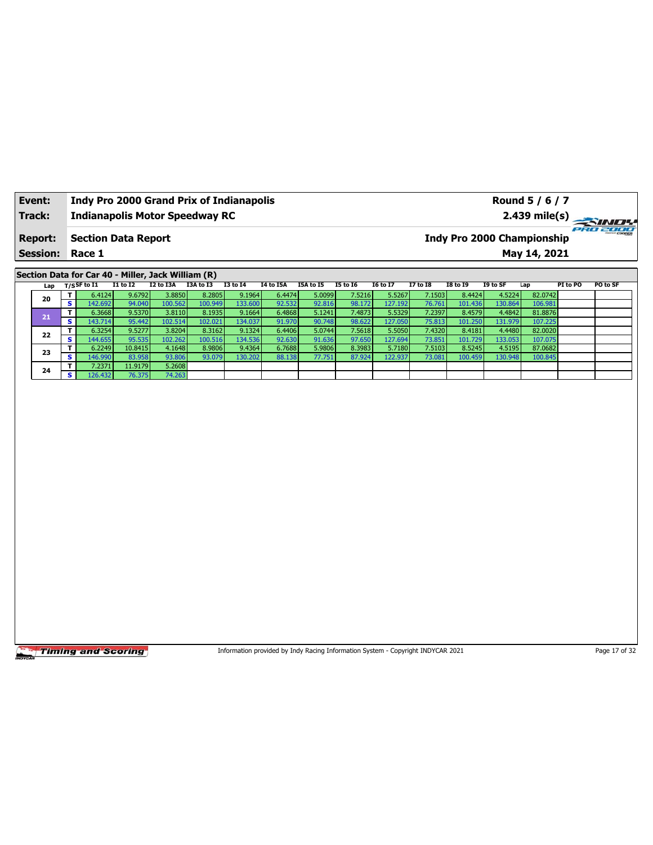| Event:                 | <b>Indy Pro 2000 Grand Prix of Indianapolis</b> | Round 5 / 6 / 7                                      |
|------------------------|-------------------------------------------------|------------------------------------------------------|
| Track:                 | <b>Indianapolis Motor Speedway RC</b>           |                                                      |
| <b>Report:</b>         | <b>Section Data Report</b>                      | <b>PRO 2000</b><br><b>Indy Pro 2000 Championship</b> |
| <b>Session: Race 1</b> |                                                 | May 14, 2021                                         |
|                        |                                                 |                                                      |

**Section Data for Car 40 - Miller, Jack William (R)**

| Lap |          | T/S <sup>SF to I1</sup> | <b>I1 to I2</b> | I2 to I3A | I3A to I3 | <b>I3 to I4</b> | <b>I4 to I5A</b> | I5A to I5 | <b>I5 to I6</b> | <b>16 to 17</b> | <b>I7 to I8</b> | <b>I8 to I9</b> | I9 to SF | Lap     | PI to PO | <b>PO to SF</b> |
|-----|----------|-------------------------|-----------------|-----------|-----------|-----------------|------------------|-----------|-----------------|-----------------|-----------------|-----------------|----------|---------|----------|-----------------|
| 20  |          | 6.4124                  | 9.6792          | 3.8850    | 8.2805    | 9.1964          | 6.4474           | 5.0099    | 7.5216          | 5.5267          | 7.1503          | 8.4424          | 4.5224   | 82.0742 |          |                 |
|     | s i      | 142.692                 | 94.040          | 100.562   | 100.949   | 133.600         | 92.532           | 92.816    | 98.172          | 127.1921        | 76.761          | 101.436         | 130.864  | 106.981 |          |                 |
| 21  |          | 6.3668                  | 9.5370          | 3.8110    | 8.1935    | 9.1664          | 6.4868           | 5.1241    | 7.4873          | 5.5329          | 7.2397          | 8.4579          | 4.4842   | 81.8876 |          |                 |
|     | s l      | 143.714                 | 95.442          | 102.514   | 102.021   | 134.037         | 91.970           | 90.748    | 98.622          | 127.050         | 75.813          | 101.250         | 131.979  | 107.225 |          |                 |
| 22  | т.       | 6.3254                  | 9.5277          | 3.8204    | 8.3162    | 9.1324          | 6.4406           | 5.0744    | 7.5618          | 5.5050          | 7.4320          | 8.4181          | 4.4480   | 82.0020 |          |                 |
|     | s l      | 144.655                 | 95.535          | 102.262   | 100.516   | 134.536         | 92.630           | 91.636    | 97.650          | 127.694         | 73.851          | 101.729         | 133.053  | 107.075 |          |                 |
| 23  |          | 6.2249                  | 10.8415         | 4.1648    | 8.9806    | 9.4364          | 6.7688           | 5.9806    | 8.3983          | 5.7180          | 7.5103          | 8.5245          | 4.5195   | 87.0682 |          |                 |
|     | <b>S</b> | 146.990                 | 83.958          | 93.806    | 93.079    | 130.202         | 88.138           | 77.751    | 87.924          | 122.937         | 73.081          | 100.459         | 130.948  | 100.845 |          |                 |
| 24  | т.       | 7.2371                  | 11.9179         | 5.2608    |           |                 |                  |           |                 |                 |                 |                 |          |         |          |                 |
|     | s.       | 126.432                 | 76.375          | 74.263    |           |                 |                  |           |                 |                 |                 |                 |          |         |          |                 |

**Timing and Scoring** 

Information provided by Indy Racing Information System - Copyright INDYCAR 2021 Page 17 of 32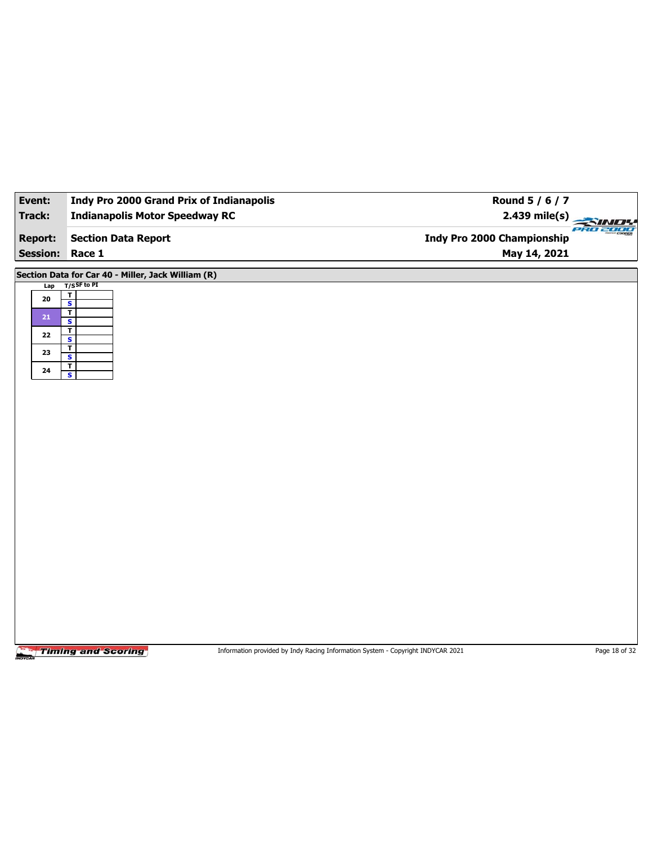| Event:          | <b>Indy Pro 2000 Grand Prix of Indianapolis</b>    | Round 5 / 6 / 7             |
|-----------------|----------------------------------------------------|-----------------------------|
| Track:          | <b>Indianapolis Motor Speedway RC</b>              | $2.439$ mile(s)<br>PRO 2000 |
| <b>Report:</b>  | <b>Section Data Report</b>                         | Indy Pro 2000 Championship  |
| <b>Session:</b> | Race 1                                             | May 14, 2021                |
|                 | Section Data for Car 40 - Miller, Jack William (R) |                             |
| Lap             | $T/S$ SF to PI                                     |                             |
| ${\bf 20}$      | $\frac{1}{s}$                                      |                             |
| ${\bf 21}$      | $\overline{\mathbf{r}}$                            |                             |
|                 | $\overline{\mathbf{s}}$<br>$\overline{1}$          |                             |
| 22              | $\overline{\mathbf{s}}$                            |                             |
| 23              | $\mathbf{T}$<br>S                                  |                             |
|                 | $\overline{1}$                                     |                             |
| ${\bf 24}$      | $\overline{\mathbf{s}}$                            |                             |
|                 |                                                    |                             |
|                 |                                                    |                             |
|                 |                                                    |                             |
|                 |                                                    |                             |
|                 |                                                    |                             |
|                 |                                                    |                             |
|                 |                                                    |                             |
|                 |                                                    |                             |
|                 |                                                    |                             |
|                 |                                                    |                             |
|                 |                                                    |                             |
|                 |                                                    |                             |
|                 |                                                    |                             |
|                 |                                                    |                             |
|                 |                                                    |                             |
|                 |                                                    |                             |
|                 |                                                    |                             |
|                 |                                                    |                             |
|                 |                                                    |                             |
|                 |                                                    |                             |

Information provided by Indy Racing Information System - Copyright INDYCAR 2021 Page 18 of 32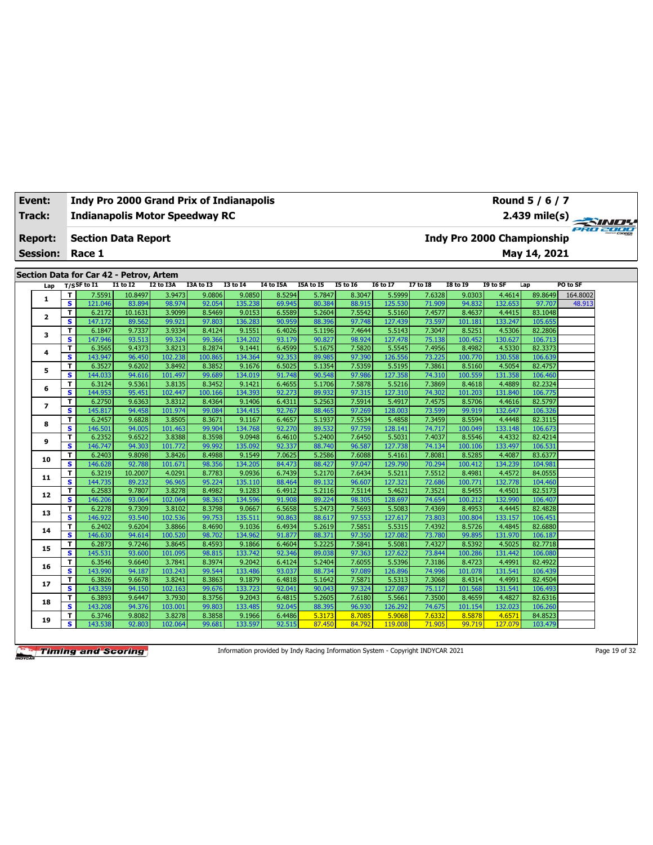| <b>Track:</b>   |                              | <b>Indianapolis Motor Speedway RC</b>   |                  |                   |                   |                   |                  |                  |                  |                   |                  |                   |                   |                                   | 2.439 mile(s)<br>eko 2000 |
|-----------------|------------------------------|-----------------------------------------|------------------|-------------------|-------------------|-------------------|------------------|------------------|------------------|-------------------|------------------|-------------------|-------------------|-----------------------------------|---------------------------|
| <b>Report:</b>  |                              | <b>Section Data Report</b>              |                  |                   |                   |                   |                  |                  |                  |                   |                  |                   |                   | <b>Indy Pro 2000 Championship</b> |                           |
| <b>Session:</b> |                              | Race 1                                  |                  |                   |                   |                   |                  |                  |                  |                   |                  |                   |                   | May 14, 2021                      |                           |
|                 |                              | Section Data for Car 42 - Petrov, Artem |                  |                   |                   |                   |                  |                  |                  |                   |                  |                   |                   |                                   |                           |
| Lap             |                              | $T/S$ SF to $I1$                        | <b>I1 to I2</b>  | <b>I2 to I3A</b>  | I3A to I3         | <b>I3 to I4</b>   | <b>I4 to I5A</b> | I5A to I5        | <b>I5 to 16</b>  | <b>I6 to I7</b>   | <b>I7 to I8</b>  | <b>I8 to 19</b>   | I9 to SF          | Lap                               | PO to SF                  |
|                 | т                            | 7.5591                                  | 10.8497          | 3.9473            | 9.0806            | 9.0850            | 8.5294           | 5.7847           | 8.3047           | 5.5999            | 7.6328           | 9.0303            | 4.4614            | 89.8649                           | 164.8002                  |
| 1               | $\overline{\mathbf{s}}$      | 121.046                                 | 83.894           | 98.974            | 92.054            | 135.238           | 69.945           | 80.384           | 88.915           | 125.530           | 71.909           | 94.832            | 132.653           | 97.707                            | 48.913                    |
| $\mathbf{2}$    | T.                           | 6.2172                                  | 10.1631          | 3.9099            | 8.5469            | 9.0153            | 6.5589           | 5.2604           | 7.5542           | 5.5160            | 7.4577           | 8.4637            | 4.4415            | 83.1048                           |                           |
|                 | s                            | 147.172                                 | 89.562           | 99.921            | 97.803            | 136.283           | 90.959           | 88.396           | 97.748           | 127.439           | 73.597           | 101.181           | 133.247           | 105.655                           |                           |
| 3               | T                            | 6.1847                                  | 9.7337           | 3.9334            | 8.4124            | 9.1551            | 6.4026           | 5.1196           | 7.4644           | 5.5143            | 7.3047           | 8.5251            | 4.5306            | 82.2806                           |                           |
|                 | s                            | 147.946                                 | 93.513           | 99.324            | 99.366            | 134.202           | 93.179           | 90.827           | 98.924           | 127.478           | 75.138           | 100.452           | 130.627           | 106.713                           |                           |
| 4               | т<br>s                       | 6.3565<br>143.947                       | 9.4373<br>96.450 | 3.8213<br>102.238 | 8.2874<br>100.865 | 9.1441<br>134.364 | 6.4599<br>92.353 | 5.1675<br>89.985 | 7.5820<br>97.390 | 5.5545<br>126.556 | 7.4956<br>73.225 | 8.4982<br>100.770 | 4.5330<br>130.558 | 82.3373<br>106.639                |                           |
|                 | T                            | 6.3527                                  | 9.6202           | 3.8492            | 8.3852            | 9.1676            | 6.5025           | 5.1354           | 7.5359           | 5.5195            | 7.3861           | 8.5160            | 4.5054            | 82.4757                           |                           |
| 5               | $\overline{\mathbf{s}}$      | 144.033                                 | 94.616           | 101.497           | 99.689            | 134.019           | 91.748           | 90.548           | 97.986           | 127.358           | 74.310           | 100.559           | 131.358           | 106,460                           |                           |
|                 | т                            | 6.3124                                  | 9.5361           | 3.8135            | 8.3452            | 9.1421            | 6.4655           | 5.1706           | 7.5878           | 5.5216            | 7.3869           | 8.4618            | 4.4889            | 82.2324                           |                           |
| 6               | s.                           | 144.953                                 | 95.451           | 102.447           | 100.166           | 134.393           | 92.273           | 89.932           | 97.315           | 127.310           | 74.302           | 101.203           | 131.840           | 106.775                           |                           |
|                 | T                            | 6.2750                                  | 9.6363           | 3.8312            | 8.4364            | 9.1406            | 6.4311           | 5.2563           | 7.5914           | 5.4917            | 7.4575           | 8.5706            | 4.4616            | 82.5797                           |                           |
| $\overline{ }$  | s                            | 145.817                                 | 94.458           | 101.974           | 99.084            | 134.415           | 92.767           | 88.465           | 97.269           | 128.003           | 73.599           | 99.919            | 132.647           | 106.326                           |                           |
| 8               | T                            | 6.2457                                  | 9.6828           | 3.8505            | 8.3671            | 9.1167            | 6.4657           | 5.1937           | 7.5534           | 5.4858            | 7.3459           | 8.5594            | 4.4448            | 82.3115                           |                           |
|                 | s                            | 146.501                                 | 94.005           | 101.463           | 99.904            | 134.768           | 92.270           | 89.532           | 97.759           | 128.141           | 74.717           | 100.049           | 133.148           | 106.673                           |                           |
| 9               | T                            | 6.2352                                  | 9.6522           | 3.8388            | 8.3598            | 9.0948            | 6.4610           | 5.2400           | 7.6450           | 5.5031            | 7.4037           | 8.5546            | 4.4332            | 82.4214                           |                           |
|                 | s                            | 146.747                                 | 94.303           | 101.772           | 99.992            | 135.092           | 92.337           | 88.740           | 96.587           | 127.738           | 74.134           | 100.106           | 133.497           | 106.531                           |                           |
| 10              | T<br>s                       | 6.2403<br>146.628                       | 9.8098<br>92.788 | 3.8426<br>101.671 | 8.4988<br>98.356  | 9.1549<br>134.205 | 7.0625<br>84.473 | 5.2586<br>88.427 | 7.6088<br>97.047 | 5.4161<br>129.790 | 7.8081<br>70.294 | 8.5285<br>100.412 | 4.4087<br>134.239 | 83.6377<br>104.981                |                           |
|                 | T                            | 6.3219                                  | 10.2007          | 4.0291            | 8.7783            | 9.0936            | 6.7439           | 5.2170           | 7.6434           | 5.5211            | 7.5512           | 8.4981            | 4.4572            | 84.0555                           |                           |
| 11              | s.                           | 144.735                                 | 89.232           | 96.965            | 95.224            | 135.110           | 88.464           | 89.132           | 96.607           | 127.321           | 72.686           | 100.771           | 132.778           | 104.460                           |                           |
|                 | т                            | 6.2583                                  | 9.7807           | 3.8278            | 8.4982            | 9.1283            | 6.4912           | 5.2116           | 7.5114           | 5.4621            | 7.3521           | 8.5455            | 4.4501            | 82.5173                           |                           |
| 12              | s                            | 146.206                                 | 93.064           | 102.064           | 98.363            | 134.596           | 91.908           | 89.224           | 98.305           | 128.697           | 74.654           | 100.212           | 132.990           | 106.407                           |                           |
| 13              | T                            | 6.2278                                  | 9.7309           | 3.8102            | 8.3798            | 9.0667            | 6.5658           | 5.2473           | 7.5693           | 5.5083            | 7.4369           | 8.4953            | 4.4445            | 82.4828                           |                           |
|                 | s                            | 146.922                                 | 93.540           | 102.536           | 99.753            | 135.511           | 90.863           | 88.617           | 97.553           | 127.617           | 73.803           | 100.804           | 133.157           | 106.451                           |                           |
| 14              | T                            | 6.2402                                  | 9.6204           | 3.8866            | 8.4690            | 9.1036            | 6.4934           | 5.2619           | 7.5851           | 5.5315            | 7.4392           | 8.5726            | 4.4845            | 82.6880                           |                           |
|                 | $\overline{\mathbf{s}}$      | 146.630                                 | 94.614           | 100.520           | 98.702            | 134.962           | 91.877           | 88.371           | 97.350           | 127.082           | 73.780           | 99.895            | 131.970           | 106.187                           |                           |
| 15              | т<br>$\overline{\mathbf{s}}$ | 6.2873                                  | 9.7246           | 3.8645            | 8.4593            | 9.1866            | 6.4604           | 5.2225           | 7.5841           | 5.5081            | 7.4327           | 8.5392            | 4.5025            | 82.7718                           |                           |
|                 | T                            | 145.531<br>6.3546                       | 93.600<br>9.6640 | 101.095<br>3.7841 | 98.815<br>8.3974  | 133.742<br>9.2042 | 92.346<br>6.4124 | 89.038<br>5.2404 | 97.363<br>7.6055 | 127.622<br>5.5396 | 73.844<br>7.3186 | 100.286<br>8.4723 | 131.442<br>4.4991 | 106.080<br>82.4922                |                           |
| 16              | s                            | 143.990                                 | 94.187           | 103.243           | 99.544            | 133.486           | 93.037           | 88.734           | 97.089           | 126.896           | 74.996           | 101.078           | 131.541           | 106.439                           |                           |
|                 | T                            | 6.3826                                  | 9.6678           | 3.8241            | 8.3863            | 9.1879            | 6.4818           | 5.1642           | 7.5871           | 5.5313            | 7.3068           | 8.4314            | 4.4991            | 82.4504                           |                           |
| 17              | s                            | 143.359                                 | 94.150           | 102.163           | 99.676            | 133.723           | 92.041           | 90.043           | 97.324           | 127.087           | 75.117           | 101.568           | 131.541           | 106.493                           |                           |
|                 | T                            | 6.3893                                  | 9.6447           | 3.7930            | 8.3756            | 9.2043            | 6.4815           | 5.2605           | 7.6180           | 5.5661            | 7.3500           | 8.4659            | 4.4827            | 82.6316                           |                           |
| 18              | s                            | 143.208                                 | 94.376           | 103.001           | 99.803            | 133.485           | 92.045           | 88.395           | 96.930           | 126.292           | 74.675           | 101.154           | 132.023           | 106.260                           |                           |
| 19              | Τ                            | 6.3746                                  | 9.8082           | 3.8278            | 8.3858            | 9.1966            | 6.4486           | 5.3173           | 8.7085           | 5.9068            | 7.6332           | 8.5878            | 4.6571            | 84.8523                           |                           |
|                 | $\overline{\mathbf{s}}$      | 143.538                                 | 92.803           | 102.064           | 99.681            | 133.597           | 92.515           | 87,450           | 84.792           | 119.008           | 71.905           | 99.719            | 127.079           | 103.479                           |                           |

**Event: Indy Pro 2000 Grand Prix of Indianapolis**

Information provided by Indy Racing Information System - Copyright INDYCAR 2021 Page 19 of 32

**Round 5 / 6 / 7**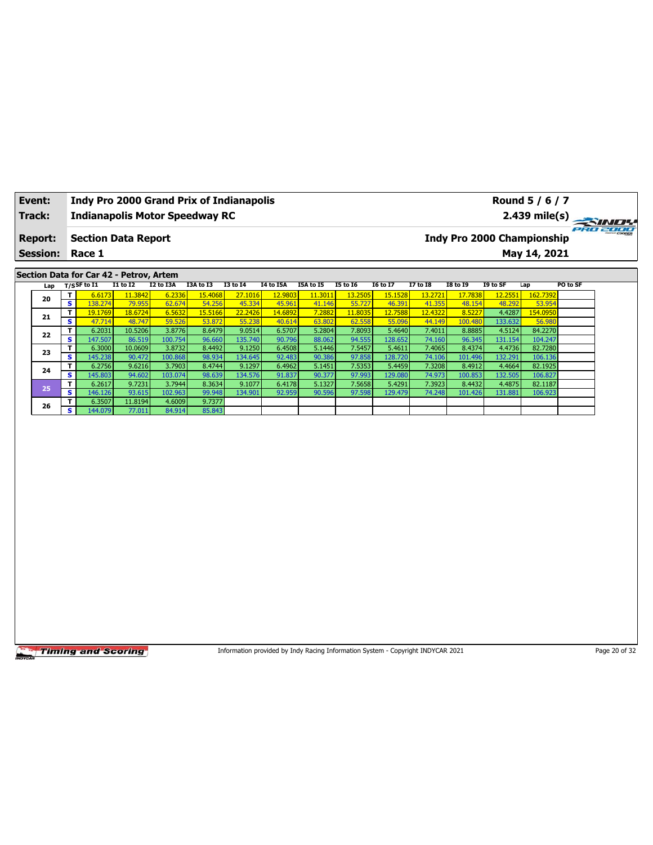| Event:          |                         |                                         |                   |                   | <b>Indy Pro 2000 Grand Prix of Indianapolis</b> |                   |                   |                                                                                 |                   |                   |                   |                                   |                   | Round 5 / 6 / 7    |          |               |
|-----------------|-------------------------|-----------------------------------------|-------------------|-------------------|-------------------------------------------------|-------------------|-------------------|---------------------------------------------------------------------------------|-------------------|-------------------|-------------------|-----------------------------------|-------------------|--------------------|----------|---------------|
| Track:          |                         |                                         |                   |                   | <b>Indianapolis Motor Speedway RC</b>           |                   |                   |                                                                                 |                   |                   |                   |                                   |                   | 2.439 mile(s)      |          |               |
| <b>Report:</b>  |                         | <b>Section Data Report</b>              |                   |                   |                                                 |                   |                   |                                                                                 |                   |                   |                   | <b>Indy Pro 2000 Championship</b> |                   |                    |          | 980 2000      |
|                 |                         |                                         |                   |                   |                                                 |                   |                   |                                                                                 |                   |                   |                   |                                   |                   |                    |          |               |
| <b>Session:</b> |                         | Race 1                                  |                   |                   |                                                 |                   |                   |                                                                                 |                   |                   |                   |                                   |                   | May 14, 2021       |          |               |
|                 |                         | Section Data for Car 42 - Petrov, Artem |                   |                   |                                                 |                   |                   |                                                                                 |                   |                   |                   |                                   |                   |                    |          |               |
| Lap             |                         | $T/S$ SF to I1                          | <b>I1 to I2</b>   | I2 to I3A         | I3A to I3                                       | <b>I3 to 14</b>   | <b>I4 to I5A</b>  | I5A to I5                                                                       | <b>I5 to 16</b>   | <b>I6 to I7</b>   | <b>I7 to I8</b>   | <b>I8 to 19</b>                   | I9 to SF          | Lap                | PO to SF |               |
| 20              | T                       | 6.6173                                  | 11.3842           | 6.2336            | 15.4068                                         | 27.1016           | 12.9803           | 11.3011                                                                         | 13.2505           | 15.1528           | 13.2721           | 17.7838                           | 12.2551           | 162.7392           |          |               |
|                 | $\overline{\mathbf{s}}$ | 138.274                                 | 79.955            | 62.674            | 54.256                                          | 45.334            | 45.961            | 41.146                                                                          | 55.727            | 46.391            | 41.355            | 48.154                            | 48.292            | 53.954             |          |               |
| 21              | T<br>s                  | 19.1769<br>47.714                       | 18.6724<br>48.747 | 6.5632<br>59.526  | 15.5166<br>53.872                               | 22.2426<br>55.238 | 14.6892<br>40.614 | 7.2882<br>63.802                                                                | 11.8035<br>62.558 | 12.7588<br>55.096 | 12.4322<br>44.149 | 8.5227<br>100.480                 | 4.4287<br>133.632 | 154.0950<br>56.980 |          |               |
|                 | T.                      | 6.2031                                  | 10.5206           | 3.8776            | 8.6479                                          | 9.0514            | 6.5707            | 5.2804                                                                          | 7.8093            | 5.4640            | 7.4011            | 8.8885                            | 4.5124            | 84.2270            |          |               |
| 22              | s                       | 147.507                                 | 86.519            | 100.754           | 96.660                                          | 135.740           | 90.796            | 88.062                                                                          | 94.555            | 128.652           | 74.160            | 96.345                            | 131.154           | 104.247            |          |               |
| 23              | T                       | 6.3000                                  | 10.0609           | 3.8732            | 8.4492                                          | 9.1250            | 6.4508            | 5.1446                                                                          | 7.5457            | 5.4611            | 7.4065            | 8.4374                            | 4.4736            | 82.7280            |          |               |
|                 | s                       | 145.238                                 | 90.472            | 100.868           | 98.934                                          | 134.645           | 92.483            | 90.386                                                                          | 97.858            | 128.720           | 74.106            | 101.496                           | 132.291           | 106.136            |          |               |
| 24              | T                       | 6.2756                                  | 9.6216            | 3.7903            | 8.4744                                          | 9.1297            | 6.4962            | 5.1451                                                                          | 7.5353            | 5.4459            | 7.3208            | 8.4912                            | 4.4664            | 82.1925            |          |               |
|                 | s<br>T                  | 145.803<br>6.2617                       | 94.602<br>9.7231  | 103.074<br>3.7944 | 98.639<br>8.3634                                | 134.576<br>9.1077 | 91.837<br>6.4178  | 90.377<br>5.1327                                                                | 97.993<br>7.5658  | 129.080<br>5.4291 | 74.973<br>7.3923  | 100.853<br>8.4432                 | 132.505<br>4.4875 | 106.827<br>82.1187 |          |               |
| 25              | s                       | 146.126                                 | 93.615            | 102.963           | 99.948                                          | 134.901           | 92.959            | 90.596                                                                          | 97.598            | 129.479           | 74.248            | 101.426                           | 131.881           | 106.923            |          |               |
|                 | T                       | 6.3507                                  | 11.8194           | 4.6009            | 9.7377                                          |                   |                   |                                                                                 |                   |                   |                   |                                   |                   |                    |          |               |
| 26              | s.                      | 144.079                                 | 77.011            | 84.914            | 85.843                                          |                   |                   |                                                                                 |                   |                   |                   |                                   |                   |                    |          |               |
|                 |                         |                                         |                   |                   |                                                 |                   |                   |                                                                                 |                   |                   |                   |                                   |                   |                    |          |               |
|                 |                         | <b>Timing and Scoring</b>               |                   |                   |                                                 |                   |                   | Information provided by Indy Racing Information System - Copyright INDYCAR 2021 |                   |                   |                   |                                   |                   |                    |          | Page 20 of 32 |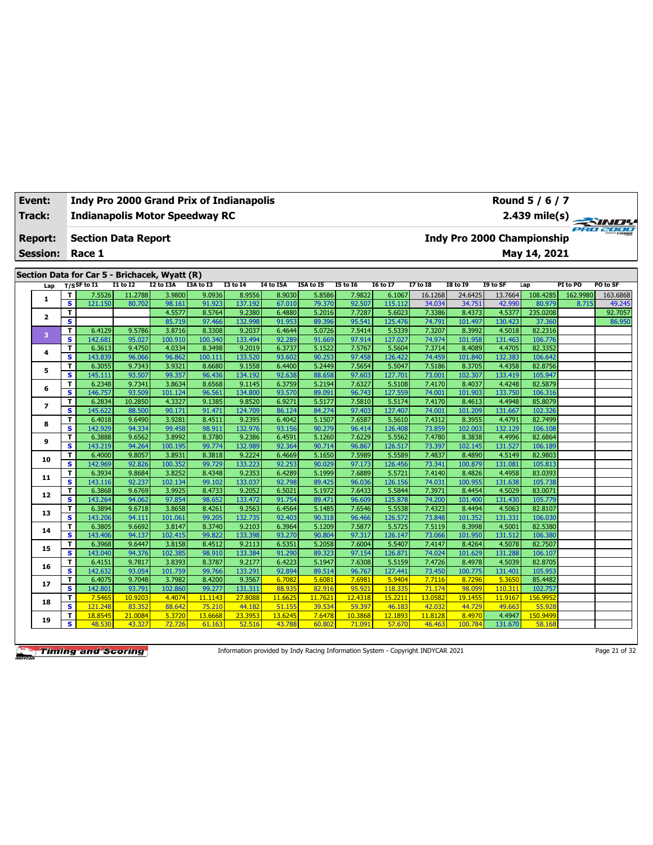| Track:          |              |                                               |                  |                  | <b>Indianapolis Motor Speedway RC</b> |                   |                  |                  |                  |                   |                  |                   |                            |                    |          | 2.439 mile(s)   |
|-----------------|--------------|-----------------------------------------------|------------------|------------------|---------------------------------------|-------------------|------------------|------------------|------------------|-------------------|------------------|-------------------|----------------------------|--------------------|----------|-----------------|
| <b>Report:</b>  |              | <b>Section Data Report</b>                    |                  |                  |                                       |                   |                  |                  |                  |                   |                  |                   | Indy Pro 2000 Championship |                    |          | <b>PRO 2000</b> |
| <b>Session:</b> |              | Race 1                                        |                  |                  |                                       |                   |                  |                  |                  |                   |                  |                   |                            | May 14, 2021       |          |                 |
|                 |              | Section Data for Car 5 - Brichacek, Wyatt (R) |                  |                  |                                       |                   |                  |                  |                  |                   |                  |                   |                            |                    |          |                 |
| Lap             |              | $T/S$ SF to I1                                | <b>I1 to I2</b>  | I2 to I3A        | I3A to I3                             | <b>I3 to 14</b>   | <b>I4 to I5A</b> | I5A to I5        | <b>I5 to 16</b>  | <b>I6 to I7</b>   | <b>I7 to I8</b>  | <b>I8 to 19</b>   | I9 to SF                   | Lap                | PI to PO | PO to SF        |
| 1               | T            | 7.5526                                        | 11.2788          | 3.9800           | 9.0936                                | 8.9556            | 8.9030           | 5.8586           | 7.9822           | 6.1067            | 16.1268          | 24.6425           | 13.7664                    | 108.4285           | 162.9980 | 163.6868        |
|                 | s            | 121.150                                       | 80.702           | 98.161           | 91.923                                | 137.192           | 67.010           | 79.370           | 92.507           | 115.112           | 34.034           | 34.751            | 42.990                     | 80.979             | 8.715    | 49.245          |
| 2               | T            |                                               |                  | 4.5577           | 8.5764                                | 9.2380            | 6.4880           | 5.2016           | 7.7287           | 5.6023            | 7.3386           | 8.4373            | 4.5377                     | 235.0208           |          | 92.7057         |
|                 | $\mathbf{s}$ |                                               |                  | 85.719           | 97.466                                | 132.998           | 91.953           | 89.396           | 95.541           | 125.476           | 74.791           | 101.497           | 130.423                    | 37.360             |          | 86.950          |
| 3               | T            | 6.4129                                        | 9.5786           | 3.8716           | 8.3308                                | 9.2037            | 6.4644           | 5.0726           | 7.5414           | 5.5339            | 7.3207           | 8.3992            | 4.5018                     | 82.2316            |          |                 |
|                 | s            | 142.681                                       | 95.027           | 100.910          | 100.340                               | 133.494           | 92.289           | 91.669           | 97.914           | 127.027           | 74.974           | 101.958           | 131.463                    | 106.776            |          |                 |
| 4               | T            | 6.3613                                        | 9.4750           | 4.0334           | 8.3498                                | 9.2019            | 6.3737           | 5.1522           | 7.5767           | 5.5604            | 7.3714           | 8.4089            | 4.4705                     | 82.3352            |          |                 |
|                 | s            | 143.839                                       | 96.066           | 96.862           | 100.111                               | 133.520           | 93.602           | 90.253           | 97.458           | 126.422           | 74.459           | 101.840           | 132.383                    | 106.642            |          |                 |
| 5               | T<br>s       | 6.3055<br>145.111                             | 9.7343<br>93.507 | 3.9321<br>99.357 | 8.6680<br>96.436                      | 9.1558<br>134.192 | 6.4400<br>92.638 | 5.2449<br>88.658 | 7.5654<br>97.603 | 5.5047<br>127.701 | 7.5186           | 8.3705<br>102.307 | 4.4358<br>133.419          | 82.8756            |          |                 |
|                 |              |                                               |                  | 3.8634           | 8.6568                                | 9.1145            |                  | 5.2194           | 7.6327           |                   | 73.001<br>7.4170 | 8.4037            | 4.4248                     | 105.947<br>82.5879 |          |                 |
| 6               | T<br>s       | 6.2348<br>146.757                             | 9.7341<br>93.509 | 101.124          | 96.561                                | 134.800           | 6.3759<br>93.570 | 89.091           | 96.743           | 5.5108<br>127.559 | 74.001           | 101.903           | 133.750                    | 106.316            |          |                 |
|                 | т            | 6.2834                                        | 10.2850          | 4.3327           | 9.1385                                | 9.8520            | 6.9271           | 5.5177           | 7.5810           | 5.5174            | 7.4170           | 8.4613            | 4.4948                     | 85.8079            |          |                 |
| $\overline{ }$  | s            | 145.622                                       | 88.500           | 90.171           | 91.471                                | 124.709           | 86.124           | 84.274           | 97.403           | 127.407           | 74.001           | 101.209           | 131.667                    | 102.326            |          |                 |
|                 | T            | 6.4018                                        | 9.6490           | 3.9281           | 8.4511                                | 9.2395            | 6.4042           | 5.1507           | 7.6587           | 5.5610            | 7.4312           | 8.3955            | 4.4791                     | 82.7499            |          |                 |
| 8               | $\mathbf{s}$ | 142.929                                       | 94.334           | 99.458           | 98.911                                | 132.976           | 93.156           | 90.279           | 96.414           | 126.408           | 73.859           | 102.003           | 132.129                    | 106.108            |          |                 |
|                 | T            | 6.3888                                        | 9.6562           | 3.8992           | 8.3780                                | 9.2386            | 6.4591           | 5.1260           | 7.6229           | 5.5562            | 7.4780           | 8.3838            | 4.4996                     | 82.6864            |          |                 |
| 9               | s            | 143.219                                       | 94.264           | 100.195          | 99.774                                | 132.989           | 92.364           | 90.714           | 96.867           | 126.517           | 73.397           | 102.145           | 131.527                    | 106.189            |          |                 |
|                 | T            | 6.4000                                        | 9.8057           | 3.8931           | 8.3818                                | 9.2224            | 6.4669           | 5.1650           | 7.5989           | 5.5589            | 7.4837           | 8.4890            | 4.5149                     | 82.9803            |          |                 |
| 10              | s            | 142.969                                       | 92.826           | 100.352          | 99.729                                | 133.223           | 92.253           | 90.029           | 97.173           | 126.456           | 73.341           | 100.879           | 131.081                    | 105.813            |          |                 |
|                 | T            | 6.3934                                        | 9.8684           | 3.8252           | 8.4348                                | 9.2353            | 6.4289           | 5.1999           | 7.6889           | 5.5721            | 7.4140           | 8.4826            | 4.4958                     | 83.0393            |          |                 |
| 11              | s            | 143.116                                       | 92.237           | 102.134          | 99.102                                | 133.037           | 92.798           | 89.425           | 96.036           | 126.156           | 74.031           | 100.955           | 131.638                    | 105.738            |          |                 |
|                 | T            | 6.3868                                        | 9.6769           | 3.9925           | 8.4733                                | 9.2052            | 6.5021           | 5.1972           | 7.6433           | 5.5844            | 7.3971           | 8.4454            | 4.5029                     | 83.0071            |          |                 |
| 12              | s            | 143.264                                       | 94.062           | 97.854           | 98.652                                | 133.472           | 91.754           | 89.47            | 96.609           | 125.878           | 74.200           | 101.400           | 131.430                    | 105.779            |          |                 |
|                 | T            | 6.3894                                        | 9.6718           | 3.8658           | 8.4261                                | 9.2563            | 6.4564           | 5.1485           | 7.6546           | 5.5538            | 7.4323           | 8.4494            | 4.5063                     | 82.8107            |          |                 |
| 13              | s            | 143.206                                       | 94.111           | 101.061          | 99.205                                | 132.735           | 92.403           | 90.318           | 96.466           | 126.572           | 73.848           | 101.352           | 131.331                    | 106.030            |          |                 |
|                 | т            | 6.3805                                        | 9.6692           | 3.8147           | 8.3740                                | 9.2103            | 6.3964           | 5.1209           | 7.5877           | 5.5725            | 7.5119           | 8.3998            | 4.5001                     | 82.5380            |          |                 |
| 14              | s            | 143,406                                       | 94.137           | 102.415          | 99.822                                | 133.398           | 93.270           | 90.804           | 97.317           | 126.147           | 73.066           | 101.950           | 131.512                    | 106.380            |          |                 |
|                 | T            | 6.3968                                        | 9.6447           | 3.8158           | 8.4512                                | 9.2113            | 6.5351           | 5.2058           | 7.6004           | 5.5407            | 7.4147           | 8.4264            | 4.5078                     | 82.7507            |          |                 |
| 15              | $\mathbf{s}$ | 143.040                                       | 94.376           | 102.385          | 98.910                                | 133.384           | 91.290           | 89.323           | 97.154           | 126.87            | 74.024           | 101.629           | 131.288                    | 106.107            |          |                 |
| 16              | T            | 6.4151                                        | 9.7817           | 3.8393           | 8.3787                                | 9.2177            | 6.4223           | 5.1947           | 7.6308           | 5.5159            | 7.4726           | 8.4978            | 4.5039                     | 82.8705            |          |                 |
|                 | s            | 142.632                                       | 93.054           | 101.759          | 99.766                                | 133.291           | 92.894           | 89.514           | 96.767           | 127.441           | 73.450           | 100.775           | 131.401                    | 105.953            |          |                 |
| 17              | т            | 6.4075                                        | 9.7048           | 3.7982           | 8.4200                                | 9.3567            | 6.7082           | 5.6081           | 7.6981           | 5.9404            | 7.7116           | 8.7296            | 5.3650                     | 85.4482            |          |                 |
|                 | s            | 142.801                                       | 93.79            | 102.860          | 99.277                                | 131.31:           | 88.935           | 82.916           | 95.921           | 118.335           | 71.174           | 98.099            | 110.31                     | 102.757            |          |                 |
| 18              | T            | 7.5465                                        | 10.9203          | 4.4074           | 11.1143                               | 27,8088           | 11.6625          | 11.7621          | 12,4318          | 15,2211           | 13.0582          | 19.1455           | 11.9167                    | 156.9952           |          |                 |
|                 |              | 0.34, 2.40                                    | 02.252           | 00C12            | 75.340                                | 44.107            | <b>CALACC</b>    | 20E24            | FO 303           | AC 107            | 12.022           | 44.720            | AOCO                       | FF 006             |          |                 |

**Event: Indy Pro 2000 Grand Prix of Indianapolis**

Information provided by Indy Racing Information System - Copyright INDYCAR 2021 Page 21 of 32

**S** 121.248 83.352 88.642 75.210 44.182 51.155 39.534 59.397 46.183 42.032 44.729 49.663 55.928 **<sup>19</sup> <sup>T</sup>** 18.8545 21.0084 5.3720 13.6668 23.3953 13.6245 7.6478 10.3868 12.1893 11.8128 8.4970 4.4947 150.9499 **S** 48.530 43.327 72.726 61.163 52.516 43.788 60.802 71.091 57.670 46.463 100.784 131.670 58.168

**Round 5 / 6 / 7**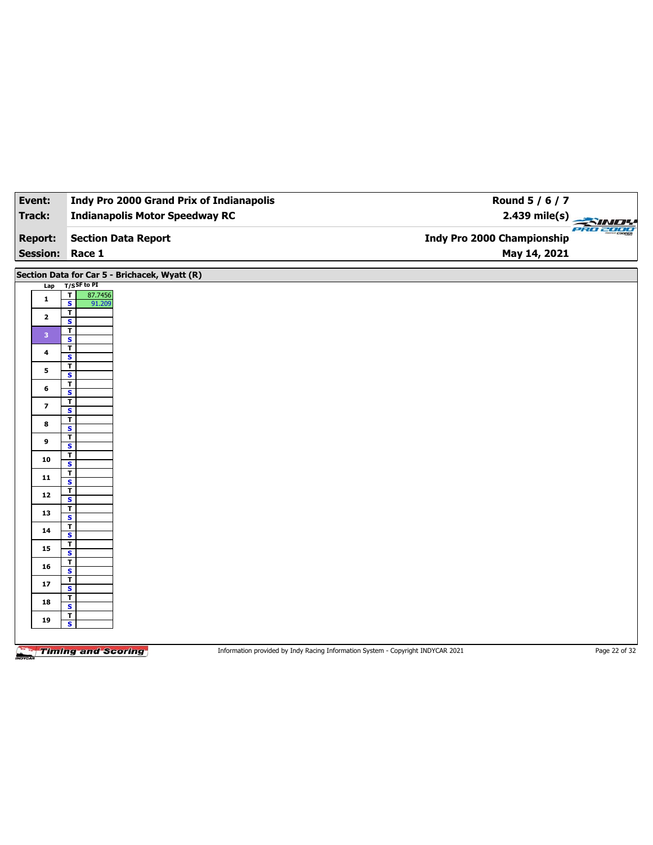| Event:          | <b>Indy Pro 2000 Grand Prix of Indianapolis</b> | Round 5 / 6 / 7                         |
|-----------------|-------------------------------------------------|-----------------------------------------|
| Track:          | <b>Indianapolis Motor Speedway RC</b>           | 2.439 mile(s)                           |
| <b>Report:</b>  | <b>Section Data Report</b>                      | PRO 2000*<br>Indy Pro 2000 Championship |
| <b>Session:</b> | Race 1                                          | May 14, 2021                            |

**Section Data for Car 5 - Brichacek, Wyatt (R)**

|                         |                                    | $\cdots$ , $\cdots$ , $\cdots$ |  |  |
|-------------------------|------------------------------------|--------------------------------|--|--|
|                         | Lap T/SSF to PI                    |                                |  |  |
|                         | $\overline{\mathbf{r}}$<br>87.7456 |                                |  |  |
| $\mathbf{1}$            | $\vert s \vert$<br>91.209          |                                |  |  |
|                         |                                    |                                |  |  |
| $\overline{2}$          | $\overline{r}$                     |                                |  |  |
|                         | $\mathbf{s}$                       |                                |  |  |
|                         | $\overline{1}$                     |                                |  |  |
| $\mathbf{3}$            | $\overline{\mathbf{s}}$            |                                |  |  |
|                         |                                    |                                |  |  |
| $\overline{4}$          | $\overline{\mathsf{r}}$            |                                |  |  |
|                         | $\mathbf{s}$                       |                                |  |  |
|                         | $\overline{1}$                     |                                |  |  |
| $5\phantom{.0}$         | $\overline{\mathbf{s}}$            |                                |  |  |
|                         |                                    |                                |  |  |
| 6                       | $\overline{\mathsf{r}}$            |                                |  |  |
|                         | $\overline{\mathbf{s}}$            |                                |  |  |
|                         | $\overline{1}$                     |                                |  |  |
| $\overline{\mathbf{z}}$ | $\overline{\mathbf{s}}$            |                                |  |  |
|                         |                                    |                                |  |  |
| $\bf{8}$                | $\mathbf{T}$                       |                                |  |  |
|                         | $\overline{\mathbf{s}}$            |                                |  |  |
|                         | $\overline{1}$                     |                                |  |  |
| 9                       | $\overline{\mathbf{s}}$            |                                |  |  |
|                         | $\overline{\mathsf{r}}$            |                                |  |  |
| 10                      |                                    |                                |  |  |
|                         | $\mathbf{s}$                       |                                |  |  |
|                         | $\overline{1}$                     |                                |  |  |
| 11                      | $\overline{\mathbf{s}}$            |                                |  |  |
|                         | $\mathbf{T}$                       |                                |  |  |
| 12                      | $\overline{\mathbf{s}}$            |                                |  |  |
|                         |                                    |                                |  |  |
| 13                      | $\overline{1}$                     |                                |  |  |
|                         | $\overline{\mathbf{s}}$            |                                |  |  |
|                         | $\overline{\mathbf{r}}$            |                                |  |  |
| 14                      | $\mathbf{s}$                       |                                |  |  |
|                         |                                    |                                |  |  |
| 15                      | $\overline{\mathbf{r}}$            |                                |  |  |
|                         | $\overline{\mathbf{s}}$            |                                |  |  |
|                         | $\mathbf{T}$                       |                                |  |  |
| 16                      | $\mathbf{s}$                       |                                |  |  |
|                         | $\overline{\mathbf{r}}$            |                                |  |  |
| 17                      |                                    |                                |  |  |
|                         | $\overline{\mathbf{s}}$            |                                |  |  |
|                         | $\overline{1}$                     |                                |  |  |
| 18                      | $\mathbf{s}$                       |                                |  |  |
|                         | $\mathbf T$                        |                                |  |  |
| 19                      |                                    |                                |  |  |
|                         | $\overline{\mathbf{s}}$            |                                |  |  |
|                         |                                    |                                |  |  |
|                         |                                    |                                |  |  |
|                         |                                    |                                |  |  |

**Timing and Scoring** 

Information provided by Indy Racing Information System - Copyright INDYCAR 2021 Page 22 of 32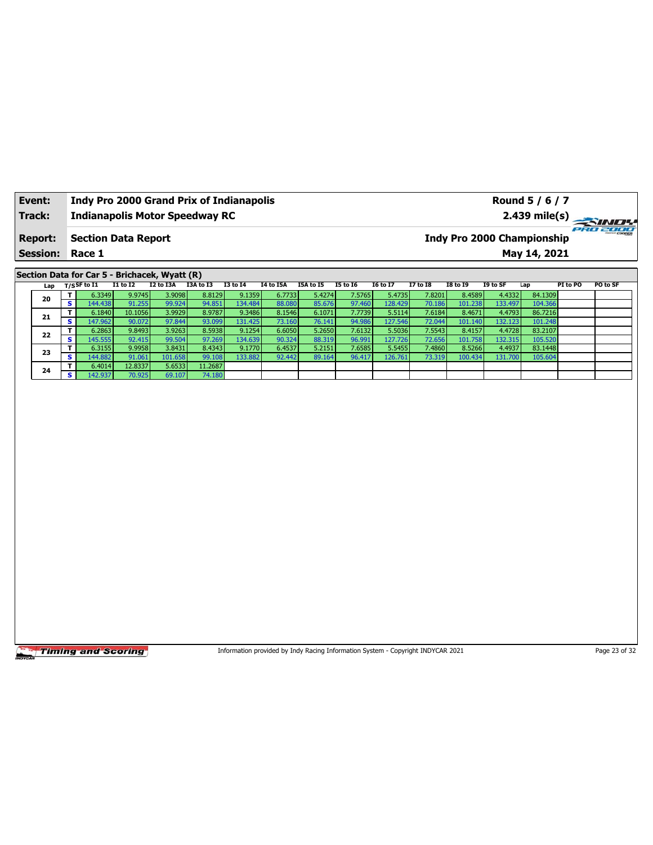| Event:<br>Track:       | <b>Indy Pro 2000 Grand Prix of Indianapolis</b><br><b>Indianapolis Motor Speedway RC</b> | Round 5 / 6 / 7<br>$2.439 \text{ mile(s)}$    |
|------------------------|------------------------------------------------------------------------------------------|-----------------------------------------------|
| <b>Report:</b>         | Section Data Report                                                                      | PRO 2000<br><b>Indy Pro 2000 Championship</b> |
| <b>Session: Race 1</b> |                                                                                          | May 14, 2021                                  |
|                        |                                                                                          |                                               |

## **Section Data for Car 5 - Brichacek, Wyatt (R)**

| Lap | T/S <sup>SF to I1</sup> | <b>I1 to I2</b> | I2 to I3A | I3A to I3 | <b>I3 to 14</b> | <b>I4 to I5A</b> | I5A to I5 | <b>I5 to I6</b> | <b>I6 to I7</b> | <b>I7 to I8</b> | <b>I8 to I9</b> | I9 to SF | Lap     | PI to PO | PO to SF |
|-----|-------------------------|-----------------|-----------|-----------|-----------------|------------------|-----------|-----------------|-----------------|-----------------|-----------------|----------|---------|----------|----------|
|     | 6.3349                  | 9.9745          | 3.9098    | 8.8129    | 9.1359          | 6.7733           | 5.4274    | 7.5765          | 5.4735          | 7.8201          | 8.4589          | 4.4332   | 84.1309 |          |          |
| 20  | 144.438<br>$\epsilon$   | 91.255          | 99.924    | 94.851    | 134.484         | 88.080           | 85.676    | 97.460          | 128.429         | 70.186          | 101.238         | 133.497  | 104.366 |          |          |
| 21  | 6.1840                  | 10.1056         | 3.9929    | 8.9787    | 9.3486          | 8.1546           | 6.1071    | 7.7739          | 5.5114          | 7.6184          | 8.4671          | 4.4793   | 86.7216 |          |          |
|     | s.<br>147.962           | 90.072          | 97.844    | 93.099    | 131.425         | 73.160           | 76.141    | 94.986          | 127.546         | 72.044          | 101.140         | 132.123  | 101.248 |          |          |
| 22  | 6.2863                  | 9.8493          | 3.9263    | 8.5938    | 9.1254          | 6.6050           | 5.2650    | 7.6132          | 5.5036          | 7.5543          | 8.4157          | 4.4728   | 83.2107 |          |          |
|     | s.<br>145.555           | 92.415          | 99.504    | 97.269    | 134.639         | 90.324           | 88.319    | 96.991          | 127.726         | 72.656          | 101.758         | 132.315  | 105.520 |          |          |
| 23  | 6.3155                  | 9.9958          | 3.8431    | 8.4343    | 9.1770          | 6.4537           | 5.2151    | 7.6585          | 5.5455          | 7.4860          | 8.5266          | 4.4937   | 83.1448 |          |          |
|     | 144.882<br>e            | 91.061          | 101.658   | 99.108    | 133.882         | 92.442           | 89.164    | 96.417          | 126.761         | 73.319          | 100.434         | 131.700  | 105.604 |          |          |
| 24  | 6.4014                  | 12.8337         | 5.6533    | 11.2687   |                 |                  |           |                 |                 |                 |                 |          |         |          |          |
|     | 142.937<br>$\epsilon$   | 70.925          | 69.107    | 74.180    |                 |                  |           |                 |                 |                 |                 |          |         |          |          |

**Timing and Scoring** 

Information provided by Indy Racing Information System - Copyright INDYCAR 2021 Page 23 of 32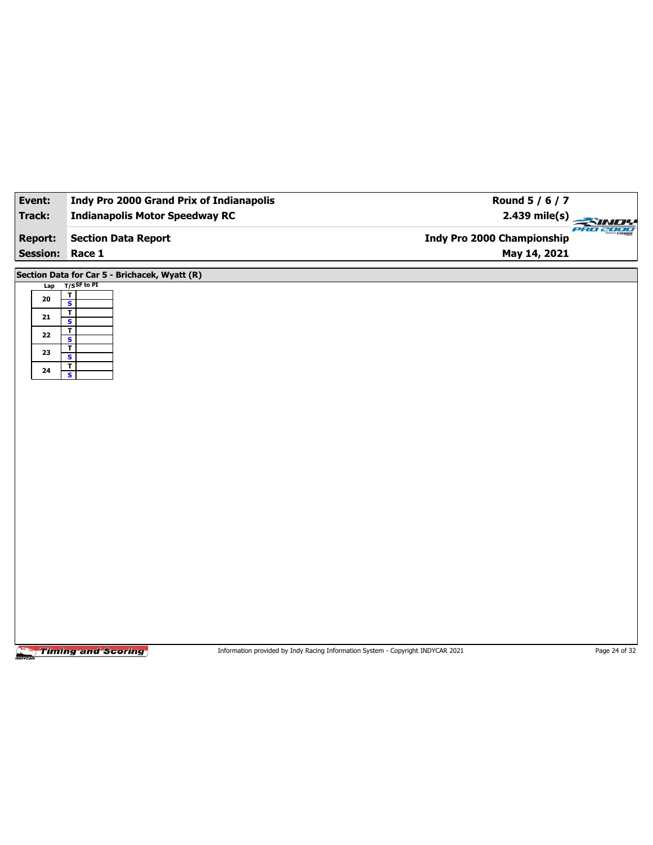| Event:          | <b>Indy Pro 2000 Grand Prix of Indianapolis</b>    | Round 5 / 6 / 7                        |
|-----------------|----------------------------------------------------|----------------------------------------|
| Track:          | <b>Indianapolis Motor Speedway RC</b>              | $2.439$ mile(s)                        |
| <b>Report:</b>  | <b>Section Data Report</b>                         | PRO 2000<br>Indy Pro 2000 Championship |
| <b>Session:</b> | Race 1                                             | May 14, 2021                           |
|                 | Section Data for Car 5 - Brichacek, Wyatt (R)      |                                        |
| Lap             | $T/S$ SF to PI                                     |                                        |
| ${\bf 20}$      | $\frac{1}{s}$                                      |                                        |
| ${\bf 21}$      | $\overline{\mathbf{r}}$<br>$\overline{\mathbf{s}}$ |                                        |
| 22              | $\overline{1}$<br>$\overline{\mathbf{s}}$          |                                        |
| 23              | $\overline{1}$                                     |                                        |
| ${\bf 24}$      | S<br>$\overline{1}$                                |                                        |
|                 | $\overline{\mathbf{s}}$                            |                                        |
|                 |                                                    |                                        |
|                 |                                                    |                                        |
|                 |                                                    |                                        |
|                 |                                                    |                                        |
|                 |                                                    |                                        |
|                 |                                                    |                                        |
|                 |                                                    |                                        |
|                 |                                                    |                                        |
|                 |                                                    |                                        |
|                 |                                                    |                                        |
|                 |                                                    |                                        |
|                 |                                                    |                                        |
|                 |                                                    |                                        |
|                 |                                                    |                                        |
|                 |                                                    |                                        |
|                 |                                                    |                                        |
|                 |                                                    |                                        |
|                 |                                                    |                                        |
|                 |                                                    |                                        |
|                 |                                                    |                                        |
|                 |                                                    |                                        |

Information provided by Indy Racing Information System - Copyright INDYCAR 2021 Page 24 of 32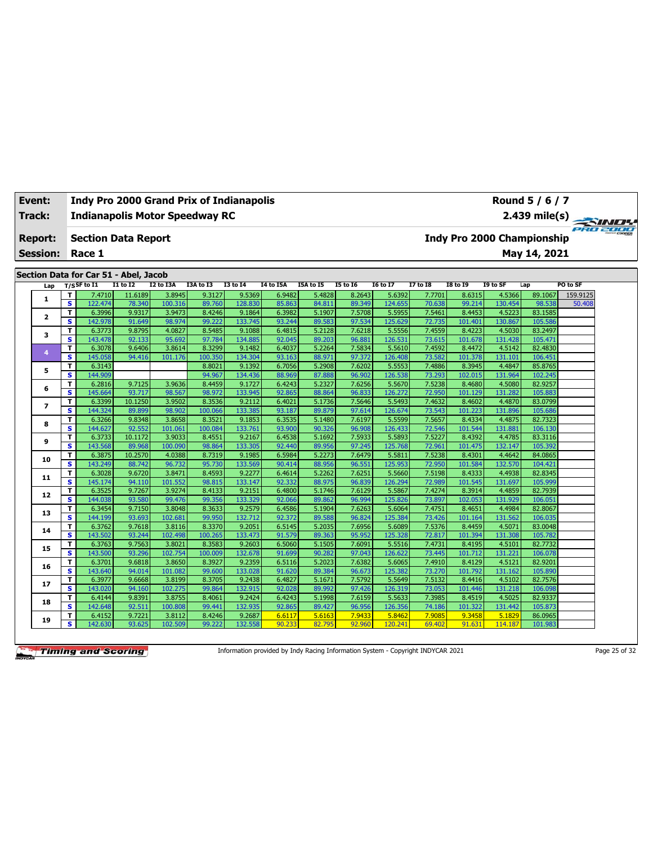| Event:                   |                         | <b>Indy Pro 2000 Grand Prix of Indianapolis</b> |                  |                   |                   |                   |                  |                  |                  |                   |                  |                   |                            | Round 5 / 6 / 7<br>2.439 mile(s) |          |          |
|--------------------------|-------------------------|-------------------------------------------------|------------------|-------------------|-------------------|-------------------|------------------|------------------|------------------|-------------------|------------------|-------------------|----------------------------|----------------------------------|----------|----------|
| Track:                   |                         | <b>Indianapolis Motor Speedway RC</b>           |                  |                   |                   |                   |                  |                  |                  |                   |                  |                   |                            |                                  |          | PRO 2000 |
| <b>Report:</b>           |                         | <b>Section Data Report</b>                      |                  |                   |                   |                   |                  |                  |                  |                   |                  |                   | Indy Pro 2000 Championship |                                  |          |          |
| <b>Session:</b>          |                         | Race 1                                          |                  |                   |                   |                   |                  |                  |                  |                   |                  |                   |                            | May 14, 2021                     |          |          |
|                          |                         |                                                 |                  |                   |                   |                   |                  |                  |                  |                   |                  |                   |                            |                                  |          |          |
|                          |                         | Section Data for Car 51 - Abel, Jacob           |                  |                   |                   |                   |                  |                  |                  |                   |                  |                   |                            |                                  |          |          |
| Lap                      |                         | $T/S$ SF to I1                                  | <b>I1 to I2</b>  | I2 to I3A         | I3A to I3         | <b>I3 to 14</b>   | I4 to I5A        | I5A to I5        | <b>I5 to 16</b>  | <b>I6 to I7</b>   | <b>I7 to I8</b>  | <b>I8 to 19</b>   | I9 to SF                   | Lap                              | PO to SF |          |
| $\mathbf{1}$             | T.                      | 7.4710                                          | 11.6189          | 3.8945            | 9.3127            | 9.5369            | 6.9482           | 5.4828           | 8.2643           | 5.6392            | 7.7701           | 8.6315            | 4.5366                     | 89.1067                          | 159.9125 |          |
|                          | $\overline{\mathbf{s}}$ | 122.474                                         | 78.340           | 100.316           | 89.760            | 128,830           | 85.863           | 84.811           | 89.349           | 124.655           | 70.638           | 99.214            | 130.454                    | 98.538                           | 50.408   |          |
| $\mathbf{z}$             | T.<br>s.                | 6.3996<br>142.978                               | 9.9317<br>91.649 | 3.9473<br>98.974  | 8.4246<br>99.222  | 9.1864<br>133.745 | 6.3982<br>93.244 | 5.1907<br>89.583 | 7.5708<br>97.534 | 5.5955<br>125.629 | 7.5461<br>72.735 | 8.4453<br>101.401 | 4.5223<br>130.867          | 83.1585<br>105.586               |          |          |
|                          | T.                      | 6.3773                                          | 9.8795           | 4.0827            | 8.5485            | 9.1088            | 6.4815           | 5.2128           | 7.6218           | 5.5556            | 7.4559           | 8.4223            | 4.5030                     | 83.2497                          |          |          |
| 3                        | $\overline{\mathbf{s}}$ | 143.478                                         | 92.133           | 95.692            | 97.784            | 134.885           | 92.045           | 89.203           | 96.881           | 126.531           | 73.615           | 101.678           | 131.428                    | 105.471                          |          |          |
|                          | T                       | 6.3078                                          | 9.6406           | 3.8614            | 8.3299            | 9.1482            | 6.4037           | 5.2264           | 7.5834           | 5.5610            | 7.4592           | 8.4472            | 4.5142                     | 82.4830                          |          |          |
| $\overline{4}$           | s                       | 145.058                                         | 94.416           | 101.176           | 100.350           | 134.304           | 93.163           | 88.971           | 97.372           | 126.408           | 73.582           | 101.378           | 131.101                    | 106.451                          |          |          |
|                          | т                       | 6.3143                                          |                  |                   | 8.8021            | 9.1392            | 6.7056           | 5.2908           | 7.6202           | 5.5553            | 7.4886           | 8.3945            | 4.4847                     | 85.8765                          |          |          |
| 5                        | s                       | 144.909                                         |                  |                   | 94.967            | 134.436           | 88.969           | 87.888           | 96.902           | 126.538           | 73.293           | 102.015           | 131.964                    | 102.245                          |          |          |
|                          | т                       | 6.2816                                          | 9.7125           | 3.9636            | 8.4459            | 9.1727            | 6.4243           | 5.2327           | 7.6256           | 5.5670            | 7.5238           | 8.4680            | 4.5080                     | 82.9257                          |          |          |
| 6                        | s                       | 145.664                                         | 93.717           | 98.567            | 98.972            | 133.945           | 92.865           | 88.864           | 96.833           | 126.272           | 72.950           | 101.129           | 131.282                    | 105.883                          |          |          |
|                          | T                       | 6.3399                                          | 10.1250          | 3.9502            | 8.3536            | 9.2112            | 6.4021           | 5.1736           | 7.5646           | 5.5493            | 7.4632           | 8.4602            | 4.4870                     | 83.0799                          |          |          |
| $\overline{\phantom{a}}$ | s                       | 144.324                                         | 89.899           | 98.902            | 100.066           | 133.385           | 93.187           | 89.879           | 97.614           | 126.674           | 73.543           | 101.223           | 131.896                    | 105.686                          |          |          |
| 8                        | T                       | 6.3266                                          | 9.8348           | 3.8658            | 8.3521            | 9.1853            | 6.3535           | 5.1480           | 7.6197           | 5.5599            | 7.5657           | 8.4334            | 4.4875                     | 82.7323                          |          |          |
|                          | $\overline{\mathbf{s}}$ | 144.627                                         | 92.552           | 101.061           | 100.084           | 133.761           | 93.900           | 90.326           | 96.908           | 126.433           | 72.546           | 101.544           | 131.881                    | 106.130                          |          |          |
| 9                        | T                       | 6.3733                                          | 10.1172          | 3.9033            | 8.4551            | 9.2167            | 6.4538           | 5.1692           | 7.5933           | 5.5893            | 7.5227           | 8.4392            | 4.4785                     | 83.3116                          |          |          |
|                          | $\overline{\mathbf{s}}$ | 143.568                                         | 89.968           | 100.090           | 98.864            | 133.305           | 92.440           | 89.956           | 97.245           | 125.768           | 72.961           | 101.475           | 132.147                    | 105.392                          |          |          |
| 10                       | T                       | 6.3875                                          | 10.2570          | 4.0388            | 8.7319            | 9.1985            | 6.5984           | 5.2273           | 7.6479           | 5.5811            | 7.5238           | 8.4301            | 4.4642                     | 84.0865                          |          |          |
|                          | s                       | 143.249                                         | 88.742           | 96.732            | 95.730            | 133.569           | 90.414           | 88.956           | 96.551           | 125.953           | 72.950           | 101.584           | 132.570                    | 104.421                          |          |          |
| 11                       | T.                      | 6.3028                                          | 9.6720           | 3.8471            | 8.4593            | 9.2277            | 6.4614           | 5.2262           | 7.6251           | 5.5660            | 7.5198           | 8.4333            | 4.4938                     | 82.8345                          |          |          |
|                          | s                       | 145.174                                         | 94.110           | 101.552           | 98.815            | 133.147           | 92.332           | 88.975           | 96.839           | 126.294           | 72.989           | 101.545           | 131.697                    | 105.999                          |          |          |
| 12                       | T.                      | 6.3525                                          | 9.7267           | 3.9274            | 8.4133            | 9.2151            | 6.4800           | 5.1746           | 7.6129           | 5.5867            | 7.4274           | 8.3914            | 4.4859                     | 82.7939                          |          |          |
|                          | s.                      | 144.038                                         | 93.580           | 99.476            | 99.356            | 133.329           | 92.066           | 89.862           | 96.994           | 125.826           | 73.897           | 102.053           | 131.929                    | 106.051                          |          |          |
| 13                       | T.                      | 6.3454                                          | 9.7150           | 3.8048            | 8.3633            | 9.2579            | 6.4586           | 5.1904           | 7.6263           | 5.6064            | 7.4751           | 8.4651            | 4.4984                     | 82.8067                          |          |          |
|                          | s.                      | 144.199                                         | 93.693           | 102.681           | 99.950            | 132.712           | 92.372           | 89.588           | 96.824           | 125.384           | 73.426           | 101.164           | 131.562                    | 106.035                          |          |          |
| 14                       | T.<br>s.                | 6.3762                                          | 9.7618           | 3.8116<br>102.498 | 8.3370<br>100.265 | 9.2051<br>133.473 | 6.5145           | 5.2035           | 7.6956<br>95.952 | 5.6089            | 7.5376           | 8.4459            | 4.5071<br>131.308          | 83.0048                          |          |          |
|                          | T.                      | 143.502<br>6.3763                               | 93.244<br>9.7563 | 3.8021            | 8.3583            | 9.2603            | 91.579<br>6.5060 | 89.363<br>5.1505 | 7.6091           | 125.328<br>5.5516 | 72.817<br>7.4731 | 101.394<br>8.4195 | 4.5101                     | 105.782<br>82.7732               |          |          |
| 15                       | s                       | 143.500                                         | 93.296           | 102.754           | 100.009           | 132.678           | 91.699           | 90.282           | 97.043           | 126.622           | 73.445           | 101.712           | 131.221                    | 106.078                          |          |          |
|                          | T.                      | 6.3701                                          | 9.6818           | 3.8650            | 8.3927            | 9.2359            | 6.5116           | 5.2023           | 7.6382           | 5.6065            | 7.4910           | 8.4129            | 4.5121                     | 82.9201                          |          |          |
| 16                       | s                       | 143.640                                         | 94.014           | 101.082           | 99.600            | 133.028           | 91.620           | 89.384           | 96.673           | 125.382           | 73.270           | 101.792           | 131.162                    | 105.890                          |          |          |
|                          | T.                      | 6.3977                                          | 9.6668           | 3.8199            | 8.3705            | 9.2438            | 6.4827           | 5.1671           | 7.5792           | 5.5649            | 7.5132           | 8.4416            | 4.5102                     | 82.7576                          |          |          |
| 17                       | s                       | 143.020                                         | 94.160           | 102.275           | 99.864            | 132.915           | 92.028           | 89.992           | 97.426           | 126.319           | 73.053           | 101.446           | 131.218                    | 106.098                          |          |          |
|                          | T.                      | 6.4144                                          | 9.8391           | 3.8755            | 8.4061            | 9.2424            | 6.4243           | 5.1998           | 7.6159           | 5.5633            | 7.3985           | 8.4519            | 4.5025                     | 82.9337                          |          |          |
| 18                       | s                       | 142.648                                         | 92.511           | 100.808           | 99.441            | 132.935           | 92.865           | 89.427           | 96.956           | 126.356           | 74.186           | 101.322           | 131.442                    | 105.873                          |          |          |
|                          | T.                      | 6.4152                                          | 9.7221           | 3.8112            | 8.4246            | 9.2687            | 6.6117           | 5.6163           | 7.9433           | 5.8462            | 7.9085           | 9.3458            | 5.1829                     | 86.0965                          |          |          |
| 19                       | s                       | 142.630                                         | 93.625           | 102.509           | 99.222            | 132.558           | 90.233           | 82.795           | 92.960           | 120.241           | 69.402           | 91.631            | 114.187                    | 101.983                          |          |          |

Information provided by Indy Racing Information System - Copyright INDYCAR 2021 Page 25 of 32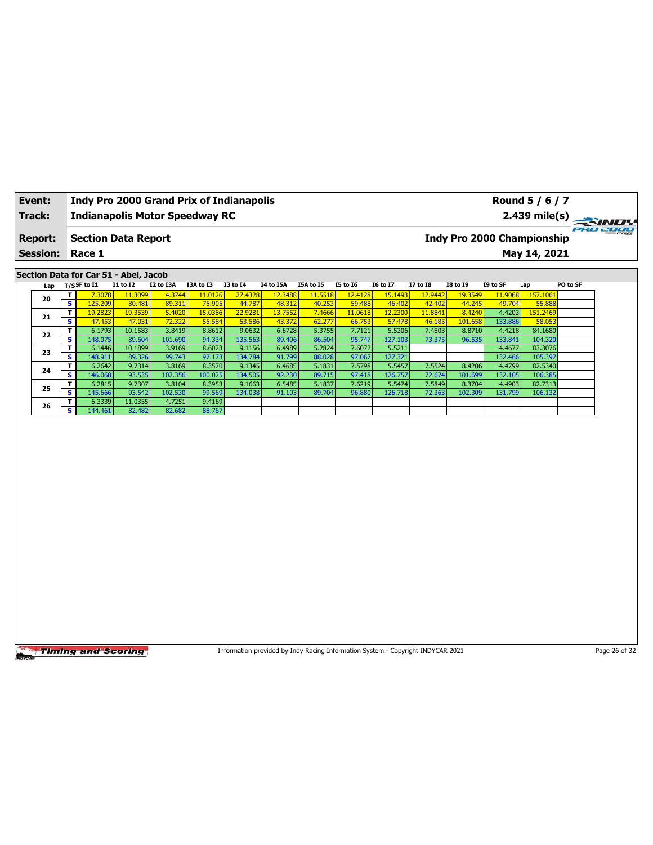| Event:                                                                                                                                                                                                                                                                                                                                                                                                                       |                         | <b>Indy Pro 2000 Grand Prix of Indianapolis</b> |         |         |         |         |         |        |         |         |                                                                                 |                                   |         | Round 5 / 6 / 7 |               |
|------------------------------------------------------------------------------------------------------------------------------------------------------------------------------------------------------------------------------------------------------------------------------------------------------------------------------------------------------------------------------------------------------------------------------|-------------------------|-------------------------------------------------|---------|---------|---------|---------|---------|--------|---------|---------|---------------------------------------------------------------------------------|-----------------------------------|---------|-----------------|---------------|
| <b>Track:</b>                                                                                                                                                                                                                                                                                                                                                                                                                |                         | <b>Indianapolis Motor Speedway RC</b>           |         |         |         |         |         |        |         |         |                                                                                 |                                   |         | 2.439 mile(s)   |               |
| <b>Report:</b>                                                                                                                                                                                                                                                                                                                                                                                                               |                         | <b>Section Data Report</b>                      |         |         |         |         |         |        |         |         |                                                                                 | <b>Indy Pro 2000 Championship</b> |         |                 | 2000          |
| <b>Session:</b>                                                                                                                                                                                                                                                                                                                                                                                                              |                         | Race 1                                          |         |         |         |         |         |        |         |         |                                                                                 |                                   |         | May 14, 2021    |               |
|                                                                                                                                                                                                                                                                                                                                                                                                                              |                         |                                                 |         |         |         |         |         |        |         |         |                                                                                 |                                   |         |                 |               |
| Section Data for Car 51 - Abel, Jacob<br>$T/S$ SF to I1<br><b>I1 to I2</b><br>I2 to I3A<br>I3A to I3<br><b>I3 to 14</b><br><b>I6 to I7</b><br><b>I7 to I8</b><br><b>18 to 19</b><br>I9 to SF<br>PO to SF<br>I4 to I5A<br>I5A to I5<br><b>I5 to 16</b><br>Lap<br>Lap<br>T<br>4.3744<br>12,4128<br>12.9442<br>157,1061<br>7.3078<br>11.3099<br>11.0126<br>27.4328<br>12.3488<br>11.5518<br>15.1493<br>19.3549<br>11.9068<br>20 |                         |                                                 |         |         |         |         |         |        |         |         |                                                                                 |                                   |         |                 |               |
| $\overline{\mathbf{s}}$<br>125.209<br>80.481<br>89.311<br>75.905<br>44.787<br>48.312<br>40.253<br>59.488<br>46.402<br>42.402<br>44.245<br>49.704<br>55.888                                                                                                                                                                                                                                                                   |                         |                                                 |         |         |         |         |         |        |         |         |                                                                                 |                                   |         |                 |               |
|                                                                                                                                                                                                                                                                                                                                                                                                                              |                         |                                                 |         |         |         |         |         |        |         |         |                                                                                 |                                   |         |                 |               |
| 21                                                                                                                                                                                                                                                                                                                                                                                                                           | T.                      | 19.2823                                         | 19.3539 | 5.4020  | 15.0386 | 22.9281 | 13.7552 | 7.4666 | 11.0618 | 12.2300 | 11.8841                                                                         | 8.4240                            | 4.4203  | 151.2469        |               |
|                                                                                                                                                                                                                                                                                                                                                                                                                              | S                       | 47.453                                          | 47.031  | 72.322  | 55.584  | 53.586  | 43.372  | 62.277 | 66.753  | 57.478  | 46.185                                                                          | 101.658                           | 133.886 | 58.053          |               |
| 7.7121<br>6.1793<br>10.1583<br>3.8419<br>8.8612<br>9.0632<br>6.6728<br>5.3755<br>5.5306<br>7.4803<br>8.8710<br>4.4218<br>84.1680<br>T<br>22                                                                                                                                                                                                                                                                                  |                         |                                                 |         |         |         |         |         |        |         |         |                                                                                 |                                   |         |                 |               |
| s<br>148.075<br>101.690<br>94.334<br>135.563<br>86.504<br>95.747<br>127.103<br>73.375<br>133.841<br>104.320<br>89.604<br>89.406<br>96.535<br>5.5211<br>6.1446<br>3.9169<br>8.6023<br>9.1156<br>5.2824<br>7.6072<br>4.4677<br>83.3076<br>T<br>10.1899<br>6.4989                                                                                                                                                               |                         |                                                 |         |         |         |         |         |        |         |         |                                                                                 |                                   |         |                 |               |
| 23<br>s<br>148.911<br>99.743<br>97.173<br>134.784<br>91.799<br>88.028<br>97.067<br>127.321<br>132.466<br>105.397                                                                                                                                                                                                                                                                                                             |                         |                                                 |         |         |         |         |         |        |         |         |                                                                                 |                                   |         |                 |               |
| 89.326<br>T.<br>3.8169<br>7.5798<br>7.5524<br>8.4206<br>4.4799<br>82.5340<br>6.2642<br>9.7314<br>8.3570<br>9.1345<br>6.4685<br>5.1831<br>5.5457                                                                                                                                                                                                                                                                              |                         |                                                 |         |         |         |         |         |        |         |         |                                                                                 |                                   |         |                 |               |
| 24                                                                                                                                                                                                                                                                                                                                                                                                                           | $\overline{\mathbf{s}}$ | 146.068                                         | 93.535  | 102.356 | 100.025 | 134.505 | 92.230  | 89.715 | 97.418  | 126.757 | 72.674                                                                          | 101.699                           | 132.105 | 106.385         |               |
|                                                                                                                                                                                                                                                                                                                                                                                                                              | T.                      | 6.2815                                          | 9.7307  | 3.8104  | 8.3953  | 9.1663  | 6.5485  | 5.1837 | 7.6219  | 5.5474  | 7.5849                                                                          | 8.3704                            | 4.4903  | 82.7313         |               |
| 25                                                                                                                                                                                                                                                                                                                                                                                                                           | s                       | 145.666                                         | 93.542  | 102.530 | 99.569  | 134.038 | 91.103  | 89.704 | 96.880  | 126.718 | 72.363                                                                          | 102.309                           | 131.799 | 106.132         |               |
| 26                                                                                                                                                                                                                                                                                                                                                                                                                           | T                       | 6.3339                                          | 11.0355 | 4.7251  | 9.4169  |         |         |        |         |         |                                                                                 |                                   |         |                 |               |
|                                                                                                                                                                                                                                                                                                                                                                                                                              | s.                      | 144.461                                         | 82.482  | 82.682  | 88.767  |         |         |        |         |         |                                                                                 |                                   |         |                 |               |
|                                                                                                                                                                                                                                                                                                                                                                                                                              |                         |                                                 |         |         |         |         |         |        |         |         |                                                                                 |                                   |         |                 |               |
|                                                                                                                                                                                                                                                                                                                                                                                                                              |                         | <b>Timing and Scoring</b>                       |         |         |         |         |         |        |         |         | Information provided by Indy Racing Information System - Copyright INDYCAR 2021 |                                   |         |                 | Page 26 of 32 |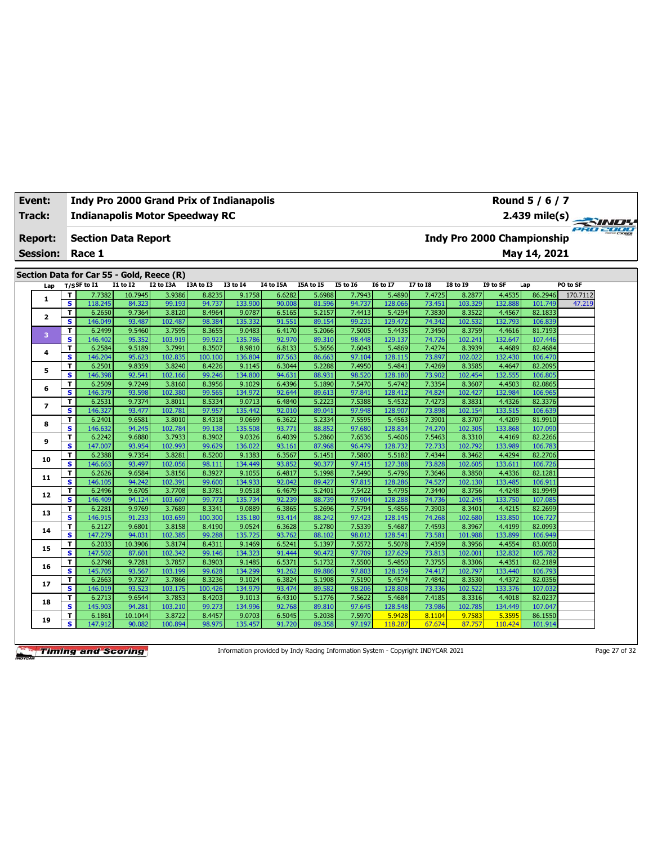| Event:          |                               |                                           |                  |                   | <b>Indy Pro 2000 Grand Prix of Indianapolis</b> |                   |                  |                  |                  |                   |                  |                   |                            | Round 5 / 6 / 7    |                      |  |
|-----------------|-------------------------------|-------------------------------------------|------------------|-------------------|-------------------------------------------------|-------------------|------------------|------------------|------------------|-------------------|------------------|-------------------|----------------------------|--------------------|----------------------|--|
| Track:          |                               |                                           |                  |                   | <b>Indianapolis Motor Speedway RC</b>           |                   |                  |                  |                  |                   |                  |                   |                            | $2.439$ mile(s)    | $\rightarrow$ $\sim$ |  |
| <b>Report:</b>  |                               | <b>Section Data Report</b>                |                  |                   |                                                 |                   |                  |                  |                  |                   |                  |                   | Indy Pro 2000 Championship |                    | ero zooo             |  |
| <b>Session:</b> |                               | Race 1                                    |                  |                   |                                                 |                   |                  |                  |                  |                   |                  |                   |                            | May 14, 2021       |                      |  |
|                 |                               |                                           |                  |                   |                                                 |                   |                  |                  |                  |                   |                  |                   |                            |                    |                      |  |
|                 |                               | Section Data for Car 55 - Gold, Reece (R) |                  |                   |                                                 |                   |                  |                  |                  |                   |                  |                   |                            |                    |                      |  |
| Lap             |                               | $T/S$ SF to I1                            | <b>I1 to I2</b>  | <b>I2 to I3A</b>  | I3A to I3                                       | <b>I3 to 14</b>   | <b>I4 to I5A</b> | I5A to I5        | <b>15 to 16</b>  | <b>16 to 17</b>   | 17 to 18         | <b>I8 to 19</b>   | I9 to SF                   | Lap                | PO to SF             |  |
| $\mathbf{1}$    | T.                            | 7.7382                                    | 10.7945          | 3.9386            | 8.8235                                          | 9.1758            | 6.6282           | 5.6988           | 7.7943           | 5.4890            | 7.4725           | 8.2877            | 4.4535                     | 86.2946            | 170.7112             |  |
|                 | s<br>T                        | 118.245<br>6.2650                         | 84.323<br>9.7364 | 99.193<br>3.8120  | 94.737<br>8.4964                                | 133.900<br>9.0787 | 90.008<br>6.5165 | 81.596<br>5.2157 | 94.737<br>7.4413 | 128.066<br>5.4294 | 73.451<br>7.3830 | 103.329<br>8.3522 | 132.888<br>4.4567          | 101.749<br>82.1833 | 47.219               |  |
| $\mathbf{z}$    | s                             | 146.049                                   | 93.487           | 102.487           | 98.384                                          | 135.332           | 91.551           | 89.154           | 99.231           | 129.472           | 74.342           | 102.532           | 132.793                    | 106.839            |                      |  |
|                 | T.                            | 6.2499                                    | 9.5460           | 3.7595            | 8.3655                                          | 9.0483            | 6.4170           | 5.2066           | 7.5005           | 5.4435            | 7.3450           | 8.3759            | 4.4616                     | 81.7193            |                      |  |
| 3               | s                             | 146.402                                   | 95.352           | 103.919           | 99.923                                          | 135.786           | 92.970           | 89.310           | 98.448           | 129.137           | 74.726           | 102.241           | 132.647                    | 107.446            |                      |  |
|                 | T                             | 6.2584                                    | 9.5189           | 3.7991            | 8.3507                                          | 8.9810            | 6.8133           | 5.3656           | 7.6043           | 5.4869            | 7.4274           | 8.3939            | 4.4689                     | 82.4684            |                      |  |
| 4               | $\overline{\mathbf{s}}$       | 146.204                                   | 95.623           | 102.835           | 100.100                                         | 136.804           | 87.563           | 86.663           | 97.104           | 128.115           | 73.897           | 102.022           | 132.430                    | 106.470            |                      |  |
| 5               | T                             | 6.2501                                    | 9.8359           | 3.8240            | 8.4226                                          | 9.1145            | 6.3044           | 5.2288           | 7.4950           | 5.4841            | 7.4269           | 8.3585            | 4.4647                     | 82.2095            |                      |  |
|                 | $\overline{\mathbf{s}}$       | 146.398                                   | 92.541           | 102.166           | 99.246                                          | 134.800           | 94.631           | 88.931           | 98.520           | 128.180           | 73.902           | 102.454           | 132.555                    | 106.805            |                      |  |
| 6               | T.                            | 6.2509                                    | 9.7249           | 3.8160            | 8.3956                                          | 9.1029            | 6.4396           | 5.1890           | 7.5470           | 5.4742            | 7.3354           | 8.3607            | 4.4503                     | 82.0865            |                      |  |
|                 | $\overline{\mathbf{s}}$       | 146.379                                   | 93.598           | 102.380           | 99.565                                          | 134.972           | 92.644           | 89.613           | 97.841           | 128.412           | 74.824           | 102.427           | 132.984                    | 106.965            |                      |  |
| 7               | т                             | 6.2531                                    | 9.7374           | 3.8011            | 8.5334                                          | 9.0713            | 6.4840           | 5.2223           | 7.5388           | 5.4532            | 7.4273           | 8.3831            | 4.4326                     | 82.3376            |                      |  |
|                 | $\overline{\mathbf{s}}$       | 146.327                                   | 93.477           | 102.781           | 97.957                                          | 135.442           | 92.010           | 89.041           | 97.948           | 128.907           | 73.898           | 102.154           | 133.515                    | 106.639            |                      |  |
| 8               | т                             | 6.2401                                    | 9.6581           | 3.8010            | 8.4318                                          | 9.0669            | 6.3622           | 5.2334           | 7.5595           | 5.4563            | 7.3901           | 8.3707            | 4.4209                     | 81.9910            |                      |  |
|                 | S                             | 146.632                                   | 94.245           | 102.784           | 99.138                                          | 135.508           | 93.771           | 88.852           | 97.680<br>7.6536 | 128.834           | 74.270<br>7.5463 | 102.305           | 133.868                    | 107.090            |                      |  |
| 9               | T<br>$\overline{\mathbf{s}}$  | 6.2242<br>147.007                         | 9.6880<br>93.954 | 3.7933<br>102.993 | 8.3902<br>99.629                                | 9.0326<br>136.022 | 6.4039<br>93.161 | 5.2860<br>87.968 | 96.479           | 5.4606<br>128.732 | 72.733           | 8.3310<br>102.792 | 4.4169<br>133.989          | 82.2266<br>106.783 |                      |  |
|                 | T                             | 6.2388                                    | 9.7354           | 3.8281            | 8.5200                                          | 9.1383            | 6.3567           | 5.1451           | 7.5800           | 5.5182            | 7.4344           | 8.3462            | 4.4294                     | 82.2706            |                      |  |
| 10              | s                             | 146.663                                   | 93.497           | 102.056           | 98.111                                          | 134.449           | 93.852           | 90.377           | 97.415           | 127.388           | 73.828           | 102.605           | 133.611                    | 106.726            |                      |  |
|                 | T                             | 6.2626                                    | 9.6584           | 3.8156            | 8.3927                                          | 9.1055            | 6.4817           | 5.1998           | 7.5490           | 5.4796            | 7.3646           | 8.3850            | 4.4336                     | 82.1281            |                      |  |
| 11              | s                             | 146.105                                   | 94.242           | 102.391           | 99.600                                          | 134.933           | 92.042           | 89.427           | 97.815           | 128.286           | 74.527           | 102.130           | 133.485                    | 106.911            |                      |  |
|                 | T                             | 6.2496                                    | 9.6705           | 3.7708            | 8.3781                                          | 9.0518            | 6.4679           | 5.2401           | 7.5422           | 5.4795            | 7.3440           | 8.3756            | 4.4248                     | 81.9949            |                      |  |
| 12              | s                             | 146.409                                   | 94.124           | 103.607           | 99.773                                          | 135.734           | 92.239           | 88.739           | 97.904           | 128.288           | 74.736           | 102.245           | 133.750                    | 107.085            |                      |  |
| 13              | T                             | 6.2281                                    | 9.9769           | 3.7689            | 8.3341                                          | 9.0889            | 6.3865           | 5.2696           | 7.5794           | 5.4856            | 7.3903           | 8.3401            | 4.4215                     | 82.2699            |                      |  |
|                 | s                             | 146.915                                   | 91.233           | 103.659           | 100.300                                         | 135.180           | 93.414           | 88.242           | 97.423           | 128.145           | 74.268           | 102.680           | 133.850                    | 106.727            |                      |  |
| 14              | T                             | 6.2127                                    | 9.6801           | 3.8158            | 8.4190                                          | 9.0524            | 6.3628           | 5.2780           | 7.5339           | 5.4687            | 7.4593           | 8.3967            | 4.4199                     | 82.0993            |                      |  |
|                 | s                             | 147.279                                   | 94.031           | 102.385           | 99.288                                          | 135.725           | 93.762           | 88.102           | 98.012           | 128.541           | 73.581           | 101.988           | 133.899                    | 106.949            |                      |  |
| 15              | T.                            | 6.2033                                    | 10.3906          | 3.8174            | 8.4311                                          | 9.1469            | 6.5241           | 5.1397           | 7.5572           | 5.5078            | 7.4359           | 8.3956            | 4.4554                     | 83.0050            |                      |  |
|                 | s                             | 147.502                                   | 87.601           | 102.342           | 99.146                                          | 134.323           | 91.444           | 90.472           | 97.709           | 127.629           | 73.813           | 102.001           | 132.832                    | 105.782            |                      |  |
| 16              | T.<br>$\overline{\mathbf{s}}$ | 6.2798<br>145.705                         | 9.7281<br>93.567 | 3.7857<br>103.199 | 8.3903<br>99.628                                | 9.1485<br>134.299 | 6.5371<br>91.262 | 5.1732<br>89.886 | 7.5500<br>97.803 | 5.4850<br>128.159 | 7.3755<br>74.417 | 8.3306<br>102.797 | 4.4351<br>133.440          | 82.2189<br>106.793 |                      |  |
|                 | T.                            | 6.2663                                    | 9.7327           | 3.7866            | 8.3236                                          | 9.1024            | 6.3824           | 5.1908           | 7.5190           | 5.4574            | 7.4842           | 8.3530            | 4.4372                     | 82.0356            |                      |  |
| 17              | s.                            | 146.019                                   | 93.523           | 103.175           | 100.426                                         | 134.979           | 93.474           | 89.582           | 98.206           | 128,808           | 73.336           | 102.522           | 133.376                    | 107.032            |                      |  |
|                 | T.                            | 6.2713                                    | 9.6544           | 3.7853            | 8.4203                                          | 9.1013            | 6.4310           | 5.1776           | 7.5622           | 5.4684            | 7.4185           | 8.3316            | 4.4018                     | 82.0237            |                      |  |
| 18              | s.                            | 145.903                                   | 94.281           | 103.210           | 99.273                                          | 134.996           | 92.768           | 89.810           | 97.645           | 128.548           | 73.986           | 102.785           | 134.449                    | 107.047            |                      |  |
|                 | T.                            | 6.1861                                    | 10.1044          | 3.8722            | 8.4457                                          | 9.0703            | 6.5045           | 5.2038           | 7.5970           | 5.9428            | 8.1104           | 9.7583            | 5.359                      | 86.1550            |                      |  |
| 19              | s                             | 147.912                                   | 90.082           | 100.894           | 98.975                                          | 135.457           | 91.720           | 89.358           | 97.197           | 118.287           | 67.674           | 87.757            | 110.424                    | 101.914            |                      |  |

Information provided by Indy Racing Information System - Copyright INDYCAR 2021 Page 27 of 32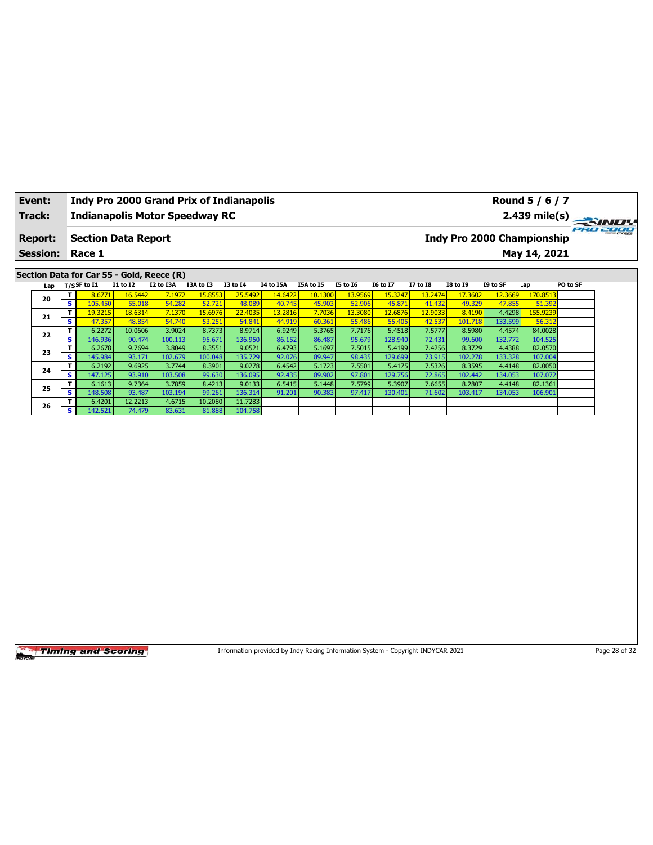| <b>Session:</b><br>Race 1<br>May 14, 2021<br>Section Data for Car 55 - Gold, Reece (R)<br>$T/S$ SF to I1<br>I2 to I3A<br><b>I1 to I2</b><br>I3A to I3<br><b>I3 to 14</b><br><b>I4 to I5A</b><br><b>I7 to I8</b><br>PO to SF<br>I5A to I5<br><b>15 to 16</b><br><b>16 to 17</b><br><b>I8 to 19</b><br>I9 to SF<br>Lap<br>T<br>16.5442<br>15.8553<br>14.6422<br>13.9569<br>15.3247<br>13.2474<br>170.8513<br>8.6771<br>7.1972<br>25.5492<br>10.1300<br>17.3602<br>12.3669<br>$\overline{\mathbf{s}}$<br>105.450<br>54.282<br>55.018<br>52.721<br>48.089<br>40.745<br>45.903<br>52.906<br>45.871<br>41.432<br>49.329<br>47.855<br>51.392<br>T<br>13.3080<br>155.9239<br>19.3215<br>18.6314<br>7.1370<br>15.6976<br>22.4035<br>13.2816<br>7.7036<br>12.6876<br>12.9033<br>8.4190<br>4.4298<br>S<br>54.740<br>47.357<br>48.854<br>53.251<br>54.841<br>44.919<br>55.486<br>55.405<br>42.537<br>133.599<br>56.312<br>60.361<br>101.718<br>$\mathbf{T}$<br>3.9024<br>5.3765<br>7.7176<br>6.2272<br>10.0606<br>8.7373<br>8.9714<br>6.9249<br>5.4518<br>7.5777<br>8.5980<br>4.4574<br>84.0028<br><b>S</b><br>146.936<br>136.950<br>95.679<br>128.940<br>72.431<br>104.525<br>90.474<br>100.113<br>95.671<br>86.152<br>86.487<br>99.600<br>132.772<br>7.5015<br>7.4256<br>82.0570<br>T<br>6.2678<br>9.7694<br>3.8049<br>8.3551<br>9.0521<br>6.4793<br>5.1697<br>5.4199<br>8.3729<br>4.4388<br>s<br>145.984<br>102.679<br>135.729<br>92.076<br>98.435<br>129.699<br>73.915<br>133.328<br>107.004<br>93.171<br>100.048<br>89.947<br>102.278<br>T<br>6.2192<br>9.6925<br>3.7744<br>8.3901<br>9.0278<br>6.4542<br>5.1723<br>7.5501<br>7.5326<br>8.3595<br>4.4148<br>82.0050<br>5.4175<br>$\overline{\mathbf{s}}$<br>103.508<br>97.801<br>129.756<br>134.053<br>107.072<br>147.125<br>93.910<br>99.630<br>136.095<br>92.435<br>89.902<br>72.865<br>102.442<br>7.5799<br>7.6655<br>82.1361<br>T<br>6.1613<br>9.7364<br>3.7859<br>8.4213<br>9.0133<br>6.5415<br>5.1448<br>5.3907<br>8.2807<br>4.4148<br>s<br>106.901<br>148.508<br>93.487<br>103.194<br>99.261<br>136.314<br>91.201<br>90.383<br>97.417<br>130.401<br>71.602<br>103.417<br>134.053<br>11.7283<br>T<br>6.4201<br>12.2213<br>4.6715<br>10.2080<br>$\overline{\mathbf{s}}$<br>142.521<br>74.479<br>83.631<br>81.888<br>104.758 |                                               | <b>Report:</b> | <b>Section Data Report</b> |  |  |  |  | <b>Indy Pro 2000 Championship</b> |  |  |
|---------------------------------------------------------------------------------------------------------------------------------------------------------------------------------------------------------------------------------------------------------------------------------------------------------------------------------------------------------------------------------------------------------------------------------------------------------------------------------------------------------------------------------------------------------------------------------------------------------------------------------------------------------------------------------------------------------------------------------------------------------------------------------------------------------------------------------------------------------------------------------------------------------------------------------------------------------------------------------------------------------------------------------------------------------------------------------------------------------------------------------------------------------------------------------------------------------------------------------------------------------------------------------------------------------------------------------------------------------------------------------------------------------------------------------------------------------------------------------------------------------------------------------------------------------------------------------------------------------------------------------------------------------------------------------------------------------------------------------------------------------------------------------------------------------------------------------------------------------------------------------------------------------------------------------------------------------------------------------------------------------------------------------------------------------------------------------------------------------------------------------------------------------------------------------------------------------------------------------------------------------------------------|-----------------------------------------------|----------------|----------------------------|--|--|--|--|-----------------------------------|--|--|
|                                                                                                                                                                                                                                                                                                                                                                                                                                                                                                                                                                                                                                                                                                                                                                                                                                                                                                                                                                                                                                                                                                                                                                                                                                                                                                                                                                                                                                                                                                                                                                                                                                                                                                                                                                                                                                                                                                                                                                                                                                                                                                                                                                                                                                                                           |                                               |                |                            |  |  |  |  |                                   |  |  |
|                                                                                                                                                                                                                                                                                                                                                                                                                                                                                                                                                                                                                                                                                                                                                                                                                                                                                                                                                                                                                                                                                                                                                                                                                                                                                                                                                                                                                                                                                                                                                                                                                                                                                                                                                                                                                                                                                                                                                                                                                                                                                                                                                                                                                                                                           | Lap<br>20<br>21<br>22<br>23<br>24<br>25<br>26 |                |                            |  |  |  |  |                                   |  |  |
|                                                                                                                                                                                                                                                                                                                                                                                                                                                                                                                                                                                                                                                                                                                                                                                                                                                                                                                                                                                                                                                                                                                                                                                                                                                                                                                                                                                                                                                                                                                                                                                                                                                                                                                                                                                                                                                                                                                                                                                                                                                                                                                                                                                                                                                                           |                                               |                |                            |  |  |  |  |                                   |  |  |
|                                                                                                                                                                                                                                                                                                                                                                                                                                                                                                                                                                                                                                                                                                                                                                                                                                                                                                                                                                                                                                                                                                                                                                                                                                                                                                                                                                                                                                                                                                                                                                                                                                                                                                                                                                                                                                                                                                                                                                                                                                                                                                                                                                                                                                                                           |                                               |                |                            |  |  |  |  |                                   |  |  |
|                                                                                                                                                                                                                                                                                                                                                                                                                                                                                                                                                                                                                                                                                                                                                                                                                                                                                                                                                                                                                                                                                                                                                                                                                                                                                                                                                                                                                                                                                                                                                                                                                                                                                                                                                                                                                                                                                                                                                                                                                                                                                                                                                                                                                                                                           |                                               |                |                            |  |  |  |  |                                   |  |  |
|                                                                                                                                                                                                                                                                                                                                                                                                                                                                                                                                                                                                                                                                                                                                                                                                                                                                                                                                                                                                                                                                                                                                                                                                                                                                                                                                                                                                                                                                                                                                                                                                                                                                                                                                                                                                                                                                                                                                                                                                                                                                                                                                                                                                                                                                           |                                               |                |                            |  |  |  |  |                                   |  |  |
|                                                                                                                                                                                                                                                                                                                                                                                                                                                                                                                                                                                                                                                                                                                                                                                                                                                                                                                                                                                                                                                                                                                                                                                                                                                                                                                                                                                                                                                                                                                                                                                                                                                                                                                                                                                                                                                                                                                                                                                                                                                                                                                                                                                                                                                                           |                                               |                |                            |  |  |  |  |                                   |  |  |
|                                                                                                                                                                                                                                                                                                                                                                                                                                                                                                                                                                                                                                                                                                                                                                                                                                                                                                                                                                                                                                                                                                                                                                                                                                                                                                                                                                                                                                                                                                                                                                                                                                                                                                                                                                                                                                                                                                                                                                                                                                                                                                                                                                                                                                                                           |                                               |                |                            |  |  |  |  |                                   |  |  |
|                                                                                                                                                                                                                                                                                                                                                                                                                                                                                                                                                                                                                                                                                                                                                                                                                                                                                                                                                                                                                                                                                                                                                                                                                                                                                                                                                                                                                                                                                                                                                                                                                                                                                                                                                                                                                                                                                                                                                                                                                                                                                                                                                                                                                                                                           |                                               |                |                            |  |  |  |  |                                   |  |  |
|                                                                                                                                                                                                                                                                                                                                                                                                                                                                                                                                                                                                                                                                                                                                                                                                                                                                                                                                                                                                                                                                                                                                                                                                                                                                                                                                                                                                                                                                                                                                                                                                                                                                                                                                                                                                                                                                                                                                                                                                                                                                                                                                                                                                                                                                           |                                               |                |                            |  |  |  |  |                                   |  |  |
|                                                                                                                                                                                                                                                                                                                                                                                                                                                                                                                                                                                                                                                                                                                                                                                                                                                                                                                                                                                                                                                                                                                                                                                                                                                                                                                                                                                                                                                                                                                                                                                                                                                                                                                                                                                                                                                                                                                                                                                                                                                                                                                                                                                                                                                                           |                                               |                |                            |  |  |  |  |                                   |  |  |
|                                                                                                                                                                                                                                                                                                                                                                                                                                                                                                                                                                                                                                                                                                                                                                                                                                                                                                                                                                                                                                                                                                                                                                                                                                                                                                                                                                                                                                                                                                                                                                                                                                                                                                                                                                                                                                                                                                                                                                                                                                                                                                                                                                                                                                                                           |                                               |                |                            |  |  |  |  |                                   |  |  |
|                                                                                                                                                                                                                                                                                                                                                                                                                                                                                                                                                                                                                                                                                                                                                                                                                                                                                                                                                                                                                                                                                                                                                                                                                                                                                                                                                                                                                                                                                                                                                                                                                                                                                                                                                                                                                                                                                                                                                                                                                                                                                                                                                                                                                                                                           |                                               |                |                            |  |  |  |  |                                   |  |  |
|                                                                                                                                                                                                                                                                                                                                                                                                                                                                                                                                                                                                                                                                                                                                                                                                                                                                                                                                                                                                                                                                                                                                                                                                                                                                                                                                                                                                                                                                                                                                                                                                                                                                                                                                                                                                                                                                                                                                                                                                                                                                                                                                                                                                                                                                           |                                               |                |                            |  |  |  |  |                                   |  |  |
|                                                                                                                                                                                                                                                                                                                                                                                                                                                                                                                                                                                                                                                                                                                                                                                                                                                                                                                                                                                                                                                                                                                                                                                                                                                                                                                                                                                                                                                                                                                                                                                                                                                                                                                                                                                                                                                                                                                                                                                                                                                                                                                                                                                                                                                                           |                                               |                |                            |  |  |  |  |                                   |  |  |
|                                                                                                                                                                                                                                                                                                                                                                                                                                                                                                                                                                                                                                                                                                                                                                                                                                                                                                                                                                                                                                                                                                                                                                                                                                                                                                                                                                                                                                                                                                                                                                                                                                                                                                                                                                                                                                                                                                                                                                                                                                                                                                                                                                                                                                                                           |                                               |                |                            |  |  |  |  |                                   |  |  |
|                                                                                                                                                                                                                                                                                                                                                                                                                                                                                                                                                                                                                                                                                                                                                                                                                                                                                                                                                                                                                                                                                                                                                                                                                                                                                                                                                                                                                                                                                                                                                                                                                                                                                                                                                                                                                                                                                                                                                                                                                                                                                                                                                                                                                                                                           |                                               |                |                            |  |  |  |  |                                   |  |  |
|                                                                                                                                                                                                                                                                                                                                                                                                                                                                                                                                                                                                                                                                                                                                                                                                                                                                                                                                                                                                                                                                                                                                                                                                                                                                                                                                                                                                                                                                                                                                                                                                                                                                                                                                                                                                                                                                                                                                                                                                                                                                                                                                                                                                                                                                           |                                               |                |                            |  |  |  |  |                                   |  |  |
|                                                                                                                                                                                                                                                                                                                                                                                                                                                                                                                                                                                                                                                                                                                                                                                                                                                                                                                                                                                                                                                                                                                                                                                                                                                                                                                                                                                                                                                                                                                                                                                                                                                                                                                                                                                                                                                                                                                                                                                                                                                                                                                                                                                                                                                                           |                                               |                |                            |  |  |  |  |                                   |  |  |
|                                                                                                                                                                                                                                                                                                                                                                                                                                                                                                                                                                                                                                                                                                                                                                                                                                                                                                                                                                                                                                                                                                                                                                                                                                                                                                                                                                                                                                                                                                                                                                                                                                                                                                                                                                                                                                                                                                                                                                                                                                                                                                                                                                                                                                                                           |                                               |                |                            |  |  |  |  |                                   |  |  |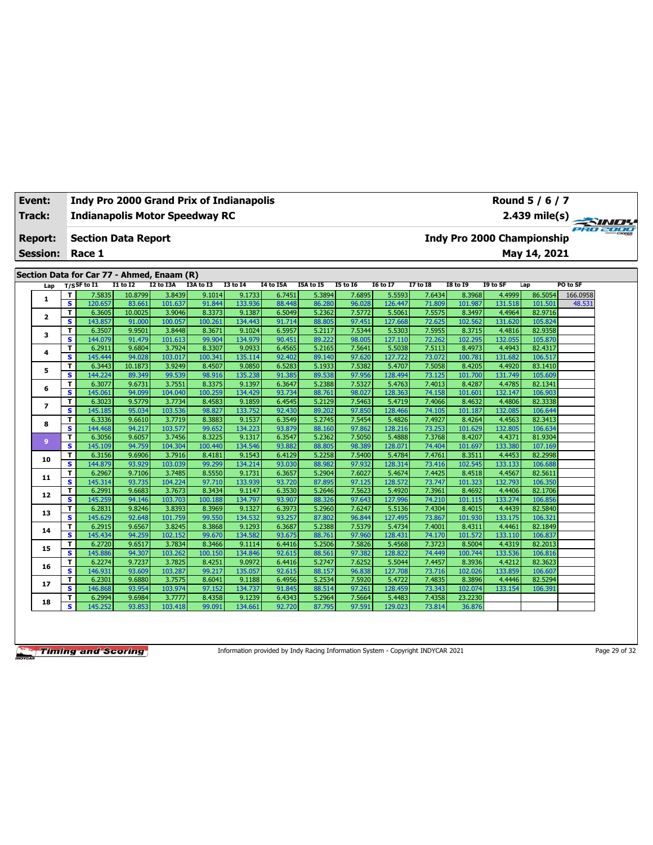| Track:          |        |                                            |                  |                   | <b>Indianapolis Motor Speedway RC</b> |                   |                  |                  |                  |                   |                  |                   |                   |                                   | $2.439 \text{ mile(s)}$ |
|-----------------|--------|--------------------------------------------|------------------|-------------------|---------------------------------------|-------------------|------------------|------------------|------------------|-------------------|------------------|-------------------|-------------------|-----------------------------------|-------------------------|
| <b>Report:</b>  |        | <b>Section Data Report</b>                 |                  |                   |                                       |                   |                  |                  |                  |                   |                  |                   |                   | <b>Indy Pro 2000 Championship</b> |                         |
| <b>Session:</b> |        | Race 1                                     |                  |                   |                                       |                   |                  |                  |                  |                   |                  |                   |                   | May 14, 2021                      |                         |
|                 |        | Section Data for Car 77 - Ahmed, Enaam (R) |                  |                   |                                       |                   |                  |                  |                  |                   |                  |                   |                   |                                   |                         |
| Lap             |        | $T/S$ SF to I1                             | I1 to I2         | I2 to I3A         | I3A to I3                             | <b>I3 to 14</b>   | <b>I4 to I5A</b> | <b>I5A</b> to 15 | <b>I5 to 16</b>  | <b>I6 to I7</b>   | <b>I7 to I8</b>  | <b>I8 to 19</b>   | I9 to SF          | Lap                               | PO to SF                |
|                 | T      | 7.5835                                     | 10.8799          | 3.8439            | 9.1014                                | 9.1733            | 6.7451           | 5.3894           | 7.6895           | 5.5593            | 7.6434           | 8.3968            | 4.4999            | 86.5054                           | 166.0958                |
| 1               | s      | 120.657                                    | 83.661           | 101.637           | 91.844                                | 133.936           | 88.448           | 86.280           | 96.028           | 126.447           | 71.809           | 101.987           | 131.518           | 101.501                           | 48.531                  |
| $\overline{2}$  | T      | 6.3605                                     | 10.0025          | 3.9046            | 8.3373                                | 9.1387            | 6.5049           | 5.2362           | 7.5772           | 5.5061            | 7.5575           | 8.3497            | 4.4964            | 82.9716                           |                         |
|                 | s      | 143.857                                    | 91.000           | 100.057           | 100.261                               | 134.443           | 91.714           | 88.805           | 97.451           | 127.668           | 72.625           | 102.562           | 131.620           | 105.824                           |                         |
| 3               | T      | 6.3507                                     | 9.9501           | 3.8448            | 8.3671                                | 9.1024            | 6.5957           | 5.2117           | 7.5344           | 5.5303            | 7.5955           | 8.3715            | 4.4816            | 82.9358                           |                         |
|                 | s      | 144.079                                    | 91.479           | 101.613           | 99.904                                | 134.979           | 90.451           | 89.222           | 98.005           | 127.110           | 72.262           | 102.295           | 132.055           | 105.870                           |                         |
| 4               | T      | 6.2911                                     | 9.6804           | 3.7924            | 8.3307                                | 9.0933            | 6.4565           | 5.2165           | 7.5641           | 5.5038            | 7.5113           | 8.4973            | 4.4943            | 82.4317                           |                         |
|                 | s      | 145.444                                    | 94.028           | 103.017           | 100.341                               | 135.114           | 92.402           | 89.140           | 97.620           | 127.722           | 73.072           | 100.781           | 131.682           | 106.517                           |                         |
| 5               | T      | 6.3443                                     | 10.1873          | 3.9249            | 8.4507                                | 9.0850            | 6.5283           | 5.1933           | 7.5382           | 5.4707            | 7.5058           | 8.4205            | 4.4920            | 83.1410                           |                         |
|                 | s      | 144.224                                    | 89.349           | 99.539            | 98.916                                | 135.238           | 91.385           | 89.538           | 97.956           | 128.494           | 73.125           | 101.700           | 131.749           | 105.609                           |                         |
| 6               | T      | 6.3077                                     | 9.6731           | 3.7551            | 8.3375                                | 9.1397            | 6.3647           | 5.2388           | 7.5327           | 5.4763            | 7.4013           | 8.4287            | 4.4785            | 82.1341                           |                         |
|                 | s      | 145.061                                    | 94.099           | 104.040           | 100.259                               | 134.429           | 93.734           | 88.761           | 98.027           | 128.363           | 74.158           | 101.601           | 132.147           | 106.903                           |                         |
| 7               | T      | 6.3023                                     | 9.5779           | 3.7734            | 8.4583                                | 9.1859            | 6.4545           | 5.2129           | 7.5463           | 5.4719            | 7.4066           | 8.4632            | 4.4806            | 82.3338                           |                         |
|                 | s      | 145.185                                    | 95.034           | 103.536           | 98.827                                | 133.752           | 92.430           | 89.202           | 97.850           | 128.466           | 74.105           | 101.187           | 132.085           | 106.644                           |                         |
| 8               | T<br>s | 6.3336<br>144.468                          | 9.6610<br>94.217 | 3.7719<br>103.577 | 8.3883<br>99.652                      | 9.1537<br>134.223 | 6.3549<br>93.879 | 5.2745<br>88.160 | 7.5454<br>97.862 | 5.4826<br>128.216 | 7.4927<br>73.253 | 8.4264<br>101.629 | 4.4563<br>132.805 | 82.3413<br>106.634                |                         |
|                 | T      | 6.3056                                     | 9.6057           | 3.7456            | 8.3225                                | 9.1317            | 6.3547           | 5.2362           | 7.5050           | 5.4888            | 7.3768           | 8.4207            | 4.4371            | 81.9304                           |                         |
| 9               | s      | 145.109                                    | 94.759           | 104.304           | 100.440                               | 134.546           | 93.882           | 88.805           | 98.389           | 128.07:           | 74.404           | 101.697           | 133.380           | 107.169                           |                         |
|                 | T      | 6.3156                                     | 9.6906           | 3.7916            | 8.4181                                | 9.1543            | 6.4129           | 5.2258           | 7.5400           | 5.4784            | 7.4761           | 8.3511            | 4.4453            | 82.2998                           |                         |
| 10              | s      | 144.879                                    | 93.929           | 103.039           | 99.299                                | 134.214           | 93.030           | 88.982           | 97.932           | 128.314           | 73.416           | 102.545           | 133.133           | 106.688                           |                         |
|                 | T      | 6.2967                                     | 9.7106           | 3.7485            | 8.5550                                | 9.1731            | 6.3657           | 5.2904           | 7.6027           | 5.4674            | 7.4425           | 8.4518            | 4.4567            | 82.5611                           |                         |
| 11              | s      | 145.314                                    | 93.735           | 104.224           | 97.710                                | 133.939           | 93.720           | 87.895           | 97.125           | 128.572           | 73.747           | 101.323           | 132.793           | 106.350                           |                         |
|                 | T      | 6.2991                                     | 9.6683           | 3.7673            | 8.3434                                | 9.1147            | 6.3530           | 5.2646           | 7.5623           | 5.4920            | 7.3961           | 8.4692            | 4.4406            | 82.1706                           |                         |
| 12              | s      | 145.259                                    | 94.146           | 103.703           | 100.188                               | 134.797           | 93.907           | 88.326           | 97.643           | 127.996           | 74.210           | 101.115           | 133.274           | 106.856                           |                         |
|                 | т      | 6.2831                                     | 9.8246           | 3.8393            | 8.3969                                | 9.1327            | 6.3973           | 5.2960           | 7.6247           | 5.5136            | 7.4304           | 8.4015            | 4.4439            | 82.5840                           |                         |
| 13              | s      | 145.629                                    | 92.648           | 101.759           | 99.550                                | 134.532           | 93.257           | 87.802           | 96.844           | 127.495           | 73.867           | 101.930           | 133.175           | 106.321                           |                         |
|                 | T      | 6.2915                                     | 9.6567           | 3.8245            | 8.3868                                | 9.1293            | 6.3687           | 5.2388           | 7.5379           | 5.4734            | 7.4001           | 8.4311            | 4.4461            | 82.1849                           |                         |
| 14              | s      | 145.434                                    | 94.259           | 102.152           | 99.670                                | 134.582           | 93.675           | 88.761           | 97.960           | 128.431           | 74.170           | 101.572           | 133.110           | 106.837                           |                         |
| 15              | т      | 6.2720                                     | 9.6517           | 3.7834            | 8.3466                                | 9.1114            | 6.4416           | 5.2506           | 7.5826           | 5.4568            | 7.3723           | 8.5004            | 4.4319            | 82.2013                           |                         |
|                 | s      | 145.886                                    | 94.307           | 103.262           | 100.150                               | 134.846           | 92.615           | 88.561           | 97.382           | 128.822           | 74.449           | 100.744           | 133.536           | 106.816                           |                         |
| 16              | T      | 6.2274                                     | 9.7237           | 3.7825            | 8.4251                                | 9.0972            | 6.4416           | 5.2747           | 7.6252           | 5.5044            | 7.4457           | 8.3936            | 4.4212            | 82.3623                           |                         |
|                 | s      | 146.931                                    | 93.609           | 103.287           | 99.217                                | 135.057           | 92.615           | 88.157           | 96.838           | 127.708           | 73.716           | 102.026           | 133.859           | 106.607                           |                         |
| 17              | T      | 6.2301                                     | 9.6880           | 3.7575            | 8.6041                                | 9.1188            | 6.4956           | 5.2534           | 7.5920           | 5.4722            | 7.4835           | 8.3896            | 4.4446            | 82.5294                           |                         |
|                 | s      | 146.868                                    | 93.954           | 103.974           | 97.152                                | 134.737           | 91.845           | 88.514           | 97.261           | 128.459           | 73.343           | 102.074           | 133.154           | 106.391                           |                         |
| 18              | T      | 6.2994                                     | 9.6984           | 3.7777            | 8.4358                                | 9.1239            | 6.4343           | 5.2964           | 7.5664           | 5.4483            | 7.4358           | 23.2230           |                   |                                   |                         |
|                 | s      | 145.252                                    | 93.853           | 103.418           | 99.091                                | 134.661           | 92.720           | 87.795           | 97.591           | 129.023           | 73.814           | 36.876            |                   |                                   |                         |

**Event: Indy Pro 2000 Grand Prix of Indianapolis**

Information provided by Indy Racing Information System - Copyright INDYCAR 2021 Page 29 of 32

**Round 5 / 6 / 7**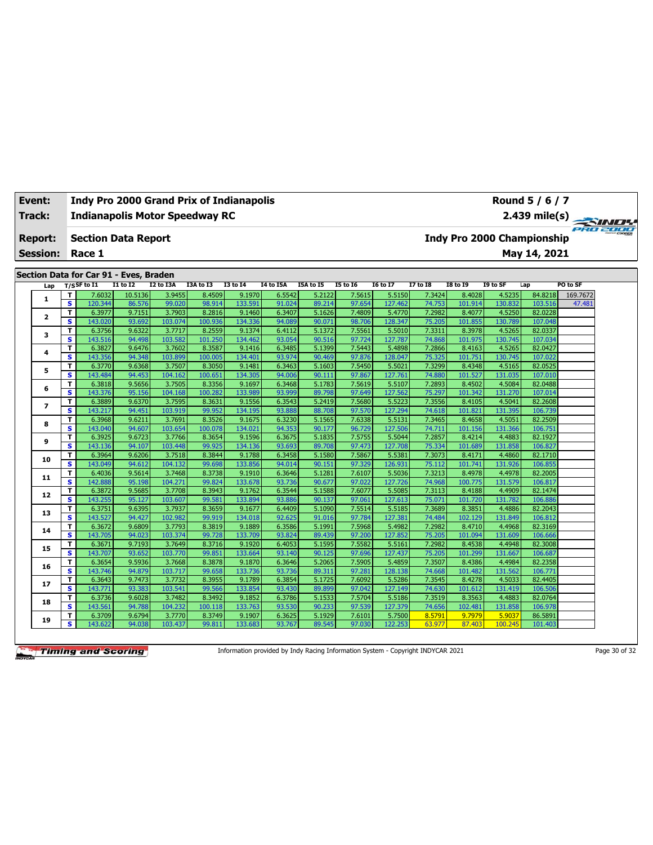| Track:          |              | <b>Indianapolis Motor Speedway RC</b>                      |                   |                  |                  |                 |                  |                  |                 |                 |          |                   |                            | $2.439$ mile(s) |          |  |
|-----------------|--------------|------------------------------------------------------------|-------------------|------------------|------------------|-----------------|------------------|------------------|-----------------|-----------------|----------|-------------------|----------------------------|-----------------|----------|--|
| <b>Report:</b>  |              | <b>Section Data Report</b>                                 |                   |                  |                  |                 |                  |                  |                 |                 |          |                   | Indy Pro 2000 Championship |                 |          |  |
| <b>Session:</b> |              | Race 1                                                     |                   |                  |                  |                 |                  |                  |                 |                 |          |                   |                            | May 14, 2021    |          |  |
|                 |              |                                                            |                   |                  |                  |                 |                  |                  |                 |                 |          |                   |                            |                 |          |  |
|                 |              | Section Data for Car 91 - Eves, Braden<br>$T/S$ SF to $I1$ | <b>I1 to I2</b>   | <b>I2 to I3A</b> | I3A to I3        | <b>I3 to 14</b> | <b>I4 to I5A</b> | I5A to I5        | <b>I5 to 16</b> | <b>16 to 17</b> | 17 to 18 | <b>I8 to 19</b>   | I9 to SF                   | Lap             | PO to SF |  |
| Lap             |              |                                                            |                   |                  |                  | 9.1970          |                  |                  | 7.5615          | 5.5150          | 7.3424   |                   | 4.5235                     | 84.8218         | 169.7672 |  |
| $\mathbf{1}$    | T<br>s       | 7.6032<br>120.344                                          | 10.5136<br>86.576 | 3.9455<br>99.020 | 8.4509<br>98.914 | 133.591         | 6.5542<br>91.024 | 5.2122<br>89.214 | 97.654          | 127.462         | 74.753   | 8.4028<br>101.914 | 130.832                    | 103.516         | 47.481   |  |
|                 | T            | 6.3977                                                     | 9.7151            | 3.7903           | 8.2816           | 9.1460          | 6.3407           | 5.1626           | 7.4809          | 5.4770          | 7.2982   | 8.4077            | 4.5250                     | 82.0228         |          |  |
| $\mathbf{2}$    | $\mathbf{s}$ | 143.020                                                    | 93.692            | 103.074          | 100.936          | 134.336         | 94.089           | 90.071           | 98.706          | 128.347         | 75.205   | 101.855           | 130.789                    | 107.048         |          |  |
|                 | T            | 6.3756                                                     | 9.6322            | 3.7717           | 8.2559           | 9.1374          | 6.4112           | 5.1372           | 7.5561          | 5.5010          | 7.3311   | 8.3978            | 4.5265                     | 82.0337         |          |  |
| з               | $\mathbf{s}$ | 143.516                                                    | 94.498            | 103.582          | 101.250          | 134.462         | 93.054           | 90.516           | 97.724          | 127.787         | 74.868   | 101.975           | 130.745                    | 107.034         |          |  |
|                 | T            | 6.3827                                                     | 9.6476            | 3.7602           | 8.3587           | 9.1416          | 6.3485           | 5.1399           | 7.5443          | 5.4898          | 7.2866   | 8.4163            | 4.5265                     | 82.0427         |          |  |
| 4               | $\mathbf{s}$ | 143.356                                                    | 94.348            | 103.899          | 100.005          | 134.401         | 93.974           | 90.469           | 97.876          | 128.047         | 75.325   | 101.751           | 130.745                    | 107.022         |          |  |
|                 | T            | 6.3770                                                     | 9.6368            | 3.7507           | 8.3050           | 9.1481          | 6.3463           | 5.1603           | 7.5450          | 5.5021          | 7.3299   | 8.4348            | 4.5165                     | 82.0525         |          |  |
| 5               | $\mathbf{s}$ | 143.484                                                    | 94.453            | 104.162          | 100.651          | 134.305         | 94.006           | 90.111           | 97.867          | 127.761         | 74.880   | 101.527           | 131.035                    | 107.010         |          |  |
|                 | T            | 6.3818                                                     | 9.5656            | 3.7505           | 8.3356           | 9.1697          | 6.3468           | 5.1783           | 7.5619          | 5.5107          | 7.2893   | 8.4502            | 4.5084                     | 82.0488         |          |  |
| 6               | s            | 143.376                                                    | 95.156            | 104.168          | 100.282          | 133.989         | 93.999           | 89.798           | 97.649          | 127.562         | 75.297   | 101.342           | 131.270                    | 107.014         |          |  |
|                 | T            | 6.3889                                                     | 9.6370            | 3.7595           | 8.3631           | 9.1556          | 6.3543           | 5.2419           | 7.5680          | 5.5223          | 7.3556   | 8.4105            | 4.5041                     | 82.2608         |          |  |
| $\overline{ }$  | s            | 143.217                                                    | 94.451            | 103.919          | 99.952           | 134.195         | 93.888           | 88.708           | 97.570          | 127.294         | 74.618   | 101.821           | 131.395                    | 106.739         |          |  |
|                 | T            | 6.3968                                                     | 9.6211            | 3.7691           | 8.3526           | 9.1675          | 6.3230           | 5.1565           | 7.6338          | 5.5131          | 7.3465   | 8.4658            | 4.5051                     | 82.2509         |          |  |
| 8               | s            | 143.040                                                    | 94.607            | 103.654          | 100.078          | 134.021         | 94.353           | 90.177           | 96.729          | 127.506         | 74.711   | 101.156           | 131.366                    | 106.751         |          |  |
|                 | T            | 6.3925                                                     | 9.6723            | 3.7766           | 8.3654           | 9.1596          | 6.3675           | 5.1835           | 7.5755          | 5.5044          | 7.2857   | 8.4214            | 4.4883                     | 82.1927         |          |  |
| 9               | $\mathbf{s}$ | 143.136                                                    | 94.107            | 103.448          | 99.925           | 134.136         | 93.693           | 89.708           | 97.473          | 127.708         | 75.334   | 101.689           | 131.858                    | 106.827         |          |  |
|                 | T            | 6.3964                                                     | 9.6206            | 3.7518           | 8.3844           | 9.1788          | 6.3458           | 5.1580           | 7.5867          | 5.5381          | 7.3073   | 8.4171            | 4.4860                     | 82.1710         |          |  |
| 10              | $\mathbf{s}$ | 143.049                                                    | 94.612            | 104.132          | 99.698           | 133.856         | 94.014           | 90.151           | 97.329          | 126.931         | 75.112   | 101.741           | 131.926                    | 106.855         |          |  |
|                 | T            | 6.4036                                                     | 9.5614            | 3.7468           | 8.3738           | 9.1910          | 6.3646           | 5.1281           | 7.6107          | 5.5036          | 7.3213   | 8.4978            | 4.4978                     | 82.2005         |          |  |
| 11              | $\mathbf{s}$ | 142.888                                                    | 95.198            | 104.271          | 99.824           | 133.678         | 93.736           | 90.677           | 97.022          | 127.726         | 74.968   | 100.775           | 131.579                    | 106.817         |          |  |
|                 | T            | 6.3872                                                     | 9.5685            | 3.7708           | 8.3943           | 9.1762          | 6.3544           | 5.1588           | 7.6077          | 5.5085          | 7.3113   | 8.4188            | 4.4909                     | 82.1474         |          |  |
| 12              | $\mathbf{s}$ | 143.255                                                    | 95.127            | 103.607          | 99.581           | 133.894         | 93.886           | 90.137           | 97.061          | 127.613         | 75.071   | 101.720           | 131.782                    | 106.886         |          |  |
|                 | $\mathbf{T}$ | 6.3751                                                     | 9.6395            | 3.7937           | 8.3659           | 9.1677          | 6.4409           | 5.1090           | 7.5514          | 5.5185          | 7.3689   | 8.3851            | 4.4886                     | 82.2043         |          |  |
| 13              | s.           | 143.527                                                    | 94.427            | 102.982          | 99.919           | 134.018         | 92.625           | 91.016           | 97.784          | 127.381         | 74.484   | 102.129           | 131.849                    | 106.812         |          |  |
|                 | T            | 6.3672                                                     | 9.6809            | 3.7793           | 8.3819           | 9.1889          | 6.3586           | 5.1991           | 7.5968          | 5.4982          | 7.2982   | 8.4710            | 4.4968                     | 82.3169         |          |  |
| 14              | s            | 143.705                                                    | 94.023            | 103.374          | 99.728           | 133.709         | 93.824           | 89.439           | 97.200          | 127.852         | 75.205   | 101.094           | 131.609                    | 106.666         |          |  |
|                 | T            | 6.3671                                                     | 9.7193            | 3.7649           | 8.3716           | 9.1920          | 6.4053           | 5.1595           | 7.5582          | 5.5161          | 7.2982   | 8.4538            | 4.4948                     | 82.3008         |          |  |
| 15              | s            | 143.707                                                    | 93.652            | 103.770          | 99.851           | 133.664         | 93.140           | 90.125           | 97.696          | 127.437         | 75.205   | 101.299           | 131.667                    | 106.687         |          |  |
|                 | T            | 6.3654                                                     | 9.5936            | 3.7668           | 8.3878           | 9.1870          | 6.3646           | 5.2065           | 7.5905          | 5.4859          | 7.3507   | 8.4386            | 4.4984                     | 82.2358         |          |  |
| 16              | $\mathbf{s}$ | 143.746                                                    | 94.879            | 103.717          | 99.658           | 133.736         | 93.736           | 89.311           | 97.281          | 128.138         | 74.668   | 101.482           | 131.562                    | 106.771         |          |  |
|                 | T            | 6.3643                                                     | 9.7473            | 3.7732           | 8.3955           | 9.1789          | 6.3854           | 5.1725           | 7.6092          | 5.5286          | 7.3545   | 8.4278            | 4.5033                     | 82.4405         |          |  |
| 17              | $\mathbf{s}$ | 143.771                                                    | 93.383            | 103.541          | 99.566           | 133.854         | 93.430           | 89.899           | 97.042          | 127.149         | 74.630   | 101.612           | 131.419                    | 106.506         |          |  |
|                 | T            | 6.3736                                                     | 9.6028            | 3.7482           | 8.3492           | 9.1852          | 6.3786           | 5.1533           | 7.5704          | 5.5186          | 7.3519   | 8.3563            | 4.4883                     | 82.0764         |          |  |
| 18              | $\mathbf{s}$ | 143.561                                                    | 94.788            | 104.232          | 100.118          | 133.763         | 93.530           | 90.233           | 97.539          | 127.379         | 74.656   | 102.481           | 131.858                    | 106.978         |          |  |
| 19              | $\mathbf{T}$ | 6.3709                                                     | 9.6794            | 3.7770           | 8.3749           | 9.1907          | 6.3625           | 5.1929           | 7.6101          | 5.7500          | 8.5791   | 9.7979            | 5.9037                     | 86.5891         |          |  |
|                 | s            | 143.622                                                    | 94.038            | 103.437          | 99.811           | 133.683         | 93.767           | 89.545           | 97.030          | 122.253         | 63.977   | 87.403            | 100.245                    | 101.403         |          |  |

**Event: Indy Pro 2000 Grand Prix of Indianapolis**

Information provided by Indy Racing Information System - Copyright INDYCAR 2021 Page 30 of 32

**Round 5 / 6 / 7**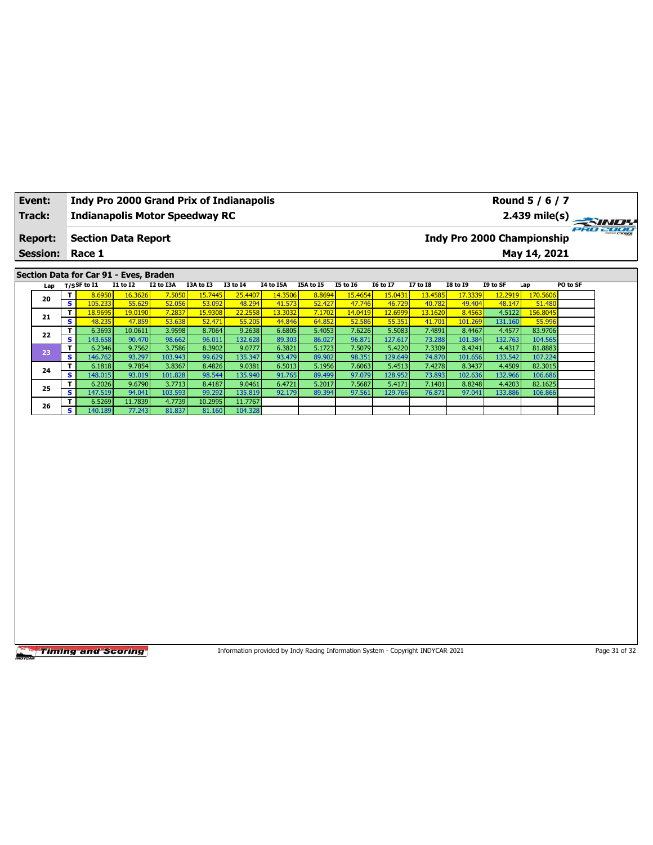| Event:          |                         |                                        |                            |                     | <b>Indy Pro 2000 Grand Prix of Indianapolis</b> |                            |                             |                                                                                 |                            |                            |                            |                            |                     | Round 5 / 6 / 7                   |               |
|-----------------|-------------------------|----------------------------------------|----------------------------|---------------------|-------------------------------------------------|----------------------------|-----------------------------|---------------------------------------------------------------------------------|----------------------------|----------------------------|----------------------------|----------------------------|---------------------|-----------------------------------|---------------|
| Track:          |                         |                                        |                            |                     | <b>Indianapolis Motor Speedway RC</b>           |                            |                             |                                                                                 |                            |                            |                            |                            |                     | 2.439 mile(s)                     |               |
| <b>Report:</b>  |                         | <b>Section Data Report</b>             |                            |                     |                                                 |                            |                             |                                                                                 |                            |                            |                            |                            |                     | <b>Indy Pro 2000 Championship</b> | 920 2000      |
| <b>Session:</b> |                         | Race 1                                 |                            |                     |                                                 |                            |                             |                                                                                 |                            |                            |                            |                            |                     | May 14, 2021                      |               |
|                 |                         |                                        |                            |                     |                                                 |                            |                             |                                                                                 |                            |                            |                            |                            |                     |                                   |               |
|                 |                         | Section Data for Car 91 - Eves, Braden |                            |                     |                                                 |                            |                             |                                                                                 |                            |                            |                            |                            |                     |                                   |               |
| Lap             | T                       | $T/S$ SF to I1<br>8.6950               | <b>I1 to I2</b><br>16.3626 | I2 to I3A<br>7.5050 | I3A to I3<br>15.7445                            | <b>I3 to 14</b><br>25.4407 | <b>I4 to I5A</b><br>14.3506 | I5A to I5<br>8.8694                                                             | <b>I5 to 16</b><br>15.4654 | <b>I6 to I7</b><br>15.0431 | <b>I7 to I8</b><br>13.4585 | <b>I8 to 19</b><br>17.3339 | I9 to SF<br>12.2919 | Lap<br>170.5606                   | PO to SF      |
| 20              | $\overline{\mathbf{s}}$ | 105.233                                | 55.629                     | 52.056              | 53.092                                          | 48.294                     | 41.573                      | 52.427                                                                          | 47.746                     | 46.729                     | 40.782                     | 49.404                     | 48.147              | 51.480                            |               |
|                 | T                       | 18.9695                                | 19.0190                    | 7.2837              | 15.9308                                         | 22.2558                    | 13.3032                     | 7.1702                                                                          | 14.0419                    | 12.6999                    | 13.1620                    | 8.4563                     | 4.5122              | 156.8045                          |               |
| 21              | s                       | 48.235                                 | 47.859                     | 53.638              | 52.471                                          | 55.205                     | 44.846                      | 64.852                                                                          | 52.586                     | 55.35:                     | 41.701                     | 101.269                    | 131.160             | 55.996                            |               |
| 22              | T.                      | 6.3693                                 | 10.0611                    | 3.9598              | 8.7064                                          | 9.2638                     | 6.6805                      | 5.4053                                                                          | 7.6226                     | 5.5083                     | 7.4891                     | 8.4467                     | 4.4577              | 83.9706                           |               |
|                 | $\overline{\mathbf{s}}$ | 143.658                                | 90.470                     | 98.662              | 96.011                                          | 132.628                    | 89.303                      | 86.027                                                                          | 96.871                     | 127.617                    | 73.28                      | 101.384                    | 132.763             | 104.565                           |               |
| 23              | T                       | 6.2346                                 | 9.7562                     | 3.7586              | 8.3902                                          | 9.0777                     | 6.3821                      | 5.1723                                                                          | 7.5079                     | 5.4220                     | 7.3309                     | 8.4241                     | 4.4317              | 81.8883                           |               |
|                 | s<br>T                  | 146.762<br>6.1818                      | 93.297<br>9.7854           | 103.943<br>3.8367   | 99.629                                          | 135.347<br>9.0381          | 93.479<br>6.5013            | 89.902<br>5.1956                                                                | 98.351<br>7.6063           | 129.649<br>5.4513          | 74.870<br>7.4278           | 101.656<br>8.3437          | 133.542<br>4.4509   | 107.224<br>82.3015                |               |
| 24              | s                       | 148.015                                | 93.019                     | 101.828             | 8.4826<br>98.544                                | 135.940                    | 91.765                      | 89.499                                                                          | 97.079                     | 128.952                    | 73.893                     | 102.636                    | 132.966             | 106.686                           |               |
|                 | T                       | 6.2026                                 | 9.6790                     | 3.7713              | 8.4187                                          | 9.0461                     | 6.4721                      | 5.2017                                                                          | 7.5687                     | 5.4171                     | 7.1401                     | 8.8248                     | 4.4203              | 82.1625                           |               |
| 25              | s                       | 147.519                                | 94.041                     | 103.593             | 99.292                                          | 135.819                    | 92.179                      | 89.394                                                                          | 97.561                     | 129.766                    | 76.871                     | 97.041                     | 133.886             | 106.866                           |               |
| 26              | T                       | 6.5269                                 | 11.7839                    | 4.7739              | 10.2995                                         | 11.7767                    |                             |                                                                                 |                            |                            |                            |                            |                     |                                   |               |
|                 | S.                      | 140.189                                | 77.243                     | 81.837              | 81.160                                          | 104.328                    |                             |                                                                                 |                            |                            |                            |                            |                     |                                   |               |
|                 |                         |                                        |                            |                     |                                                 |                            |                             |                                                                                 |                            |                            |                            |                            |                     |                                   |               |
|                 |                         | <b>Timing and Scoring</b>              |                            |                     |                                                 |                            |                             | Information provided by Indy Racing Information System - Copyright INDYCAR 2021 |                            |                            |                            |                            |                     |                                   | Page 31 of 32 |